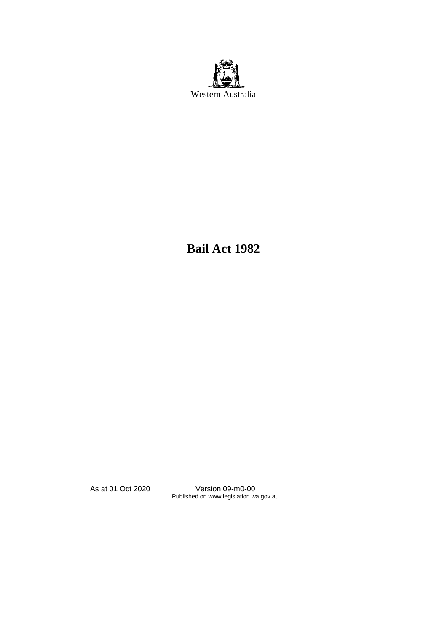

**Bail Act 1982**

As at 01 Oct 2020 Version 09-m0-00 Published on www.legislation.wa.gov.au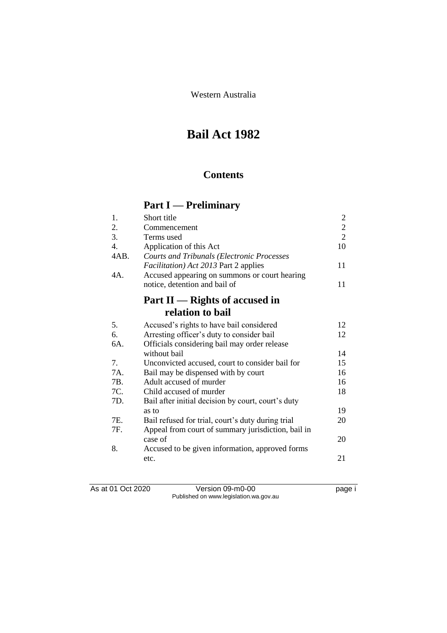Western Australia

# **Bail Act 1982**

## **Contents**

# **Part I — Preliminary**

| 1.               | Short title                                        | $\overline{2}$ |
|------------------|----------------------------------------------------|----------------|
| 2.               | Commencement                                       | $\overline{c}$ |
| 3.               | Terms used                                         | $\overline{2}$ |
| $\overline{4}$ . | Application of this Act                            | 10             |
| 4AB.             | <b>Courts and Tribunals (Electronic Processes</b>  |                |
|                  | <i>Facilitation</i> ) Act 2013 Part 2 applies      | 11             |
| 4A.              | Accused appearing on summons or court hearing      |                |
|                  | notice, detention and bail of                      | 11             |
|                  | Part $II$ — Rights of accused in                   |                |
|                  | relation to bail                                   |                |
| 5.               | Accused's rights to have bail considered           | 12             |
| 6.               | Arresting officer's duty to consider bail          | 12             |
| 6A.              | Officials considering bail may order release       |                |
|                  | without bail                                       | 14             |
| 7.               | Unconvicted accused, court to consider bail for    | 15             |
| 7A.              | Bail may be dispensed with by court                | 16             |
| 7B.              | Adult accused of murder                            | 16             |
| 7C.              | Child accused of murder                            | 18             |
| 7D.              | Bail after initial decision by court, court's duty |                |
|                  | as to                                              | 19             |
| 7E.              | Bail refused for trial, court's duty during trial  | 20             |
| 7F.              | Appeal from court of summary jurisdiction, bail in |                |
|                  | case of                                            | 20             |
| 8.               | Accused to be given information, approved forms    |                |
|                  | etc.                                               | 21             |
|                  |                                                    |                |

As at 01 Oct 2020 Version 09-m0-00 page i Published on www.legislation.wa.gov.au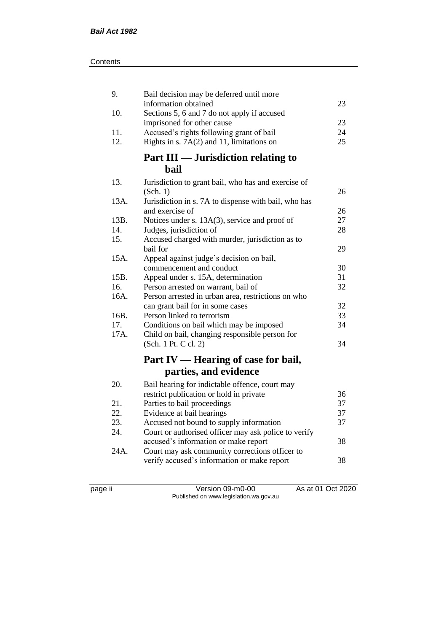| 9.   | Bail decision may be deferred until more                               |    |
|------|------------------------------------------------------------------------|----|
|      | information obtained                                                   | 23 |
| 10.  | Sections 5, 6 and 7 do not apply if accused                            | 23 |
| 11.  | imprisoned for other cause<br>Accused's rights following grant of bail | 24 |
| 12.  | Rights in s. $7A(2)$ and 11, limitations on                            | 25 |
|      |                                                                        |    |
|      | Part III — Jurisdiction relating to                                    |    |
|      | bail                                                                   |    |
| 13.  | Jurisdiction to grant bail, who has and exercise of                    |    |
|      | (Sch. 1)                                                               | 26 |
| 13A. | Jurisdiction in s. 7A to dispense with bail, who has                   |    |
|      | and exercise of                                                        | 26 |
| 13B. | Notices under s. 13A(3), service and proof of                          | 27 |
| 14.  | Judges, jurisdiction of                                                | 28 |
| 15.  | Accused charged with murder, jurisdiction as to                        |    |
|      | bail for                                                               | 29 |
| 15A. | Appeal against judge's decision on bail,                               |    |
|      | commencement and conduct                                               | 30 |
| 15B. | Appeal under s. 15A, determination                                     | 31 |
| 16.  | Person arrested on warrant, bail of                                    | 32 |
| 16A. | Person arrested in urban area, restrictions on who                     |    |
|      | can grant bail for in some cases                                       | 32 |
| 16B. | Person linked to terrorism                                             | 33 |
| 17.  | Conditions on bail which may be imposed                                | 34 |
| 17A. | Child on bail, changing responsible person for                         |    |
|      | (Sch. 1 Pt. C cl. 2)                                                   | 34 |
|      | Part IV — Hearing of case for bail,                                    |    |
|      | parties, and evidence                                                  |    |
| 20.  | Bail hearing for indictable offence, court may                         |    |
|      | restrict publication or hold in private                                | 36 |
| 21.  | Parties to bail proceedings                                            | 37 |
| 22.  | Evidence at bail hearings                                              | 37 |
| 23.  | Accused not bound to supply information                                | 37 |
| 24.  | Court or authorised officer may ask police to verify                   |    |
|      | accused's information or make report                                   | 38 |
| 24A. | Court may ask community corrections officer to                         |    |
|      | verify accused's information or make report                            | 38 |
|      |                                                                        |    |

page ii Version 09-m0-00 As at 01 Oct 2020 Published on www.legislation.wa.gov.au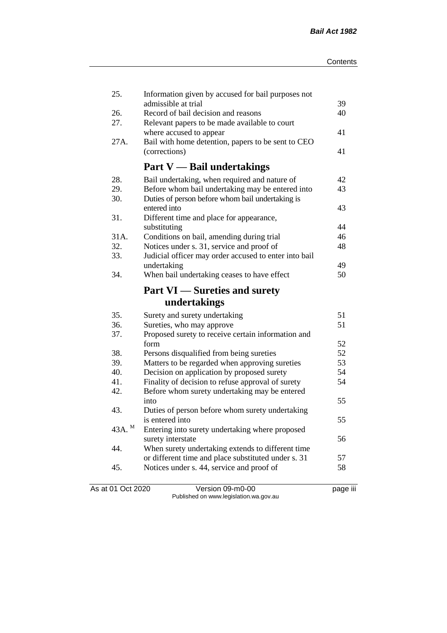| admissible at trial<br>Record of bail decision and reasons<br>26.<br>27.<br>Relevant papers to be made available to court | 39<br>40<br>41 |
|---------------------------------------------------------------------------------------------------------------------------|----------------|
|                                                                                                                           |                |
|                                                                                                                           |                |
| where accused to appear                                                                                                   |                |
| Bail with home detention, papers to be sent to CEO<br>27A.                                                                |                |
| (corrections)                                                                                                             | 41             |
|                                                                                                                           |                |
| <b>Part V</b> — Bail undertakings                                                                                         |                |
| 28.<br>Bail undertaking, when required and nature of                                                                      | 42             |
| Before whom bail undertaking may be entered into<br>29.                                                                   | 43             |
| 30.<br>Duties of person before whom bail undertaking is                                                                   |                |
| entered into                                                                                                              | 43             |
| 31.<br>Different time and place for appearance,                                                                           |                |
| substituting                                                                                                              | 44             |
| 31A.<br>Conditions on bail, amending during trial                                                                         | 46             |
| 32.<br>Notices under s. 31, service and proof of                                                                          | 48             |
| 33.<br>Judicial officer may order accused to enter into bail                                                              |                |
| undertaking                                                                                                               | 49             |
| 34.<br>When bail undertaking ceases to have effect                                                                        | 50             |
| <b>Part VI</b> — Sureties and surety                                                                                      |                |
| undertakings                                                                                                              |                |
| 35.<br>Surety and surety undertaking                                                                                      | 51             |
| 36.<br>Sureties, who may approve                                                                                          | 51             |
| 37.<br>Proposed surety to receive certain information and                                                                 |                |
| form                                                                                                                      | 52             |
| 38.<br>Persons disqualified from being sureties                                                                           | 52             |
| 39.<br>Matters to be regarded when approving sureties                                                                     | 53             |
| 40.<br>Decision on application by proposed surety                                                                         | 54             |
| 41.<br>Finality of decision to refuse approval of surety                                                                  | 54             |
| 42.<br>Before whom surety undertaking may be entered                                                                      |                |
| into                                                                                                                      | 55             |
| 43.<br>Duties of person before whom surety undertaking                                                                    |                |
| is entered into                                                                                                           | 55             |
| 43A. M<br>Entering into surety undertaking where proposed                                                                 |                |
| surety interstate                                                                                                         | 56             |
| 44.<br>When surety undertaking extends to different time                                                                  |                |
| or different time and place substituted under s. 31                                                                       | 57             |
| Notices under s. 44, service and proof of<br>45.                                                                          | 58             |
|                                                                                                                           |                |

As at 01 Oct 2020 Version 09-m0-00 page iii Published on www.legislation.wa.gov.au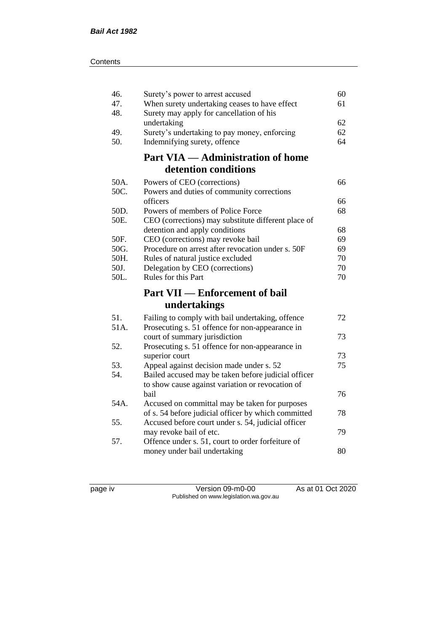| 46.<br>47.   | Surety's power to arrest accused<br>When surety undertaking ceases to have effect        | 60<br>61 |
|--------------|------------------------------------------------------------------------------------------|----------|
| 48.          | Surety may apply for cancellation of his                                                 |          |
|              | undertaking                                                                              | 62       |
| 49.<br>50.   | Surety's undertaking to pay money, enforcing<br>Indemnifying surety, offence             | 62<br>64 |
|              |                                                                                          |          |
|              | <b>Part VIA — Administration of home</b><br>detention conditions                         |          |
|              |                                                                                          |          |
| 50A.         | Powers of CEO (corrections)                                                              | 66       |
| 50C.         | Powers and duties of community corrections                                               |          |
|              | officers                                                                                 | 66       |
| 50D.<br>50E. | Powers of members of Police Force<br>CEO (corrections) may substitute different place of | 68       |
|              | detention and apply conditions                                                           | 68       |
| 50F.         | CEO (corrections) may revoke bail                                                        | 69       |
| 50G.         | Procedure on arrest after revocation under s. 50F                                        | 69       |
| 50H.         | Rules of natural justice excluded                                                        | 70       |
| 50J.         | Delegation by CEO (corrections)                                                          | 70       |
| 50L.         | Rules for this Part                                                                      | 70       |
|              | <b>Part VII — Enforcement of bail</b>                                                    |          |
|              | undertakings                                                                             |          |
| 51.          | Failing to comply with bail undertaking, offence                                         | 72       |
| 51A.         | Prosecuting s. 51 offence for non-appearance in                                          |          |
|              | court of summary jurisdiction                                                            | 73       |
| 52.          | Prosecuting s. 51 offence for non-appearance in                                          |          |
|              | superior court                                                                           | 73       |
| 53.          | Appeal against decision made under s. 52                                                 | 75       |
| 54.          | Bailed accused may be taken before judicial officer                                      |          |
|              | to show cause against variation or revocation of                                         |          |
|              | bail                                                                                     | 76       |
| 54A.         | Accused on committal may be taken for purposes                                           |          |
|              | of s. 54 before judicial officer by which committed                                      | 78       |
| 55.          | Accused before court under s. 54, judicial officer                                       |          |
| 57.          | may revoke bail of etc.                                                                  | 79       |
|              | Offence under s. 51, court to order forfeiture of<br>money under bail undertaking        | 80       |
|              |                                                                                          |          |

page iv Version 09-m0-00 As at 01 Oct 2020 Published on www.legislation.wa.gov.au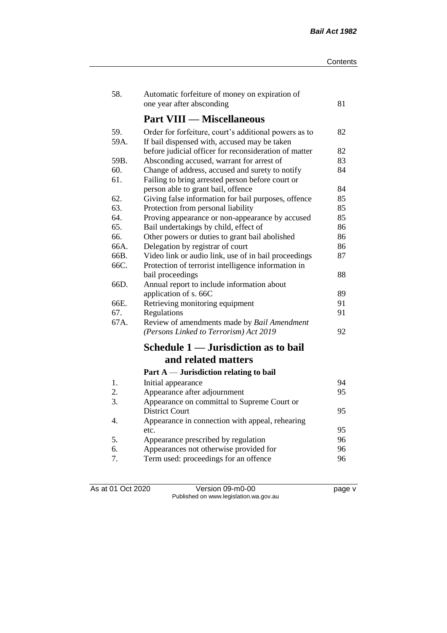| 58.  | Automatic forfeiture of money on expiration of        |    |
|------|-------------------------------------------------------|----|
|      | one year after absconding                             | 81 |
|      | <b>Part VIII — Miscellaneous</b>                      |    |
| 59.  | Order for forfeiture, court's additional powers as to | 82 |
| 59A. | If bail dispensed with, accused may be taken          |    |
|      | before judicial officer for reconsideration of matter | 82 |
| 59B. | Absconding accused, warrant for arrest of             | 83 |
| 60.  | Change of address, accused and surety to notify       | 84 |
| 61.  | Failing to bring arrested person before court or      |    |
|      | person able to grant bail, offence                    | 84 |
| 62.  | Giving false information for bail purposes, offence   | 85 |
| 63.  | Protection from personal liability                    | 85 |
| 64.  | Proving appearance or non-appearance by accused       | 85 |
| 65.  | Bail undertakings by child, effect of                 | 86 |
| 66.  | Other powers or duties to grant bail abolished        | 86 |
| 66A. | Delegation by registrar of court                      | 86 |
| 66B. | Video link or audio link, use of in bail proceedings  | 87 |
| 66C. | Protection of terrorist intelligence information in   |    |
|      | bail proceedings                                      | 88 |
| 66D. | Annual report to include information about            |    |
|      | application of s. 66C                                 | 89 |
| 66E. | Retrieving monitoring equipment                       | 91 |
| 67.  | Regulations                                           | 91 |
| 67A. | Review of amendments made by Bail Amendment           |    |
|      | (Persons Linked to Terrorism) Act 2019                | 92 |
|      | Schedule 1 — Jurisdiction as to bail                  |    |
|      | and related matters                                   |    |
|      | Part $A$ — Jurisdiction relating to bail              |    |
| 1.   | Initial appearance                                    | 94 |
| 2.   | Appearance after adjournment                          | 95 |
| 3.   | Appearance on committal to Supreme Court or           |    |
|      | <b>District Court</b>                                 | 95 |
| 4.   | Appearance in connection with appeal, rehearing       |    |
|      | etc.                                                  | 95 |
| 5.   | Appearance prescribed by regulation                   | 96 |
| 6.   | Appearances not otherwise provided for                | 96 |
| 7.   | Term used: proceedings for an offence                 | 96 |

As at 01 Oct 2020 Version 09-m0-00 page v Published on www.legislation.wa.gov.au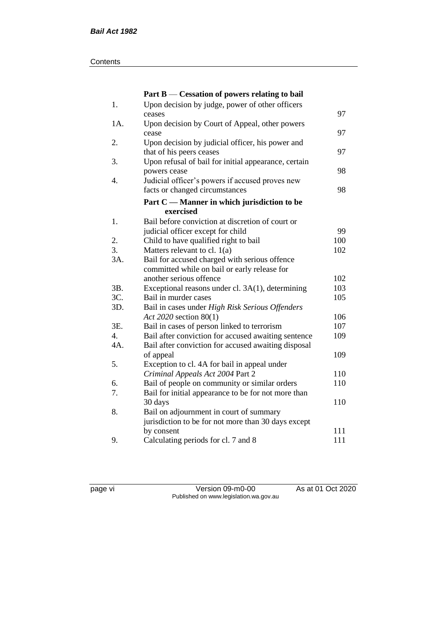#### **Contents**

|      | Part B — Cessation of powers relating to bail        |     |
|------|------------------------------------------------------|-----|
| $1.$ | Upon decision by judge, power of other officers      |     |
|      | ceases                                               | 97  |
| 1A.  | Upon decision by Court of Appeal, other powers       |     |
|      | cease                                                | 97  |
| 2.   | Upon decision by judicial officer, his power and     |     |
|      | that of his peers ceases                             | 97  |
| 3.   | Upon refusal of bail for initial appearance, certain |     |
|      | powers cease                                         | 98  |
| 4.   | Judicial officer's powers if accused proves new      |     |
|      | facts or changed circumstances                       | 98  |
|      | Part C — Manner in which jurisdiction to be          |     |
|      | exercised                                            |     |
| 1.   | Bail before conviction at discretion of court or     |     |
|      | judicial officer except for child                    | 99  |
| 2.   | Child to have qualified right to bail                | 100 |
| 3.   | Matters relevant to cl. $1(a)$                       | 102 |
| 3A.  | Bail for accused charged with serious offence        |     |
|      | committed while on bail or early release for         |     |
|      | another serious offence                              | 102 |
| 3B.  | Exceptional reasons under cl. 3A(1), determining     | 103 |
| 3C.  | Bail in murder cases                                 | 105 |
| 3D.  | Bail in cases under High Risk Serious Offenders      |     |
|      | Act 2020 section 80(1)                               | 106 |
| 3E.  | Bail in cases of person linked to terrorism          | 107 |
| 4.   | Bail after conviction for accused awaiting sentence  | 109 |
| 4A.  | Bail after conviction for accused awaiting disposal  |     |
|      | of appeal                                            | 109 |
| 5.   | Exception to cl. 4A for bail in appeal under         |     |
|      | Criminal Appeals Act 2004 Part 2                     | 110 |
| 6.   | Bail of people on community or similar orders        | 110 |
| 7.   | Bail for initial appearance to be for not more than  |     |
|      | 30 days                                              | 110 |
| 8.   | Bail on adjournment in court of summary              |     |
|      | jurisdiction to be for not more than 30 days except  |     |
|      | by consent                                           | 111 |
| 9.   | Calculating periods for cl. 7 and 8                  | 111 |

page vi Version 09-m0-00 As at 01 Oct 2020 Published on www.legislation.wa.gov.au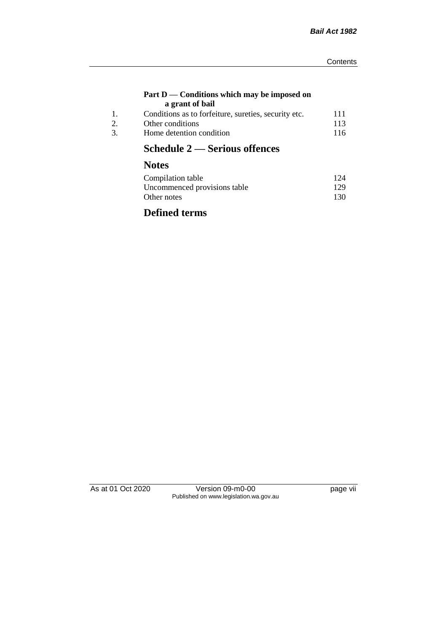#### **Part D — Conditions which may be imposed on a grant of bail**

| Conditions as to forfeiture, sureties, security etc. | 111 |
|------------------------------------------------------|-----|
| Other conditions                                     | 113 |
| Home detention condition                             | 116 |

# **Schedule 2 — Serious offences**

## **Notes**

| Compilation table            | 124 |
|------------------------------|-----|
| Uncommenced provisions table | 129 |
| Other notes                  | 130 |

## **Defined terms**

As at 01 Oct 2020 Version 09-m0-00 page vii Published on www.legislation.wa.gov.au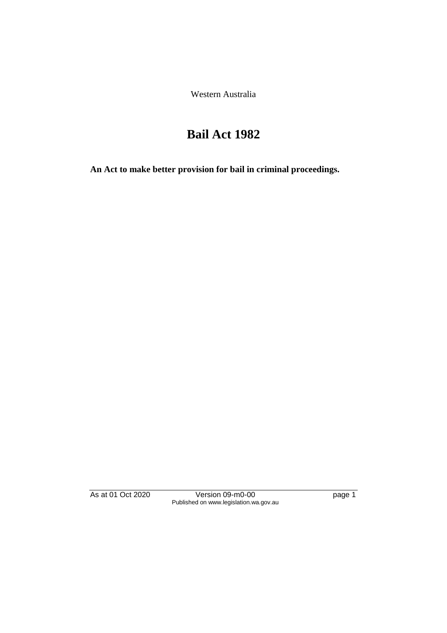Western Australia

# **Bail Act 1982**

**An Act to make better provision for bail in criminal proceedings.** 

As at 01 Oct 2020 Version 09-m0-00 page 1 Published on www.legislation.wa.gov.au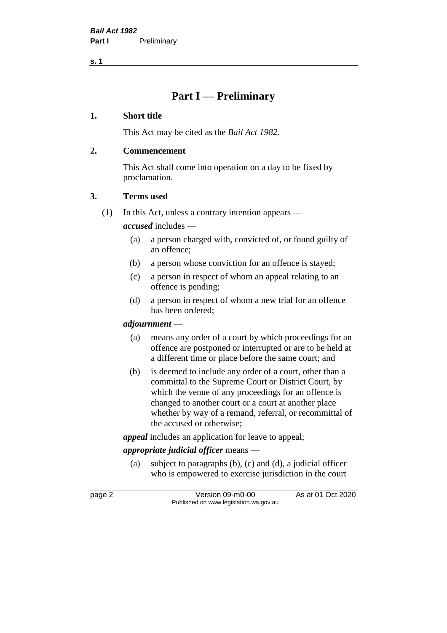**s. 1**

## **Part I — Preliminary**

### **1. Short title**

This Act may be cited as the *Bail Act 1982*.

## **2. Commencement**

This Act shall come into operation on a day to be fixed by proclamation.

## **3. Terms used**

(1) In this Act, unless a contrary intention appears —

*accused* includes —

- (a) a person charged with, convicted of, or found guilty of an offence;
- (b) a person whose conviction for an offence is stayed;
- (c) a person in respect of whom an appeal relating to an offence is pending;
- (d) a person in respect of whom a new trial for an offence has been ordered;

## *adjournment* —

- (a) means any order of a court by which proceedings for an offence are postponed or interrupted or are to be held at a different time or place before the same court; and
- (b) is deemed to include any order of a court, other than a committal to the Supreme Court or District Court, by which the venue of any proceedings for an offence is changed to another court or a court at another place whether by way of a remand, referral, or recommittal of the accused or otherwise;

*appeal* includes an application for leave to appeal;

## *appropriate judicial officer* means —

(a) subject to paragraphs (b), (c) and (d), a judicial officer who is empowered to exercise jurisdiction in the court

page 2 Version 09-m0-00 As at 01 Oct 2020 Published on www.legislation.wa.gov.au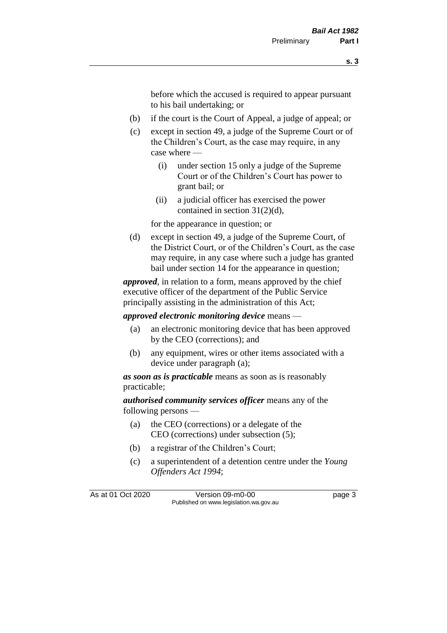before which the accused is required to appear pursuant to his bail undertaking; or

- (b) if the court is the Court of Appeal, a judge of appeal; or
- (c) except in section 49, a judge of the Supreme Court or of the Children's Court, as the case may require, in any case where —
	- (i) under section 15 only a judge of the Supreme Court or of the Children's Court has power to grant bail; or
	- (ii) a judicial officer has exercised the power contained in section 31(2)(d),

for the appearance in question; or

(d) except in section 49, a judge of the Supreme Court, of the District Court, or of the Children's Court, as the case may require, in any case where such a judge has granted bail under section 14 for the appearance in question;

*approved*, in relation to a form, means approved by the chief executive officer of the department of the Public Service principally assisting in the administration of this Act;

*approved electronic monitoring device* means —

- (a) an electronic monitoring device that has been approved by the CEO (corrections); and
- (b) any equipment, wires or other items associated with a device under paragraph (a);

*as soon as is practicable* means as soon as is reasonably practicable;

*authorised community services officer* means any of the following persons —

- (a) the CEO (corrections) or a delegate of the CEO (corrections) under subsection (5);
- (b) a registrar of the Children's Court;
- (c) a superintendent of a detention centre under the *Young Offenders Act 1994*;

As at 01 Oct 2020 Version 09-m0-00 page 3 Published on www.legislation.wa.gov.au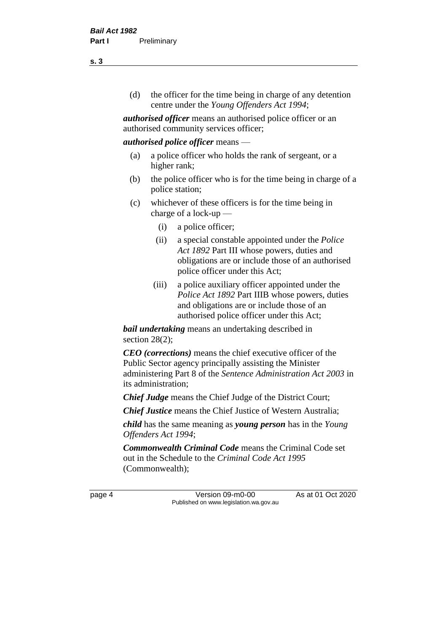(d) the officer for the time being in charge of any detention centre under the *Young Offenders Act 1994*;

*authorised officer* means an authorised police officer or an authorised community services officer;

#### *authorised police officer* means —

- (a) a police officer who holds the rank of sergeant, or a higher rank;
- (b) the police officer who is for the time being in charge of a police station;
- (c) whichever of these officers is for the time being in charge of a lock-up —
	- (i) a police officer;
	- (ii) a special constable appointed under the *Police Act 1892* Part III whose powers, duties and obligations are or include those of an authorised police officer under this Act;
	- (iii) a police auxiliary officer appointed under the *Police Act 1892* Part IIIB whose powers, duties and obligations are or include those of an authorised police officer under this Act;

*bail undertaking* means an undertaking described in section 28(2);

*CEO (corrections)* means the chief executive officer of the Public Sector agency principally assisting the Minister administering Part 8 of the *Sentence Administration Act 2003* in its administration;

*Chief Judge* means the Chief Judge of the District Court;

*Chief Justice* means the Chief Justice of Western Australia;

*child* has the same meaning as *young person* has in the *Young Offenders Act 1994*;

*Commonwealth Criminal Code* means the Criminal Code set out in the Schedule to the *Criminal Code Act 1995* (Commonwealth);

page 4 Version 09-m0-00 As at 01 Oct 2020 Published on www.legislation.wa.gov.au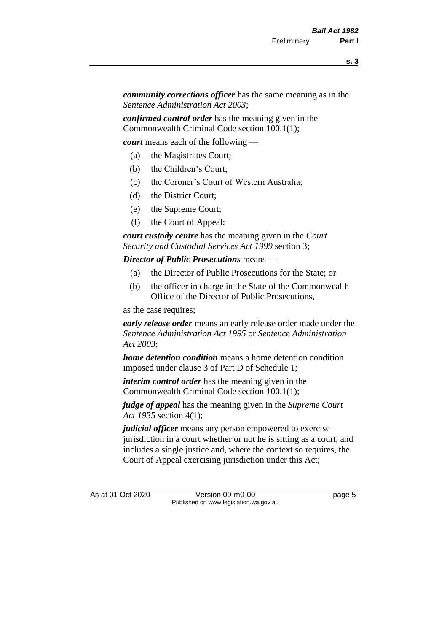*community corrections officer* has the same meaning as in the *Sentence Administration Act 2003*;

*confirmed control order* has the meaning given in the Commonwealth Criminal Code section 100.1(1);

*court* means each of the following —

- (a) the Magistrates Court;
- (b) the Children's Court;
- (c) the Coroner's Court of Western Australia;
- (d) the District Court;
- (e) the Supreme Court;
- (f) the Court of Appeal;

*court custody centre* has the meaning given in the *Court Security and Custodial Services Act 1999* section 3;

*Director of Public Prosecutions* means —

- (a) the Director of Public Prosecutions for the State; or
- (b) the officer in charge in the State of the Commonwealth Office of the Director of Public Prosecutions,

as the case requires;

*early release order* means an early release order made under the *Sentence Administration Act 1995* or *Sentence Administration Act 2003*;

*home detention condition* means a home detention condition imposed under clause 3 of Part D of Schedule 1;

*interim control order* has the meaning given in the Commonwealth Criminal Code section 100.1(1);

*judge of appeal* has the meaning given in the *Supreme Court Act 1935* section 4(1);

*judicial officer* means any person empowered to exercise jurisdiction in a court whether or not he is sitting as a court, and includes a single justice and, where the context so requires, the Court of Appeal exercising jurisdiction under this Act;

As at 01 Oct 2020 Version 09-m0-00 page 5 Published on www.legislation.wa.gov.au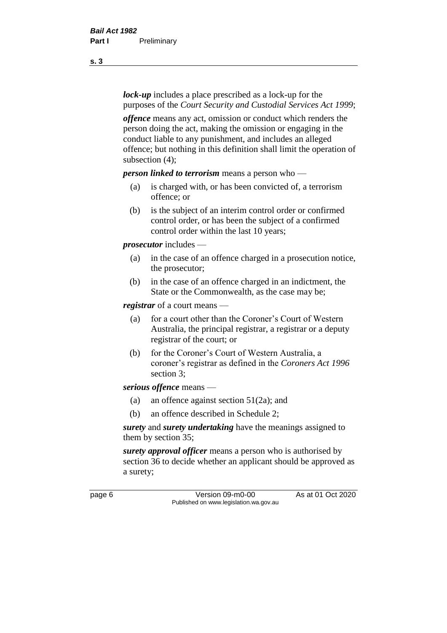*lock-up* includes a place prescribed as a lock-up for the purposes of the *Court Security and Custodial Services Act 1999*;

*offence* means any act, omission or conduct which renders the person doing the act, making the omission or engaging in the conduct liable to any punishment, and includes an alleged offence; but nothing in this definition shall limit the operation of subsection (4);

*person linked to terrorism* means a person who —

- (a) is charged with, or has been convicted of, a terrorism offence; or
- (b) is the subject of an interim control order or confirmed control order, or has been the subject of a confirmed control order within the last 10 years;

*prosecutor* includes —

- (a) in the case of an offence charged in a prosecution notice, the prosecutor;
- (b) in the case of an offence charged in an indictment, the State or the Commonwealth, as the case may be;

*registrar* of a court means —

- (a) for a court other than the Coroner's Court of Western Australia, the principal registrar, a registrar or a deputy registrar of the court; or
- (b) for the Coroner's Court of Western Australia, a coroner's registrar as defined in the *Coroners Act 1996* section 3;

*serious offence* means —

- (a) an offence against section 51(2a); and
- (b) an offence described in Schedule 2;

*surety* and *surety undertaking* have the meanings assigned to them by section 35;

*surety approval officer* means a person who is authorised by section 36 to decide whether an applicant should be approved as a surety;

page 6 Version 09-m0-00 As at 01 Oct 2020 Published on www.legislation.wa.gov.au

**s. 3**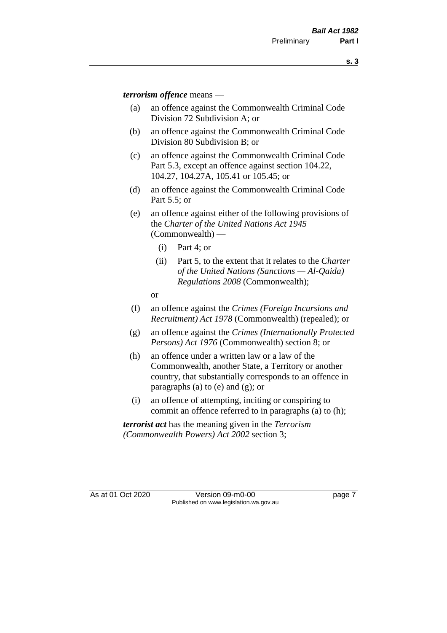*terrorism offence* means —

- (a) an offence against the Commonwealth Criminal Code Division 72 Subdivision A; or
- (b) an offence against the Commonwealth Criminal Code Division 80 Subdivision B; or
- (c) an offence against the Commonwealth Criminal Code Part 5.3, except an offence against section 104.22, 104.27, 104.27A, 105.41 or 105.45; or
- (d) an offence against the Commonwealth Criminal Code Part 5.5; or
- (e) an offence against either of the following provisions of the *Charter of the United Nations Act 1945*  (Commonwealth) —
	- (i) Part 4; or
	- (ii) Part 5, to the extent that it relates to the *Charter of the United Nations (Sanctions — Al-Qaida) Regulations 2008* (Commonwealth);
	- or
- (f) an offence against the *Crimes (Foreign Incursions and Recruitment) Act 1978* (Commonwealth) (repealed); or
- (g) an offence against the *Crimes (Internationally Protected Persons) Act 1976* (Commonwealth) section 8; or
- (h) an offence under a written law or a law of the Commonwealth, another State, a Territory or another country, that substantially corresponds to an offence in paragraphs (a) to (e) and (g); or
- (i) an offence of attempting, inciting or conspiring to commit an offence referred to in paragraphs (a) to (h);

*terrorist act* has the meaning given in the *Terrorism (Commonwealth Powers) Act 2002* section 3;

As at 01 Oct 2020 Version 09-m0-00 page 7 Published on www.legislation.wa.gov.au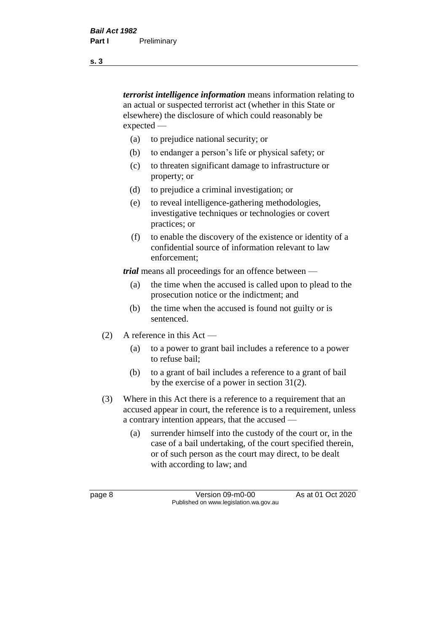*terrorist intelligence information* means information relating to an actual or suspected terrorist act (whether in this State or elsewhere) the disclosure of which could reasonably be expected —

- (a) to prejudice national security; or
- (b) to endanger a person's life or physical safety; or
- (c) to threaten significant damage to infrastructure or property; or
- (d) to prejudice a criminal investigation; or
- (e) to reveal intelligence-gathering methodologies, investigative techniques or technologies or covert practices; or
- (f) to enable the discovery of the existence or identity of a confidential source of information relevant to law enforcement;

*trial* means all proceedings for an offence between —

- (a) the time when the accused is called upon to plead to the prosecution notice or the indictment; and
- (b) the time when the accused is found not guilty or is sentenced.
- (2) A reference in this Act
	- (a) to a power to grant bail includes a reference to a power to refuse bail;
	- (b) to a grant of bail includes a reference to a grant of bail by the exercise of a power in section 31(2).
- (3) Where in this Act there is a reference to a requirement that an accused appear in court, the reference is to a requirement, unless a contrary intention appears, that the accused —
	- (a) surrender himself into the custody of the court or, in the case of a bail undertaking, of the court specified therein, or of such person as the court may direct, to be dealt with according to law; and

page 8 Version 09-m0-00 As at 01 Oct 2020 Published on www.legislation.wa.gov.au

**s. 3**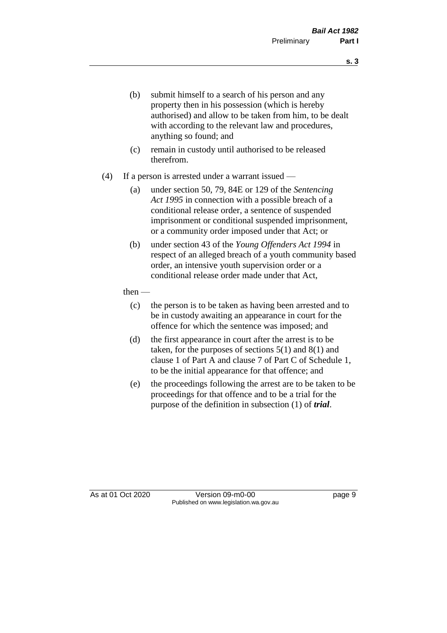- (b) submit himself to a search of his person and any property then in his possession (which is hereby authorised) and allow to be taken from him, to be dealt with according to the relevant law and procedures, anything so found; and
- (c) remain in custody until authorised to be released therefrom.
- (4) If a person is arrested under a warrant issued
	- (a) under section 50, 79, 84E or 129 of the *Sentencing Act 1995* in connection with a possible breach of a conditional release order, a sentence of suspended imprisonment or conditional suspended imprisonment, or a community order imposed under that Act; or
	- (b) under section 43 of the *Young Offenders Act 1994* in respect of an alleged breach of a youth community based order, an intensive youth supervision order or a conditional release order made under that Act,
	- then
		- (c) the person is to be taken as having been arrested and to be in custody awaiting an appearance in court for the offence for which the sentence was imposed; and
		- (d) the first appearance in court after the arrest is to be taken, for the purposes of sections  $5(1)$  and  $8(1)$  and clause 1 of Part A and clause 7 of Part C of Schedule 1, to be the initial appearance for that offence; and
		- (e) the proceedings following the arrest are to be taken to be proceedings for that offence and to be a trial for the purpose of the definition in subsection (1) of *trial*.

As at 01 Oct 2020 Version 09-m0-00 page 9 Published on www.legislation.wa.gov.au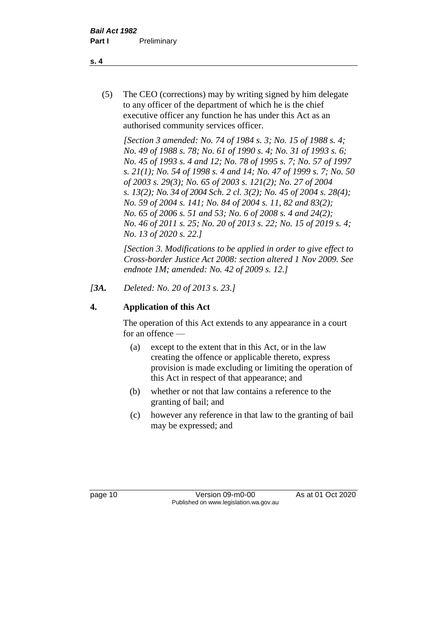(5) The CEO (corrections) may by writing signed by him delegate to any officer of the department of which he is the chief executive officer any function he has under this Act as an authorised community services officer.

*[Section 3 amended: No. 74 of 1984 s. 3; No. 15 of 1988 s. 4; No. 49 of 1988 s. 78; No. 61 of 1990 s. 4; No. 31 of 1993 s. 6; No. 45 of 1993 s. 4 and 12; No. 78 of 1995 s. 7; No. 57 of 1997 s. 21(1); No. 54 of 1998 s. 4 and 14; No. 47 of 1999 s. 7; No. 50 of 2003 s. 29(3); No. 65 of 2003 s. 121(2); No. 27 of 2004 s. 13(2); No. 34 of 2004 Sch. 2 cl. 3(2); No. 45 of 2004 s. 28(4); No. 59 of 2004 s. 141; No. 84 of 2004 s. 11, 82 and 83(2); No. 65 of 2006 s. 51 and 53; No. 6 of 2008 s. 4 and 24(2); No. 46 of 2011 s. 25; No. 20 of 2013 s. 22; No. 15 of 2019 s. 4; No. 13 of 2020 s. 22.]* 

*[Section 3. Modifications to be applied in order to give effect to Cross-border Justice Act 2008: section altered 1 Nov 2009. See endnote 1M; amended: No. 42 of 2009 s. 12.]*

*[3A. Deleted: No. 20 of 2013 s. 23.]*

## **4. Application of this Act**

The operation of this Act extends to any appearance in a court for an offence —

- (a) except to the extent that in this Act, or in the law creating the offence or applicable thereto, express provision is made excluding or limiting the operation of this Act in respect of that appearance; and
- (b) whether or not that law contains a reference to the granting of bail; and
- (c) however any reference in that law to the granting of bail may be expressed; and

page 10 Version 09-m0-00 As at 01 Oct 2020 Published on www.legislation.wa.gov.au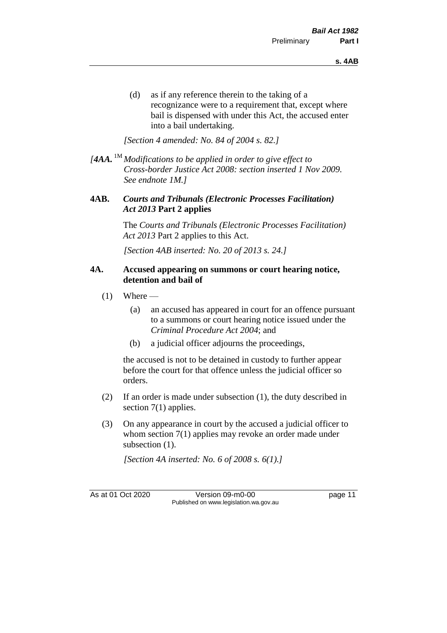(d) as if any reference therein to the taking of a recognizance were to a requirement that, except where bail is dispensed with under this Act, the accused enter into a bail undertaking.

*[Section 4 amended: No. 84 of 2004 s. 82.]*

*[4AA.* 1M *Modifications to be applied in order to give effect to Cross-border Justice Act 2008: section inserted 1 Nov 2009. See endnote 1M.]*

#### **4AB.** *Courts and Tribunals (Electronic Processes Facilitation) Act 2013* **Part 2 applies**

The *Courts and Tribunals (Electronic Processes Facilitation) Act 2013* Part 2 applies to this Act.

*[Section 4AB inserted: No. 20 of 2013 s. 24.]*

#### **4A. Accused appearing on summons or court hearing notice, detention and bail of**

- $(1)$  Where
	- (a) an accused has appeared in court for an offence pursuant to a summons or court hearing notice issued under the *Criminal Procedure Act 2004*; and
	- (b) a judicial officer adjourns the proceedings,

the accused is not to be detained in custody to further appear before the court for that offence unless the judicial officer so orders.

- (2) If an order is made under subsection (1), the duty described in section 7(1) applies.
- (3) On any appearance in court by the accused a judicial officer to whom section 7(1) applies may revoke an order made under subsection  $(1)$ .

*[Section 4A inserted: No. 6 of 2008 s. 6(1).]*

As at 01 Oct 2020 Version 09-m0-00 page 11 Published on www.legislation.wa.gov.au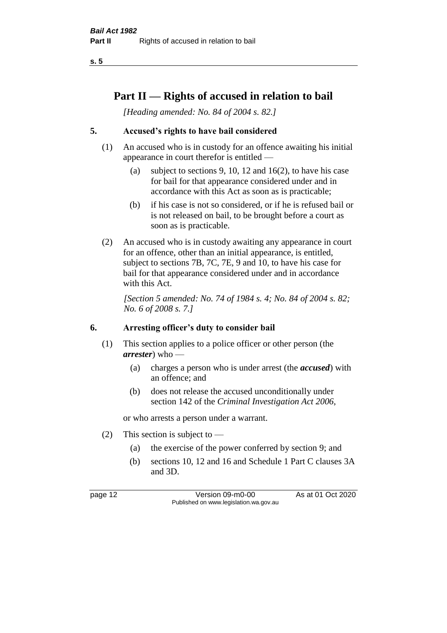**s. 5**

## **Part II — Rights of accused in relation to bail**

*[Heading amended: No. 84 of 2004 s. 82.]* 

## **5. Accused's rights to have bail considered**

- (1) An accused who is in custody for an offence awaiting his initial appearance in court therefor is entitled —
	- (a) subject to sections 9, 10, 12 and 16(2), to have his case for bail for that appearance considered under and in accordance with this Act as soon as is practicable;
	- (b) if his case is not so considered, or if he is refused bail or is not released on bail, to be brought before a court as soon as is practicable.
- (2) An accused who is in custody awaiting any appearance in court for an offence, other than an initial appearance, is entitled, subject to sections 7B, 7C, 7E, 9 and 10, to have his case for bail for that appearance considered under and in accordance with this Act.

*[Section 5 amended: No. 74 of 1984 s. 4; No. 84 of 2004 s. 82; No. 6 of 2008 s. 7.]* 

#### **6. Arresting officer's duty to consider bail**

- (1) This section applies to a police officer or other person (the *arrester*) who —
	- (a) charges a person who is under arrest (the *accused*) with an offence; and
	- (b) does not release the accused unconditionally under section 142 of the *Criminal Investigation Act 2006*,

or who arrests a person under a warrant.

- (2) This section is subject to
	- (a) the exercise of the power conferred by section 9; and
	- (b) sections 10, 12 and 16 and Schedule 1 Part C clauses 3A and 3D.

page 12 Version 09-m0-00 As at 01 Oct 2020 Published on www.legislation.wa.gov.au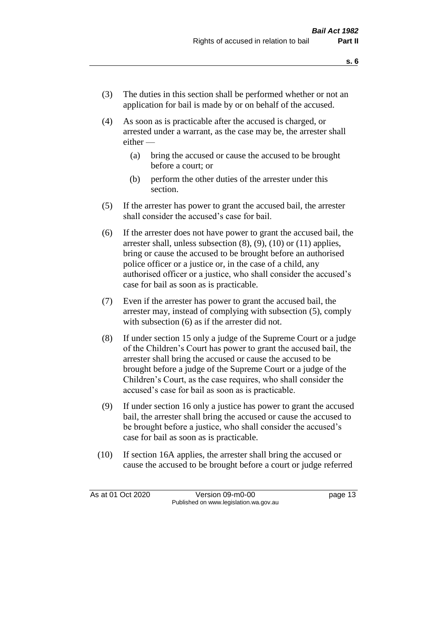- (3) The duties in this section shall be performed whether or not an application for bail is made by or on behalf of the accused.
- (4) As soon as is practicable after the accused is charged, or arrested under a warrant, as the case may be, the arrester shall either —
	- (a) bring the accused or cause the accused to be brought before a court; or
	- (b) perform the other duties of the arrester under this section.
- (5) If the arrester has power to grant the accused bail, the arrester shall consider the accused's case for bail.
- (6) If the arrester does not have power to grant the accused bail, the arrester shall, unless subsection (8), (9), (10) or (11) applies, bring or cause the accused to be brought before an authorised police officer or a justice or, in the case of a child, any authorised officer or a justice, who shall consider the accused's case for bail as soon as is practicable.
- (7) Even if the arrester has power to grant the accused bail, the arrester may, instead of complying with subsection (5), comply with subsection  $(6)$  as if the arrester did not.
- (8) If under section 15 only a judge of the Supreme Court or a judge of the Children's Court has power to grant the accused bail, the arrester shall bring the accused or cause the accused to be brought before a judge of the Supreme Court or a judge of the Children's Court, as the case requires, who shall consider the accused's case for bail as soon as is practicable.
- (9) If under section 16 only a justice has power to grant the accused bail, the arrester shall bring the accused or cause the accused to be brought before a justice, who shall consider the accused's case for bail as soon as is practicable.
- (10) If section 16A applies, the arrester shall bring the accused or cause the accused to be brought before a court or judge referred

As at 01 Oct 2020 Version 09-m0-00 page 13 Published on www.legislation.wa.gov.au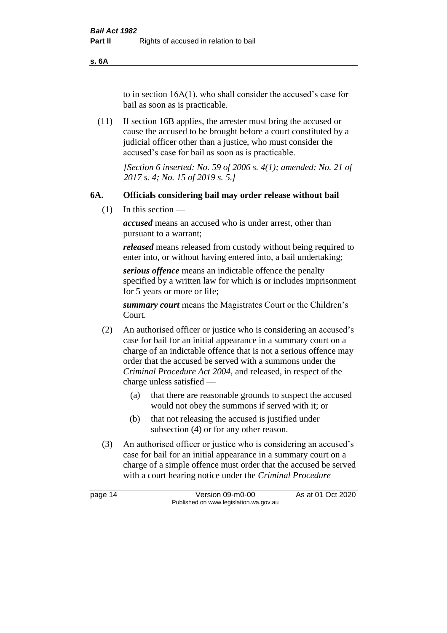**s. 6A**

to in section 16A(1), who shall consider the accused's case for bail as soon as is practicable.

(11) If section 16B applies, the arrester must bring the accused or cause the accused to be brought before a court constituted by a judicial officer other than a justice, who must consider the accused's case for bail as soon as is practicable.

> *[Section 6 inserted: No. 59 of 2006 s. 4(1); amended: No. 21 of 2017 s. 4; No. 15 of 2019 s. 5.]*

### **6A. Officials considering bail may order release without bail**

(1) In this section —

*accused* means an accused who is under arrest, other than pursuant to a warrant;

*released* means released from custody without being required to enter into, or without having entered into, a bail undertaking;

*serious offence* means an indictable offence the penalty specified by a written law for which is or includes imprisonment for 5 years or more or life;

*summary court* means the Magistrates Court or the Children's Court.

- (2) An authorised officer or justice who is considering an accused's case for bail for an initial appearance in a summary court on a charge of an indictable offence that is not a serious offence may order that the accused be served with a summons under the *Criminal Procedure Act 2004*, and released, in respect of the charge unless satisfied —
	- (a) that there are reasonable grounds to suspect the accused would not obey the summons if served with it; or
	- (b) that not releasing the accused is justified under subsection (4) or for any other reason.
- (3) An authorised officer or justice who is considering an accused's case for bail for an initial appearance in a summary court on a charge of a simple offence must order that the accused be served with a court hearing notice under the *Criminal Procedure*

page 14 Version 09-m0-00 As at 01 Oct 2020 Published on www.legislation.wa.gov.au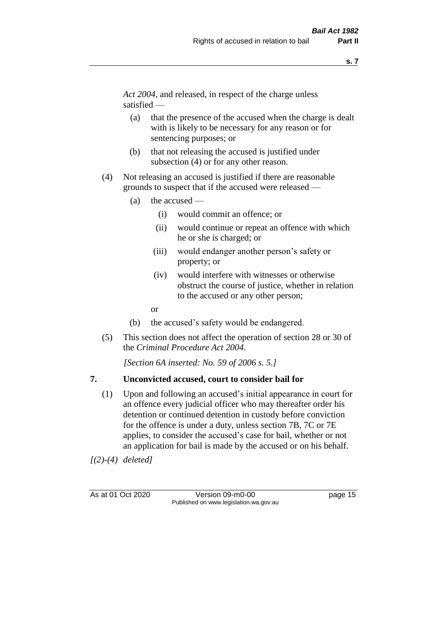*Act 2004*, and released, in respect of the charge unless satisfied —

- (a) that the presence of the accused when the charge is dealt with is likely to be necessary for any reason or for sentencing purposes; or
- (b) that not releasing the accused is justified under subsection (4) or for any other reason.
- (4) Not releasing an accused is justified if there are reasonable grounds to suspect that if the accused were released —
	- (a) the accused
		- (i) would commit an offence; or
		- (ii) would continue or repeat an offence with which he or she is charged; or
		- (iii) would endanger another person's safety or property; or
		- (iv) would interfere with witnesses or otherwise obstruct the course of justice, whether in relation to the accused or any other person;
		- or
	- (b) the accused's safety would be endangered.
- (5) This section does not affect the operation of section 28 or 30 of the *Criminal Procedure Act 2004*.

*[Section 6A inserted: No. 59 of 2006 s. 5.]* 

#### **7. Unconvicted accused, court to consider bail for**

(1) Upon and following an accused's initial appearance in court for an offence every judicial officer who may thereafter order his detention or continued detention in custody before conviction for the offence is under a duty, unless section 7B, 7C or 7E applies, to consider the accused's case for bail, whether or not an application for bail is made by the accused or on his behalf.

*[(2)-(4) deleted]*

As at 01 Oct 2020 Version 09-m0-00 page 15 Published on www.legislation.wa.gov.au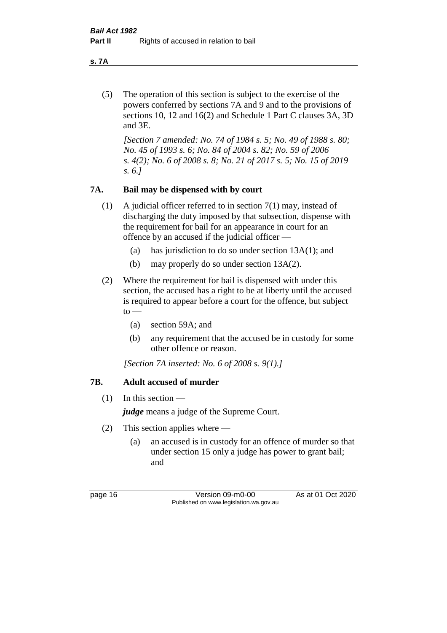**s. 7A**

(5) The operation of this section is subject to the exercise of the powers conferred by sections 7A and 9 and to the provisions of sections 10, 12 and 16(2) and Schedule 1 Part C clauses 3A, 3D and 3E.

*[Section 7 amended: No. 74 of 1984 s. 5; No. 49 of 1988 s. 80; No. 45 of 1993 s. 6; No. 84 of 2004 s. 82; No. 59 of 2006 s. 4(2); No. 6 of 2008 s. 8; No. 21 of 2017 s. 5; No. 15 of 2019 s. 6.]* 

## **7A. Bail may be dispensed with by court**

- (1) A judicial officer referred to in section 7(1) may, instead of discharging the duty imposed by that subsection, dispense with the requirement for bail for an appearance in court for an offence by an accused if the judicial officer —
	- (a) has jurisdiction to do so under section 13A(1); and
	- (b) may properly do so under section 13A(2).
- (2) Where the requirement for bail is dispensed with under this section, the accused has a right to be at liberty until the accused is required to appear before a court for the offence, but subject  $to -$ 
	- (a) section 59A; and
	- (b) any requirement that the accused be in custody for some other offence or reason.

*[Section 7A inserted: No. 6 of 2008 s. 9(1).]*

## **7B. Adult accused of murder**

 $(1)$  In this section —

*judge* means a judge of the Supreme Court.

- (2) This section applies where
	- (a) an accused is in custody for an offence of murder so that under section 15 only a judge has power to grant bail; and

page 16 Version 09-m0-00 As at 01 Oct 2020 Published on www.legislation.wa.gov.au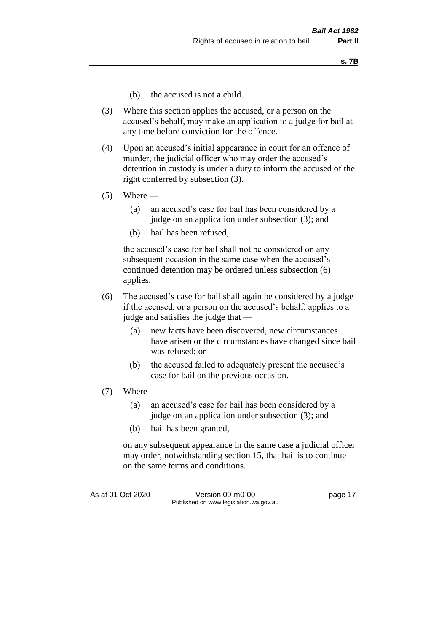- (b) the accused is not a child.
- (3) Where this section applies the accused, or a person on the accused's behalf, may make an application to a judge for bail at any time before conviction for the offence.
- (4) Upon an accused's initial appearance in court for an offence of murder, the judicial officer who may order the accused's detention in custody is under a duty to inform the accused of the right conferred by subsection (3).
- $(5)$  Where
	- (a) an accused's case for bail has been considered by a judge on an application under subsection (3); and
	- (b) bail has been refused,

the accused's case for bail shall not be considered on any subsequent occasion in the same case when the accused's continued detention may be ordered unless subsection (6) applies.

- (6) The accused's case for bail shall again be considered by a judge if the accused, or a person on the accused's behalf, applies to a judge and satisfies the judge that —
	- (a) new facts have been discovered, new circumstances have arisen or the circumstances have changed since bail was refused; or
	- (b) the accused failed to adequately present the accused's case for bail on the previous occasion.
- $(7)$  Where
	- (a) an accused's case for bail has been considered by a judge on an application under subsection (3); and
	- (b) bail has been granted,

on any subsequent appearance in the same case a judicial officer may order, notwithstanding section 15, that bail is to continue on the same terms and conditions.

As at 01 Oct 2020 Version 09-m0-00 page 17 Published on www.legislation.wa.gov.au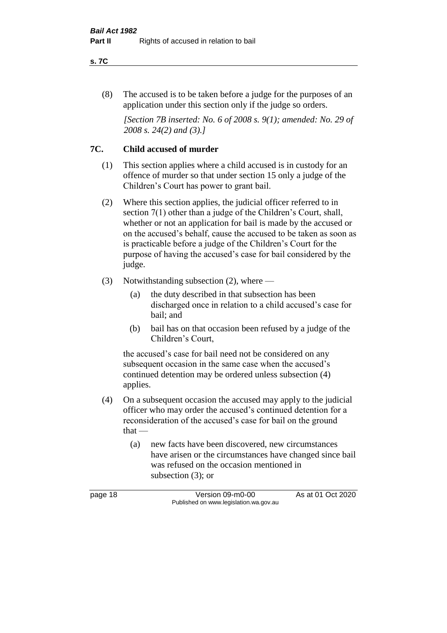#### **s. 7C**

(8) The accused is to be taken before a judge for the purposes of an application under this section only if the judge so orders.

*[Section 7B inserted: No. 6 of 2008 s. 9(1); amended: No. 29 of 2008 s. 24(2) and (3).]*

## **7C. Child accused of murder**

- (1) This section applies where a child accused is in custody for an offence of murder so that under section 15 only a judge of the Children's Court has power to grant bail.
- (2) Where this section applies, the judicial officer referred to in section 7(1) other than a judge of the Children's Court, shall, whether or not an application for bail is made by the accused or on the accused's behalf, cause the accused to be taken as soon as is practicable before a judge of the Children's Court for the purpose of having the accused's case for bail considered by the judge.
- (3) Notwithstanding subsection (2), where
	- (a) the duty described in that subsection has been discharged once in relation to a child accused's case for bail; and
	- (b) bail has on that occasion been refused by a judge of the Children's Court,

the accused's case for bail need not be considered on any subsequent occasion in the same case when the accused's continued detention may be ordered unless subsection (4) applies.

- (4) On a subsequent occasion the accused may apply to the judicial officer who may order the accused's continued detention for a reconsideration of the accused's case for bail on the ground that —
	- (a) new facts have been discovered, new circumstances have arisen or the circumstances have changed since bail was refused on the occasion mentioned in subsection (3); or

page 18 Version 09-m0-00 As at 01 Oct 2020 Published on www.legislation.wa.gov.au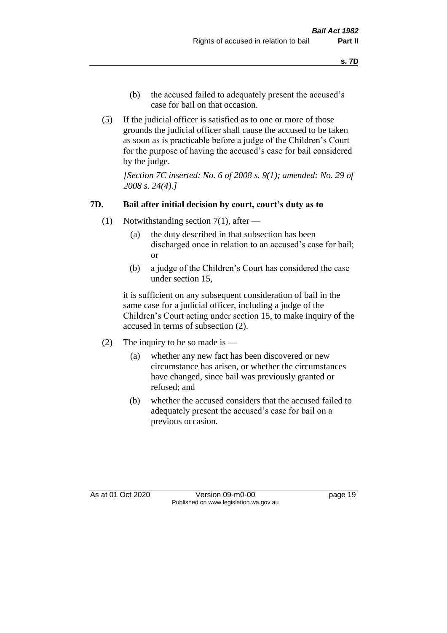- (b) the accused failed to adequately present the accused's case for bail on that occasion.
- (5) If the judicial officer is satisfied as to one or more of those grounds the judicial officer shall cause the accused to be taken as soon as is practicable before a judge of the Children's Court for the purpose of having the accused's case for bail considered by the judge.

*[Section 7C inserted: No. 6 of 2008 s. 9(1); amended: No. 29 of 2008 s. 24(4).]*

### **7D. Bail after initial decision by court, court's duty as to**

- (1) Notwithstanding section 7(1), after
	- (a) the duty described in that subsection has been discharged once in relation to an accused's case for bail; or
	- (b) a judge of the Children's Court has considered the case under section 15,

it is sufficient on any subsequent consideration of bail in the same case for a judicial officer, including a judge of the Children's Court acting under section 15, to make inquiry of the accused in terms of subsection (2).

- (2) The inquiry to be so made is  $-$ 
	- (a) whether any new fact has been discovered or new circumstance has arisen, or whether the circumstances have changed, since bail was previously granted or refused; and
	- (b) whether the accused considers that the accused failed to adequately present the accused's case for bail on a previous occasion.

As at 01 Oct 2020 Version 09-m0-00 page 19 Published on www.legislation.wa.gov.au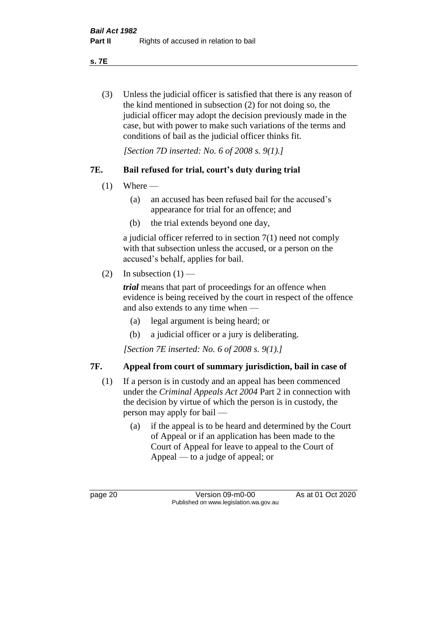**s. 7E**

(3) Unless the judicial officer is satisfied that there is any reason of the kind mentioned in subsection (2) for not doing so, the judicial officer may adopt the decision previously made in the case, but with power to make such variations of the terms and conditions of bail as the judicial officer thinks fit.

*[Section 7D inserted: No. 6 of 2008 s. 9(1).]*

## **7E. Bail refused for trial, court's duty during trial**

- $(1)$  Where
	- (a) an accused has been refused bail for the accused's appearance for trial for an offence; and
	- (b) the trial extends beyond one day,

a judicial officer referred to in section 7(1) need not comply with that subsection unless the accused, or a person on the accused's behalf, applies for bail.

(2) In subsection  $(1)$  —

*trial* means that part of proceedings for an offence when evidence is being received by the court in respect of the offence and also extends to any time when —

- (a) legal argument is being heard; or
- (b) a judicial officer or a jury is deliberating.

*[Section 7E inserted: No. 6 of 2008 s. 9(1).]*

## **7F. Appeal from court of summary jurisdiction, bail in case of**

- (1) If a person is in custody and an appeal has been commenced under the *Criminal Appeals Act 2004* Part 2 in connection with the decision by virtue of which the person is in custody, the person may apply for bail —
	- (a) if the appeal is to be heard and determined by the Court of Appeal or if an application has been made to the Court of Appeal for leave to appeal to the Court of Appeal — to a judge of appeal; or

page 20 Version 09-m0-00 As at 01 Oct 2020 Published on www.legislation.wa.gov.au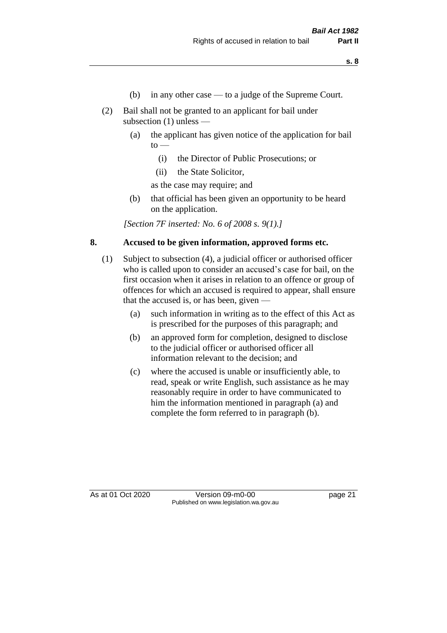- (b) in any other case to a judge of the Supreme Court.
- (2) Bail shall not be granted to an applicant for bail under subsection (1) unless —
	- (a) the applicant has given notice of the application for bail  $\mathrm{to}$  —
		- (i) the Director of Public Prosecutions; or
		- (ii) the State Solicitor,

as the case may require; and

(b) that official has been given an opportunity to be heard on the application.

*[Section 7F inserted: No. 6 of 2008 s. 9(1).]*

#### **8. Accused to be given information, approved forms etc.**

- (1) Subject to subsection (4), a judicial officer or authorised officer who is called upon to consider an accused's case for bail, on the first occasion when it arises in relation to an offence or group of offences for which an accused is required to appear, shall ensure that the accused is, or has been, given —
	- (a) such information in writing as to the effect of this Act as is prescribed for the purposes of this paragraph; and
	- (b) an approved form for completion, designed to disclose to the judicial officer or authorised officer all information relevant to the decision; and
	- (c) where the accused is unable or insufficiently able, to read, speak or write English, such assistance as he may reasonably require in order to have communicated to him the information mentioned in paragraph (a) and complete the form referred to in paragraph (b).

As at 01 Oct 2020 Version 09-m0-00 page 21 Published on www.legislation.wa.gov.au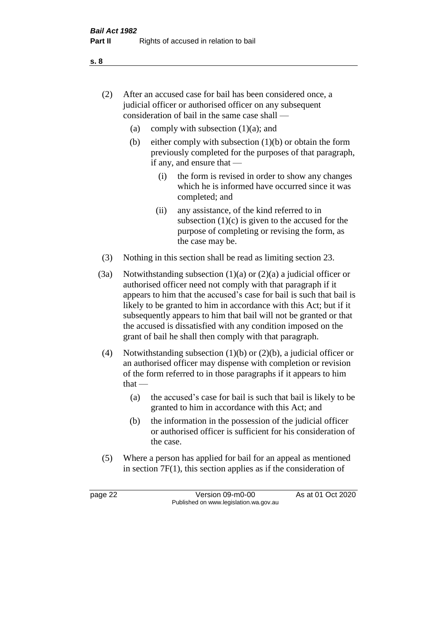- (2) After an accused case for bail has been considered once, a judicial officer or authorised officer on any subsequent consideration of bail in the same case shall —
	- (a) comply with subsection  $(1)(a)$ ; and
	- (b) either comply with subsection  $(1)(b)$  or obtain the form previously completed for the purposes of that paragraph, if any, and ensure that —
		- (i) the form is revised in order to show any changes which he is informed have occurred since it was completed; and
		- (ii) any assistance, of the kind referred to in subsection  $(1)(c)$  is given to the accused for the purpose of completing or revising the form, as the case may be.
- (3) Nothing in this section shall be read as limiting section 23.
- (3a) Notwithstanding subsection  $(1)(a)$  or  $(2)(a)$  a judicial officer or authorised officer need not comply with that paragraph if it appears to him that the accused's case for bail is such that bail is likely to be granted to him in accordance with this Act; but if it subsequently appears to him that bail will not be granted or that the accused is dissatisfied with any condition imposed on the grant of bail he shall then comply with that paragraph.
- (4) Notwithstanding subsection (1)(b) or (2)(b), a judicial officer or an authorised officer may dispense with completion or revision of the form referred to in those paragraphs if it appears to him  $that -$ 
	- (a) the accused's case for bail is such that bail is likely to be granted to him in accordance with this Act; and
	- (b) the information in the possession of the judicial officer or authorised officer is sufficient for his consideration of the case.
- (5) Where a person has applied for bail for an appeal as mentioned in section 7F(1), this section applies as if the consideration of

page 22 Version 09-m0-00 As at 01 Oct 2020 Published on www.legislation.wa.gov.au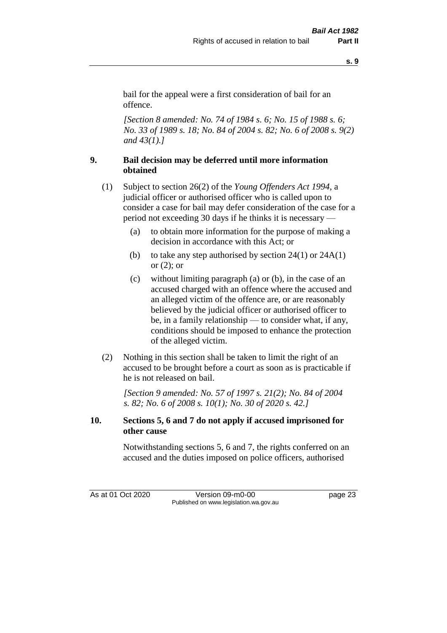**s. 9**

bail for the appeal were a first consideration of bail for an offence.

*[Section 8 amended: No. 74 of 1984 s. 6; No. 15 of 1988 s. 6; No. 33 of 1989 s. 18; No. 84 of 2004 s. 82; No. 6 of 2008 s. 9(2) and 43(1).]* 

## **9. Bail decision may be deferred until more information obtained**

- (1) Subject to section 26(2) of the *Young Offenders Act 1994*, a judicial officer or authorised officer who is called upon to consider a case for bail may defer consideration of the case for a period not exceeding 30 days if he thinks it is necessary —
	- (a) to obtain more information for the purpose of making a decision in accordance with this Act; or
	- (b) to take any step authorised by section  $24(1)$  or  $24A(1)$ or (2); or
	- (c) without limiting paragraph (a) or (b), in the case of an accused charged with an offence where the accused and an alleged victim of the offence are, or are reasonably believed by the judicial officer or authorised officer to be, in a family relationship — to consider what, if any, conditions should be imposed to enhance the protection of the alleged victim.
- (2) Nothing in this section shall be taken to limit the right of an accused to be brought before a court as soon as is practicable if he is not released on bail.

*[Section 9 amended: No. 57 of 1997 s. 21(2); No. 84 of 2004 s. 82; No. 6 of 2008 s. 10(1); No. 30 of 2020 s. 42.]*

## **10. Sections 5, 6 and 7 do not apply if accused imprisoned for other cause**

Notwithstanding sections 5, 6 and 7, the rights conferred on an accused and the duties imposed on police officers, authorised

As at 01 Oct 2020 Version 09-m0-00 page 23 Published on www.legislation.wa.gov.au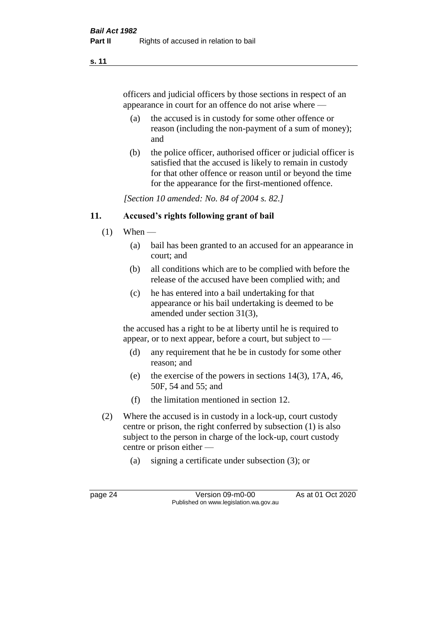#### **s. 11**

officers and judicial officers by those sections in respect of an appearance in court for an offence do not arise where —

- (a) the accused is in custody for some other offence or reason (including the non-payment of a sum of money); and
- (b) the police officer, authorised officer or judicial officer is satisfied that the accused is likely to remain in custody for that other offence or reason until or beyond the time for the appearance for the first-mentioned offence.

*[Section 10 amended: No. 84 of 2004 s. 82.]*

### **11. Accused's rights following grant of bail**

- $(1)$  When
	- (a) bail has been granted to an accused for an appearance in court; and
	- (b) all conditions which are to be complied with before the release of the accused have been complied with; and
	- (c) he has entered into a bail undertaking for that appearance or his bail undertaking is deemed to be amended under section 31(3),

the accused has a right to be at liberty until he is required to appear, or to next appear, before a court, but subject to —

- (d) any requirement that he be in custody for some other reason; and
- (e) the exercise of the powers in sections 14(3), 17A, 46, 50F, 54 and 55; and
- (f) the limitation mentioned in section 12.
- (2) Where the accused is in custody in a lock-up, court custody centre or prison, the right conferred by subsection (1) is also subject to the person in charge of the lock-up, court custody centre or prison either —
	- (a) signing a certificate under subsection (3); or

page 24 Version 09-m0-00 As at 01 Oct 2020 Published on www.legislation.wa.gov.au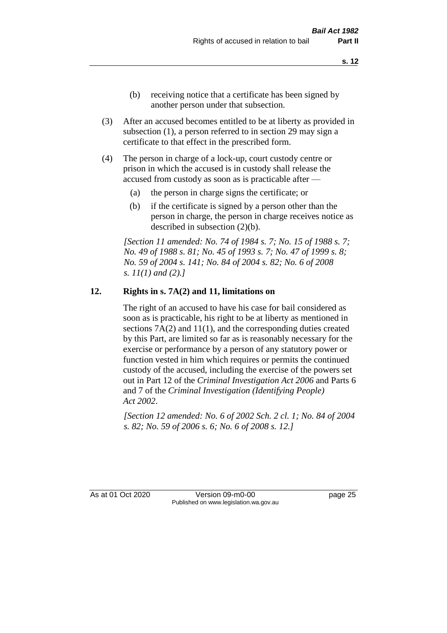- (b) receiving notice that a certificate has been signed by another person under that subsection.
- (3) After an accused becomes entitled to be at liberty as provided in subsection (1), a person referred to in section 29 may sign a certificate to that effect in the prescribed form.
- (4) The person in charge of a lock-up, court custody centre or prison in which the accused is in custody shall release the accused from custody as soon as is practicable after —
	- (a) the person in charge signs the certificate; or
	- (b) if the certificate is signed by a person other than the person in charge, the person in charge receives notice as described in subsection (2)(b).

*[Section 11 amended: No. 74 of 1984 s. 7; No. 15 of 1988 s. 7; No. 49 of 1988 s. 81; No. 45 of 1993 s. 7; No. 47 of 1999 s. 8; No. 59 of 2004 s. 141; No. 84 of 2004 s. 82; No. 6 of 2008 s. 11(1) and (2).]* 

#### **12. Rights in s. 7A(2) and 11, limitations on**

The right of an accused to have his case for bail considered as soon as is practicable, his right to be at liberty as mentioned in sections 7A(2) and 11(1), and the corresponding duties created by this Part, are limited so far as is reasonably necessary for the exercise or performance by a person of any statutory power or function vested in him which requires or permits the continued custody of the accused, including the exercise of the powers set out in Part 12 of the *Criminal Investigation Act 2006* and Parts 6 and 7 of the *Criminal Investigation (Identifying People) Act 2002*.

*[Section 12 amended: No. 6 of 2002 Sch. 2 cl. 1; No. 84 of 2004 s. 82; No. 59 of 2006 s. 6; No. 6 of 2008 s. 12.]*

As at 01 Oct 2020 Version 09-m0-00 page 25 Published on www.legislation.wa.gov.au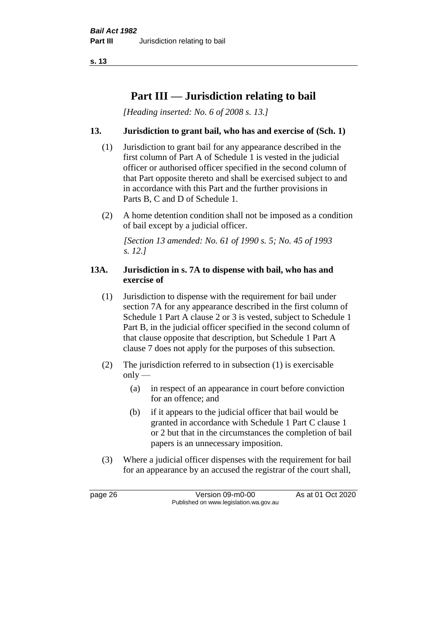**s. 13**

## **Part III — Jurisdiction relating to bail**

*[Heading inserted: No. 6 of 2008 s. 13.]*

## **13. Jurisdiction to grant bail, who has and exercise of (Sch. 1)**

- (1) Jurisdiction to grant bail for any appearance described in the first column of Part A of Schedule 1 is vested in the judicial officer or authorised officer specified in the second column of that Part opposite thereto and shall be exercised subject to and in accordance with this Part and the further provisions in Parts B, C and D of Schedule 1.
- (2) A home detention condition shall not be imposed as a condition of bail except by a judicial officer.

*[Section 13 amended: No. 61 of 1990 s. 5; No. 45 of 1993 s. 12.]* 

#### **13A. Jurisdiction in s. 7A to dispense with bail, who has and exercise of**

- (1) Jurisdiction to dispense with the requirement for bail under section 7A for any appearance described in the first column of Schedule 1 Part A clause 2 or 3 is vested, subject to Schedule 1 Part B, in the judicial officer specified in the second column of that clause opposite that description, but Schedule 1 Part A clause 7 does not apply for the purposes of this subsection.
- (2) The jurisdiction referred to in subsection (1) is exercisable  $only$ —
	- (a) in respect of an appearance in court before conviction for an offence; and
	- (b) if it appears to the judicial officer that bail would be granted in accordance with Schedule 1 Part C clause 1 or 2 but that in the circumstances the completion of bail papers is an unnecessary imposition.
- (3) Where a judicial officer dispenses with the requirement for bail for an appearance by an accused the registrar of the court shall,

page 26 Version 09-m0-00 As at 01 Oct 2020 Published on www.legislation.wa.gov.au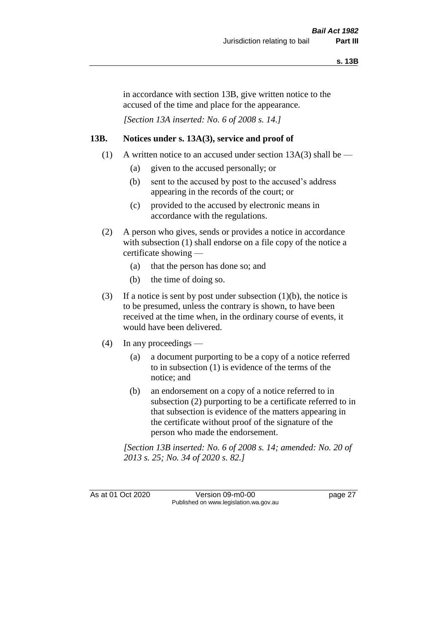in accordance with section 13B, give written notice to the accused of the time and place for the appearance.

*[Section 13A inserted: No. 6 of 2008 s. 14.]*

## **13B. Notices under s. 13A(3), service and proof of**

- (1) A written notice to an accused under section  $13A(3)$  shall be
	- (a) given to the accused personally; or
	- (b) sent to the accused by post to the accused's address appearing in the records of the court; or
	- (c) provided to the accused by electronic means in accordance with the regulations.
- (2) A person who gives, sends or provides a notice in accordance with subsection (1) shall endorse on a file copy of the notice a certificate showing —
	- (a) that the person has done so; and
	- (b) the time of doing so.
- (3) If a notice is sent by post under subsection  $(1)(b)$ , the notice is to be presumed, unless the contrary is shown, to have been received at the time when, in the ordinary course of events, it would have been delivered.
- (4) In any proceedings
	- (a) a document purporting to be a copy of a notice referred to in subsection (1) is evidence of the terms of the notice; and
	- (b) an endorsement on a copy of a notice referred to in subsection (2) purporting to be a certificate referred to in that subsection is evidence of the matters appearing in the certificate without proof of the signature of the person who made the endorsement.

*[Section 13B inserted: No. 6 of 2008 s. 14; amended: No. 20 of 2013 s. 25; No. 34 of 2020 s. 82.]*

As at 01 Oct 2020 Version 09-m0-00 page 27 Published on www.legislation.wa.gov.au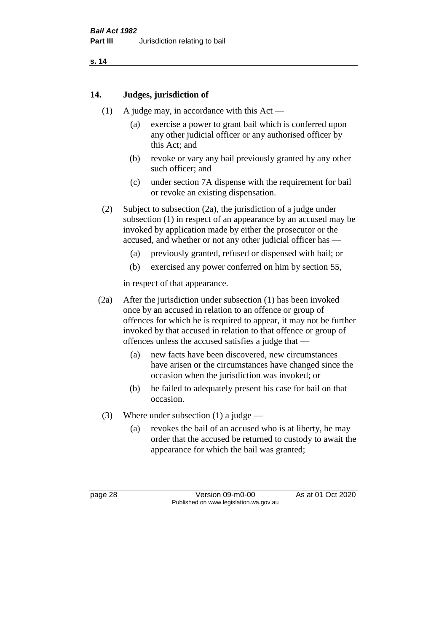## **14. Judges, jurisdiction of**

- (1) A judge may, in accordance with this Act
	- (a) exercise a power to grant bail which is conferred upon any other judicial officer or any authorised officer by this Act; and
	- (b) revoke or vary any bail previously granted by any other such officer; and
	- (c) under section 7A dispense with the requirement for bail or revoke an existing dispensation.
- (2) Subject to subsection (2a), the jurisdiction of a judge under subsection (1) in respect of an appearance by an accused may be invoked by application made by either the prosecutor or the accused, and whether or not any other judicial officer has —
	- (a) previously granted, refused or dispensed with bail; or
	- (b) exercised any power conferred on him by section 55,

in respect of that appearance.

- (2a) After the jurisdiction under subsection (1) has been invoked once by an accused in relation to an offence or group of offences for which he is required to appear, it may not be further invoked by that accused in relation to that offence or group of offences unless the accused satisfies a judge that —
	- (a) new facts have been discovered, new circumstances have arisen or the circumstances have changed since the occasion when the jurisdiction was invoked; or
	- (b) he failed to adequately present his case for bail on that occasion.
- (3) Where under subsection (1) a judge
	- (a) revokes the bail of an accused who is at liberty, he may order that the accused be returned to custody to await the appearance for which the bail was granted;

page 28 Version 09-m0-00 As at 01 Oct 2020 Published on www.legislation.wa.gov.au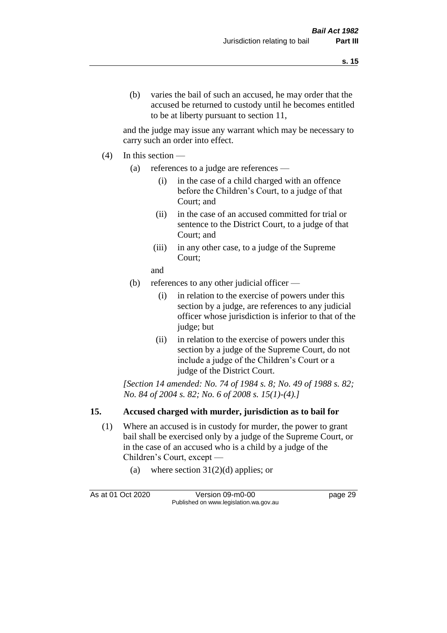and the judge may issue any warrant which may be necessary to carry such an order into effect.

- (4) In this section
	- (a) references to a judge are references
		- (i) in the case of a child charged with an offence before the Children's Court, to a judge of that Court; and
		- (ii) in the case of an accused committed for trial or sentence to the District Court, to a judge of that Court; and
		- (iii) in any other case, to a judge of the Supreme Court;
		- and
	- (b) references to any other judicial officer
		- (i) in relation to the exercise of powers under this section by a judge, are references to any judicial officer whose jurisdiction is inferior to that of the judge; but
		- (ii) in relation to the exercise of powers under this section by a judge of the Supreme Court, do not include a judge of the Children's Court or a judge of the District Court.

*[Section 14 amended: No. 74 of 1984 s. 8; No. 49 of 1988 s. 82; No. 84 of 2004 s. 82; No. 6 of 2008 s. 15(1)-(4).]* 

## **15. Accused charged with murder, jurisdiction as to bail for**

- (1) Where an accused is in custody for murder, the power to grant bail shall be exercised only by a judge of the Supreme Court, or in the case of an accused who is a child by a judge of the Children's Court, except —
	- (a) where section  $31(2)(d)$  applies; or

As at 01 Oct 2020 Version 09-m0-00 page 29 Published on www.legislation.wa.gov.au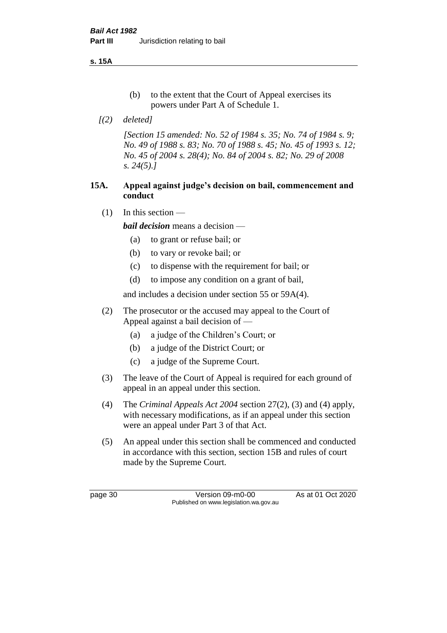**s. 15A**

- (b) to the extent that the Court of Appeal exercises its powers under Part A of Schedule 1.
- *[(2) deleted]*

*[Section 15 amended: No. 52 of 1984 s. 35; No. 74 of 1984 s. 9; No. 49 of 1988 s. 83; No. 70 of 1988 s. 45; No. 45 of 1993 s. 12; No. 45 of 2004 s. 28(4); No. 84 of 2004 s. 82; No. 29 of 2008 s. 24(5).]* 

## **15A. Appeal against judge's decision on bail, commencement and conduct**

 $(1)$  In this section —

*bail decision* means a decision —

- (a) to grant or refuse bail; or
- (b) to vary or revoke bail; or
- (c) to dispense with the requirement for bail; or
- (d) to impose any condition on a grant of bail,

and includes a decision under section 55 or 59A(4).

- (2) The prosecutor or the accused may appeal to the Court of Appeal against a bail decision of —
	- (a) a judge of the Children's Court; or
	- (b) a judge of the District Court; or
	- (c) a judge of the Supreme Court.
- (3) The leave of the Court of Appeal is required for each ground of appeal in an appeal under this section.
- (4) The *Criminal Appeals Act 2004* section 27(2), (3) and (4) apply, with necessary modifications, as if an appeal under this section were an appeal under Part 3 of that Act.
- (5) An appeal under this section shall be commenced and conducted in accordance with this section, section 15B and rules of court made by the Supreme Court.

page 30 Version 09-m0-00 As at 01 Oct 2020 Published on www.legislation.wa.gov.au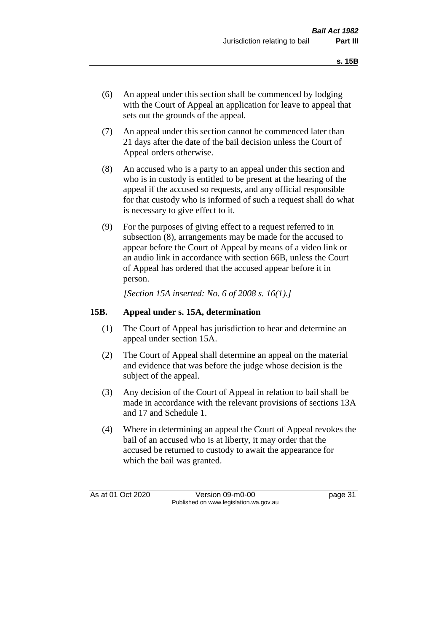- (6) An appeal under this section shall be commenced by lodging with the Court of Appeal an application for leave to appeal that sets out the grounds of the appeal.
- (7) An appeal under this section cannot be commenced later than 21 days after the date of the bail decision unless the Court of Appeal orders otherwise.
- (8) An accused who is a party to an appeal under this section and who is in custody is entitled to be present at the hearing of the appeal if the accused so requests, and any official responsible for that custody who is informed of such a request shall do what is necessary to give effect to it.
- (9) For the purposes of giving effect to a request referred to in subsection (8), arrangements may be made for the accused to appear before the Court of Appeal by means of a video link or an audio link in accordance with section 66B, unless the Court of Appeal has ordered that the accused appear before it in person.

*[Section 15A inserted: No. 6 of 2008 s. 16(1).]*

## **15B. Appeal under s. 15A, determination**

- (1) The Court of Appeal has jurisdiction to hear and determine an appeal under section 15A.
- (2) The Court of Appeal shall determine an appeal on the material and evidence that was before the judge whose decision is the subject of the appeal.
- (3) Any decision of the Court of Appeal in relation to bail shall be made in accordance with the relevant provisions of sections 13A and 17 and Schedule 1.
- (4) Where in determining an appeal the Court of Appeal revokes the bail of an accused who is at liberty, it may order that the accused be returned to custody to await the appearance for which the bail was granted.

As at 01 Oct 2020 Version 09-m0-00 page 31 Published on www.legislation.wa.gov.au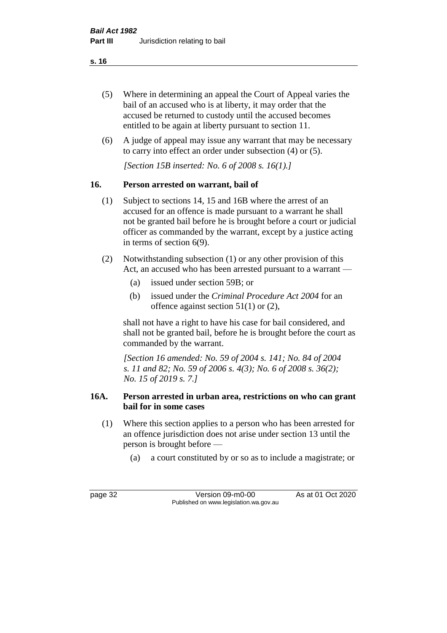- (5) Where in determining an appeal the Court of Appeal varies the bail of an accused who is at liberty, it may order that the accused be returned to custody until the accused becomes entitled to be again at liberty pursuant to section 11.
- (6) A judge of appeal may issue any warrant that may be necessary to carry into effect an order under subsection (4) or (5).

*[Section 15B inserted: No. 6 of 2008 s. 16(1).]*

# **16. Person arrested on warrant, bail of**

- (1) Subject to sections 14, 15 and 16B where the arrest of an accused for an offence is made pursuant to a warrant he shall not be granted bail before he is brought before a court or judicial officer as commanded by the warrant, except by a justice acting in terms of section 6(9).
- (2) Notwithstanding subsection (1) or any other provision of this Act, an accused who has been arrested pursuant to a warrant —
	- (a) issued under section 59B; or
	- (b) issued under the *Criminal Procedure Act 2004* for an offence against section 51(1) or (2),

shall not have a right to have his case for bail considered, and shall not be granted bail, before he is brought before the court as commanded by the warrant.

*[Section 16 amended: No. 59 of 2004 s. 141; No. 84 of 2004 s. 11 and 82; No. 59 of 2006 s. 4(3); No. 6 of 2008 s. 36(2); No. 15 of 2019 s. 7.]*

## **16A. Person arrested in urban area, restrictions on who can grant bail for in some cases**

- (1) Where this section applies to a person who has been arrested for an offence jurisdiction does not arise under section 13 until the person is brought before —
	- (a) a court constituted by or so as to include a magistrate; or

page 32 Version 09-m0-00 As at 01 Oct 2020 Published on www.legislation.wa.gov.au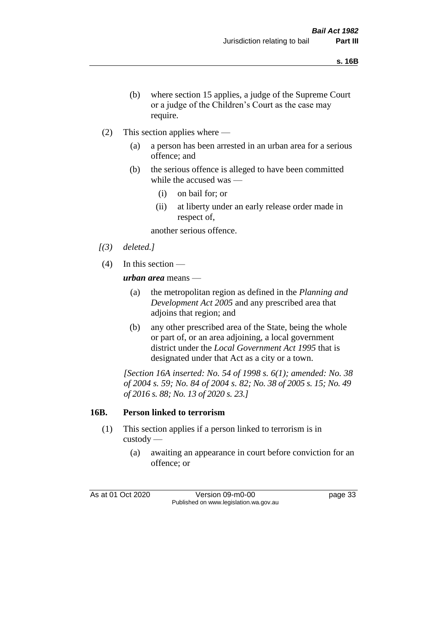- (b) where section 15 applies, a judge of the Supreme Court or a judge of the Children's Court as the case may require.
- (2) This section applies where
	- (a) a person has been arrested in an urban area for a serious offence; and
	- (b) the serious offence is alleged to have been committed while the accused was —
		- (i) on bail for; or
		- (ii) at liberty under an early release order made in respect of,

another serious offence.

- *[(3) deleted.]*
- (4) In this section —

*urban area* means —

- (a) the metropolitan region as defined in the *Planning and Development Act 2005* and any prescribed area that adjoins that region; and
- (b) any other prescribed area of the State, being the whole or part of, or an area adjoining, a local government district under the *Local Government Act 1995* that is designated under that Act as a city or a town.

*[Section 16A inserted: No. 54 of 1998 s. 6(1); amended: No. 38 of 2004 s. 59; No. 84 of 2004 s. 82; No. 38 of 2005 s. 15; No. 49 of 2016 s. 88; No. 13 of 2020 s. 23.]*

## **16B. Person linked to terrorism**

- (1) This section applies if a person linked to terrorism is in custody —
	- (a) awaiting an appearance in court before conviction for an offence; or

As at 01 Oct 2020 Version 09-m0-00 page 33 Published on www.legislation.wa.gov.au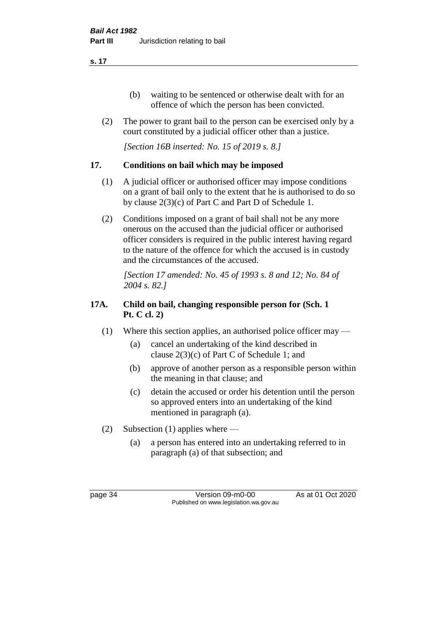- (b) waiting to be sentenced or otherwise dealt with for an offence of which the person has been convicted.
- (2) The power to grant bail to the person can be exercised only by a court constituted by a judicial officer other than a justice.

*[Section 16B inserted: No. 15 of 2019 s. 8.]*

# **17. Conditions on bail which may be imposed**

- (1) A judicial officer or authorised officer may impose conditions on a grant of bail only to the extent that he is authorised to do so by clause 2(3)(c) of Part C and Part D of Schedule 1.
- (2) Conditions imposed on a grant of bail shall not be any more onerous on the accused than the judicial officer or authorised officer considers is required in the public interest having regard to the nature of the offence for which the accused is in custody and the circumstances of the accused.

*[Section 17 amended: No. 45 of 1993 s. 8 and 12; No. 84 of 2004 s. 82.]* 

# **17A. Child on bail, changing responsible person for (Sch. 1 Pt. C cl. 2)**

- (1) Where this section applies, an authorised police officer may
	- (a) cancel an undertaking of the kind described in clause 2(3)(c) of Part C of Schedule 1; and
	- (b) approve of another person as a responsible person within the meaning in that clause; and
	- (c) detain the accused or order his detention until the person so approved enters into an undertaking of the kind mentioned in paragraph (a).
- (2) Subsection (1) applies where
	- (a) a person has entered into an undertaking referred to in paragraph (a) of that subsection; and

page 34 Version 09-m0-00 As at 01 Oct 2020 Published on www.legislation.wa.gov.au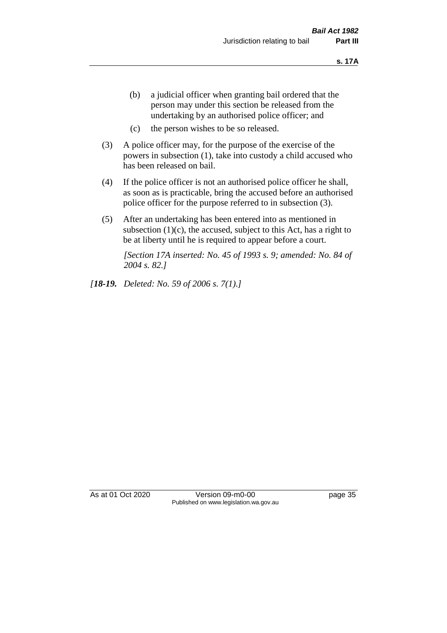- (b) a judicial officer when granting bail ordered that the person may under this section be released from the undertaking by an authorised police officer; and
- (c) the person wishes to be so released.
- (3) A police officer may, for the purpose of the exercise of the powers in subsection (1), take into custody a child accused who has been released on bail.
- (4) If the police officer is not an authorised police officer he shall, as soon as is practicable, bring the accused before an authorised police officer for the purpose referred to in subsection (3).
- (5) After an undertaking has been entered into as mentioned in subsection  $(1)(c)$ , the accused, subject to this Act, has a right to be at liberty until he is required to appear before a court.

*[Section 17A inserted: No. 45 of 1993 s. 9; amended: No. 84 of 2004 s. 82.]* 

*[18-19. Deleted: No. 59 of 2006 s. 7(1).]*

As at 01 Oct 2020 Version 09-m0-00 page 35 Published on www.legislation.wa.gov.au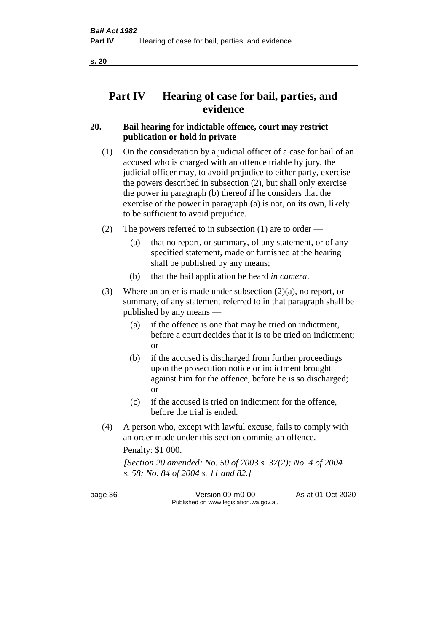# **Part IV — Hearing of case for bail, parties, and evidence**

## **20. Bail hearing for indictable offence, court may restrict publication or hold in private**

- (1) On the consideration by a judicial officer of a case for bail of an accused who is charged with an offence triable by jury, the judicial officer may, to avoid prejudice to either party, exercise the powers described in subsection (2), but shall only exercise the power in paragraph (b) thereof if he considers that the exercise of the power in paragraph (a) is not, on its own, likely to be sufficient to avoid prejudice.
- (2) The powers referred to in subsection (1) are to order
	- (a) that no report, or summary, of any statement, or of any specified statement, made or furnished at the hearing shall be published by any means;
	- (b) that the bail application be heard *in camera*.
- (3) Where an order is made under subsection (2)(a), no report, or summary, of any statement referred to in that paragraph shall be published by any means —
	- (a) if the offence is one that may be tried on indictment, before a court decides that it is to be tried on indictment; or
	- (b) if the accused is discharged from further proceedings upon the prosecution notice or indictment brought against him for the offence, before he is so discharged; or
	- (c) if the accused is tried on indictment for the offence, before the trial is ended.
- (4) A person who, except with lawful excuse, fails to comply with an order made under this section commits an offence.

Penalty: \$1 000.

*[Section 20 amended: No. 50 of 2003 s. 37(2); No. 4 of 2004 s. 58; No. 84 of 2004 s. 11 and 82.]*

page 36 Version 09-m0-00 As at 01 Oct 2020 Published on www.legislation.wa.gov.au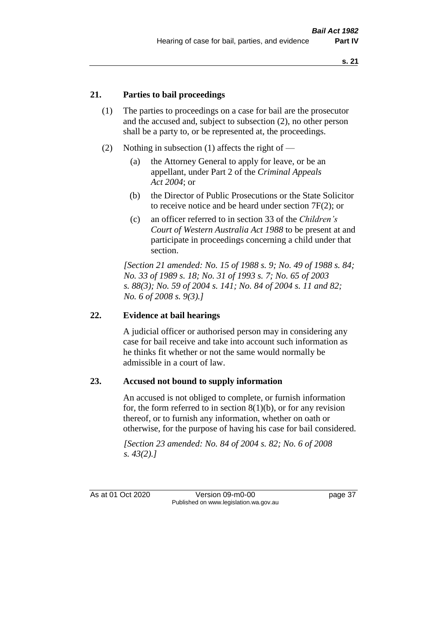## **21. Parties to bail proceedings**

- (1) The parties to proceedings on a case for bail are the prosecutor and the accused and, subject to subsection (2), no other person shall be a party to, or be represented at, the proceedings.
- (2) Nothing in subsection (1) affects the right of
	- (a) the Attorney General to apply for leave, or be an appellant, under Part 2 of the *Criminal Appeals Act 2004*; or
	- (b) the Director of Public Prosecutions or the State Solicitor to receive notice and be heard under section 7F(2); or
	- (c) an officer referred to in section 33 of the *Children's Court of Western Australia Act 1988* to be present at and participate in proceedings concerning a child under that section.

*[Section 21 amended: No. 15 of 1988 s. 9; No. 49 of 1988 s. 84; No. 33 of 1989 s. 18; No. 31 of 1993 s. 7; No. 65 of 2003 s. 88(3); No. 59 of 2004 s. 141; No. 84 of 2004 s. 11 and 82; No. 6 of 2008 s. 9(3).]* 

## **22. Evidence at bail hearings**

A judicial officer or authorised person may in considering any case for bail receive and take into account such information as he thinks fit whether or not the same would normally be admissible in a court of law.

#### **23. Accused not bound to supply information**

An accused is not obliged to complete, or furnish information for, the form referred to in section  $8(1)(b)$ , or for any revision thereof, or to furnish any information, whether on oath or otherwise, for the purpose of having his case for bail considered.

*[Section 23 amended: No. 84 of 2004 s. 82; No. 6 of 2008 s. 43(2).]* 

As at 01 Oct 2020 Version 09-m0-00 page 37 Published on www.legislation.wa.gov.au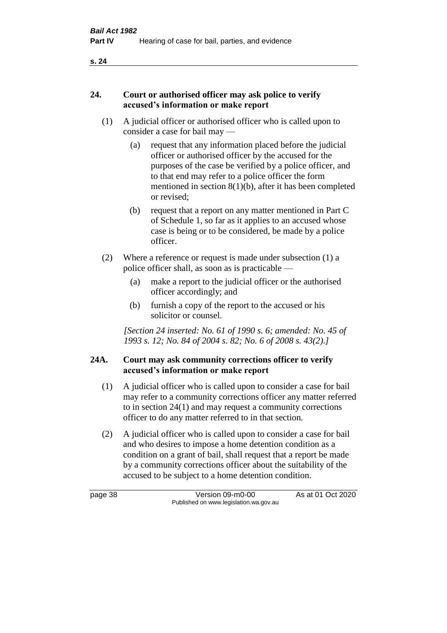## **24. Court or authorised officer may ask police to verify accused's information or make report**

- (1) A judicial officer or authorised officer who is called upon to consider a case for bail may —
	- (a) request that any information placed before the judicial officer or authorised officer by the accused for the purposes of the case be verified by a police officer, and to that end may refer to a police officer the form mentioned in section 8(1)(b), after it has been completed or revised;
	- (b) request that a report on any matter mentioned in Part C of Schedule 1, so far as it applies to an accused whose case is being or to be considered, be made by a police officer.
- (2) Where a reference or request is made under subsection (1) a police officer shall, as soon as is practicable —
	- (a) make a report to the judicial officer or the authorised officer accordingly; and
	- (b) furnish a copy of the report to the accused or his solicitor or counsel.

*[Section 24 inserted: No. 61 of 1990 s. 6; amended: No. 45 of 1993 s. 12; No. 84 of 2004 s. 82; No. 6 of 2008 s. 43(2).]* 

## **24A. Court may ask community corrections officer to verify accused's information or make report**

- (1) A judicial officer who is called upon to consider a case for bail may refer to a community corrections officer any matter referred to in section 24(1) and may request a community corrections officer to do any matter referred to in that section.
- (2) A judicial officer who is called upon to consider a case for bail and who desires to impose a home detention condition as a condition on a grant of bail, shall request that a report be made by a community corrections officer about the suitability of the accused to be subject to a home detention condition.

page 38 Version 09-m0-00 As at 01 Oct 2020 Published on www.legislation.wa.gov.au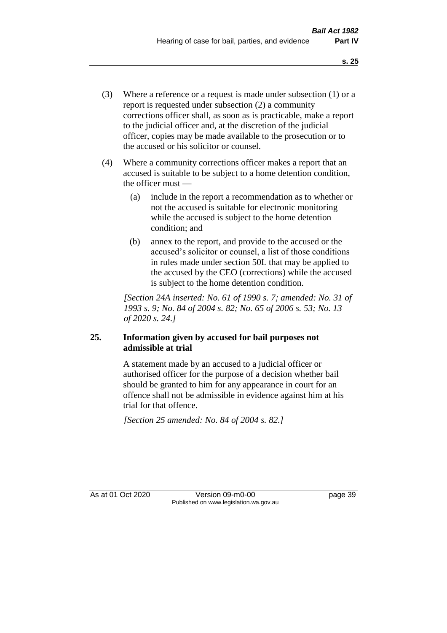- (3) Where a reference or a request is made under subsection (1) or a report is requested under subsection (2) a community corrections officer shall, as soon as is practicable, make a report to the judicial officer and, at the discretion of the judicial officer, copies may be made available to the prosecution or to the accused or his solicitor or counsel.
- (4) Where a community corrections officer makes a report that an accused is suitable to be subject to a home detention condition, the officer must —
	- (a) include in the report a recommendation as to whether or not the accused is suitable for electronic monitoring while the accused is subject to the home detention condition; and
	- (b) annex to the report, and provide to the accused or the accused's solicitor or counsel, a list of those conditions in rules made under section 50L that may be applied to the accused by the CEO (corrections) while the accused is subject to the home detention condition.

*[Section 24A inserted: No. 61 of 1990 s. 7; amended: No. 31 of 1993 s. 9; No. 84 of 2004 s. 82; No. 65 of 2006 s. 53; No. 13 of 2020 s. 24.]* 

## **25. Information given by accused for bail purposes not admissible at trial**

A statement made by an accused to a judicial officer or authorised officer for the purpose of a decision whether bail should be granted to him for any appearance in court for an offence shall not be admissible in evidence against him at his trial for that offence.

*[Section 25 amended: No. 84 of 2004 s. 82.]* 

As at 01 Oct 2020 Version 09-m0-00 page 39 Published on www.legislation.wa.gov.au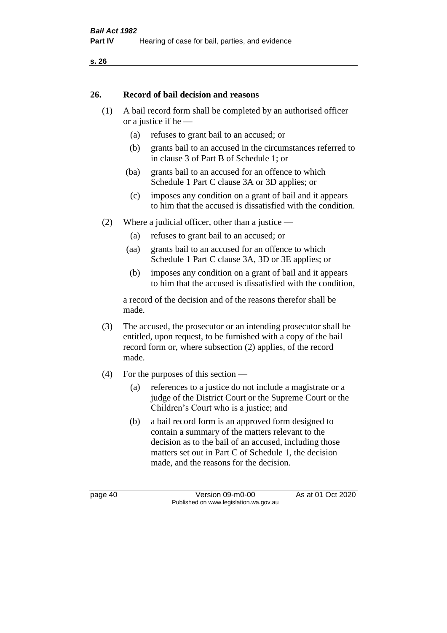#### **26. Record of bail decision and reasons**

- (1) A bail record form shall be completed by an authorised officer or a justice if he —
	- (a) refuses to grant bail to an accused; or
	- (b) grants bail to an accused in the circumstances referred to in clause 3 of Part B of Schedule 1; or
	- (ba) grants bail to an accused for an offence to which Schedule 1 Part C clause 3A or 3D applies; or
	- (c) imposes any condition on a grant of bail and it appears to him that the accused is dissatisfied with the condition.
- (2) Where a judicial officer, other than a justice
	- (a) refuses to grant bail to an accused; or
	- (aa) grants bail to an accused for an offence to which Schedule 1 Part C clause 3A, 3D or 3E applies; or
	- (b) imposes any condition on a grant of bail and it appears to him that the accused is dissatisfied with the condition,

a record of the decision and of the reasons therefor shall be made.

- (3) The accused, the prosecutor or an intending prosecutor shall be entitled, upon request, to be furnished with a copy of the bail record form or, where subsection (2) applies, of the record made.
- (4) For the purposes of this section
	- (a) references to a justice do not include a magistrate or a judge of the District Court or the Supreme Court or the Children's Court who is a justice; and
	- (b) a bail record form is an approved form designed to contain a summary of the matters relevant to the decision as to the bail of an accused, including those matters set out in Part C of Schedule 1, the decision made, and the reasons for the decision.

page 40 Version 09-m0-00 As at 01 Oct 2020 Published on www.legislation.wa.gov.au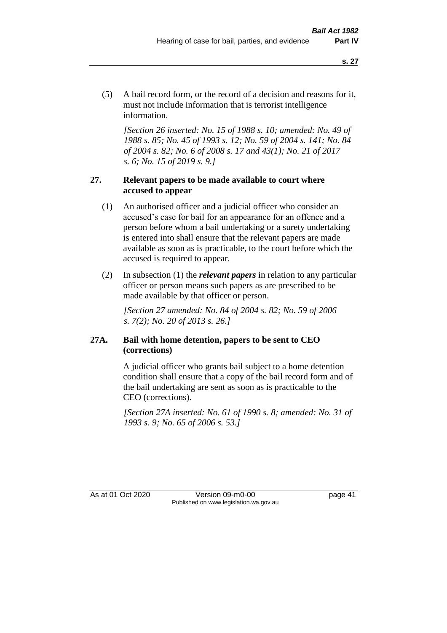(5) A bail record form, or the record of a decision and reasons for it, must not include information that is terrorist intelligence information.

*[Section 26 inserted: No. 15 of 1988 s. 10; amended: No. 49 of 1988 s. 85; No. 45 of 1993 s. 12; No. 59 of 2004 s. 141; No. 84 of 2004 s. 82; No. 6 of 2008 s. 17 and 43(1); No. 21 of 2017 s. 6; No. 15 of 2019 s. 9.]* 

## **27. Relevant papers to be made available to court where accused to appear**

- (1) An authorised officer and a judicial officer who consider an accused's case for bail for an appearance for an offence and a person before whom a bail undertaking or a surety undertaking is entered into shall ensure that the relevant papers are made available as soon as is practicable, to the court before which the accused is required to appear.
- (2) In subsection (1) the *relevant papers* in relation to any particular officer or person means such papers as are prescribed to be made available by that officer or person.

*[Section 27 amended: No. 84 of 2004 s. 82; No. 59 of 2006 s. 7(2); No. 20 of 2013 s. 26.]* 

## **27A. Bail with home detention, papers to be sent to CEO (corrections)**

A judicial officer who grants bail subject to a home detention condition shall ensure that a copy of the bail record form and of the bail undertaking are sent as soon as is practicable to the CEO (corrections).

*[Section 27A inserted: No. 61 of 1990 s. 8; amended: No. 31 of 1993 s. 9; No. 65 of 2006 s. 53.]* 

As at 01 Oct 2020 Version 09-m0-00 page 41 Published on www.legislation.wa.gov.au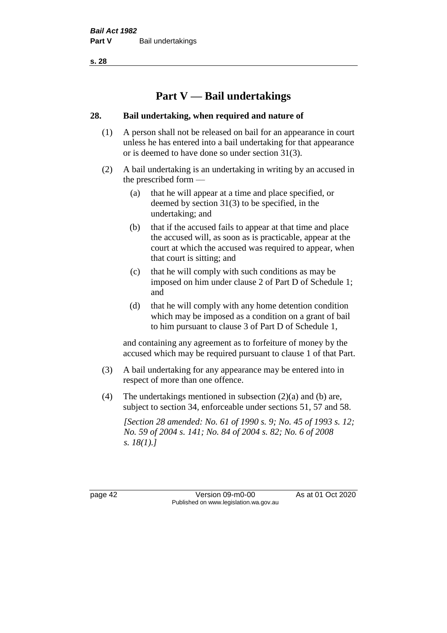# **Part V — Bail undertakings**

## **28. Bail undertaking, when required and nature of**

- (1) A person shall not be released on bail for an appearance in court unless he has entered into a bail undertaking for that appearance or is deemed to have done so under section 31(3).
- (2) A bail undertaking is an undertaking in writing by an accused in the prescribed form —
	- (a) that he will appear at a time and place specified, or deemed by section 31(3) to be specified, in the undertaking; and
	- (b) that if the accused fails to appear at that time and place the accused will, as soon as is practicable, appear at the court at which the accused was required to appear, when that court is sitting; and
	- (c) that he will comply with such conditions as may be imposed on him under clause 2 of Part D of Schedule 1; and
	- (d) that he will comply with any home detention condition which may be imposed as a condition on a grant of bail to him pursuant to clause 3 of Part D of Schedule 1,

and containing any agreement as to forfeiture of money by the accused which may be required pursuant to clause 1 of that Part.

- (3) A bail undertaking for any appearance may be entered into in respect of more than one offence.
- (4) The undertakings mentioned in subsection (2)(a) and (b) are, subject to section 34, enforceable under sections 51, 57 and 58.

*[Section 28 amended: No. 61 of 1990 s. 9; No. 45 of 1993 s. 12; No. 59 of 2004 s. 141; No. 84 of 2004 s. 82; No. 6 of 2008 s. 18(1).]* 

page 42 Version 09-m0-00 As at 01 Oct 2020 Published on www.legislation.wa.gov.au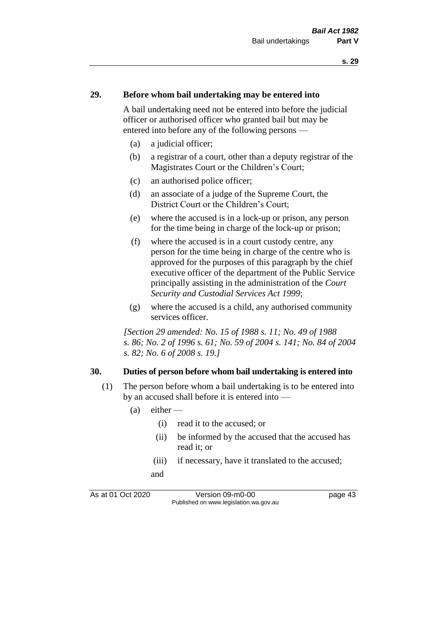#### **29. Before whom bail undertaking may be entered into**

A bail undertaking need not be entered into before the judicial officer or authorised officer who granted bail but may be entered into before any of the following persons —

- (a) a judicial officer;
- (b) a registrar of a court, other than a deputy registrar of the Magistrates Court or the Children's Court;
- (c) an authorised police officer;
- (d) an associate of a judge of the Supreme Court, the District Court or the Children's Court;
- (e) where the accused is in a lock-up or prison, any person for the time being in charge of the lock-up or prison;
- (f) where the accused is in a court custody centre, any person for the time being in charge of the centre who is approved for the purposes of this paragraph by the chief executive officer of the department of the Public Service principally assisting in the administration of the *Court Security and Custodial Services Act 1999*;
- (g) where the accused is a child, any authorised community services officer.

*[Section 29 amended: No. 15 of 1988 s. 11; No. 49 of 1988 s. 86; No. 2 of 1996 s. 61; No. 59 of 2004 s. 141; No. 84 of 2004 s. 82; No. 6 of 2008 s. 19.]* 

#### **30. Duties of person before whom bail undertaking is entered into**

- (1) The person before whom a bail undertaking is to be entered into by an accused shall before it is entered into —
	- $(a)$  either
		- (i) read it to the accused; or
		- (ii) be informed by the accused that the accused has read it; or
		- (iii) if necessary, have it translated to the accused; and

As at 01 Oct 2020 Version 09-m0-00 page 43 Published on www.legislation.wa.gov.au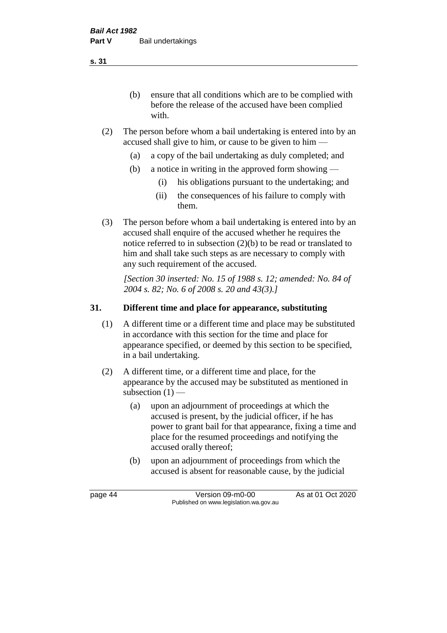(b) ensure that all conditions which are to be complied with before the release of the accused have been complied with.

- (2) The person before whom a bail undertaking is entered into by an accused shall give to him, or cause to be given to him —
	- (a) a copy of the bail undertaking as duly completed; and
	- (b) a notice in writing in the approved form showing
		- (i) his obligations pursuant to the undertaking; and
		- (ii) the consequences of his failure to comply with them.
- (3) The person before whom a bail undertaking is entered into by an accused shall enquire of the accused whether he requires the notice referred to in subsection (2)(b) to be read or translated to him and shall take such steps as are necessary to comply with any such requirement of the accused.

*[Section 30 inserted: No. 15 of 1988 s. 12; amended: No. 84 of 2004 s. 82; No. 6 of 2008 s. 20 and 43(3).]* 

## **31. Different time and place for appearance, substituting**

- (1) A different time or a different time and place may be substituted in accordance with this section for the time and place for appearance specified, or deemed by this section to be specified, in a bail undertaking.
- (2) A different time, or a different time and place, for the appearance by the accused may be substituted as mentioned in subsection  $(1)$  —
	- (a) upon an adjournment of proceedings at which the accused is present, by the judicial officer, if he has power to grant bail for that appearance, fixing a time and place for the resumed proceedings and notifying the accused orally thereof;
	- (b) upon an adjournment of proceedings from which the accused is absent for reasonable cause, by the judicial

page 44 Version 09-m0-00 As at 01 Oct 2020 Published on www.legislation.wa.gov.au

**s. 31**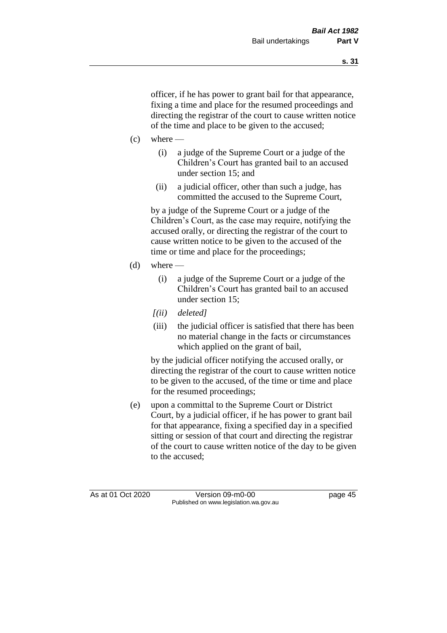officer, if he has power to grant bail for that appearance, fixing a time and place for the resumed proceedings and directing the registrar of the court to cause written notice of the time and place to be given to the accused;

- $(c)$  where
	- (i) a judge of the Supreme Court or a judge of the Children's Court has granted bail to an accused under section 15; and
	- (ii) a judicial officer, other than such a judge, has committed the accused to the Supreme Court,

by a judge of the Supreme Court or a judge of the Children's Court, as the case may require, notifying the accused orally, or directing the registrar of the court to cause written notice to be given to the accused of the time or time and place for the proceedings;

- (d) where  $-$ 
	- (i) a judge of the Supreme Court or a judge of the Children's Court has granted bail to an accused under section 15;
	- *[(ii) deleted]*
	- (iii) the judicial officer is satisfied that there has been no material change in the facts or circumstances which applied on the grant of bail,

by the judicial officer notifying the accused orally, or directing the registrar of the court to cause written notice to be given to the accused, of the time or time and place for the resumed proceedings;

(e) upon a committal to the Supreme Court or District Court, by a judicial officer, if he has power to grant bail for that appearance, fixing a specified day in a specified sitting or session of that court and directing the registrar of the court to cause written notice of the day to be given to the accused;

As at 01 Oct 2020 Version 09-m0-00 page 45 Published on www.legislation.wa.gov.au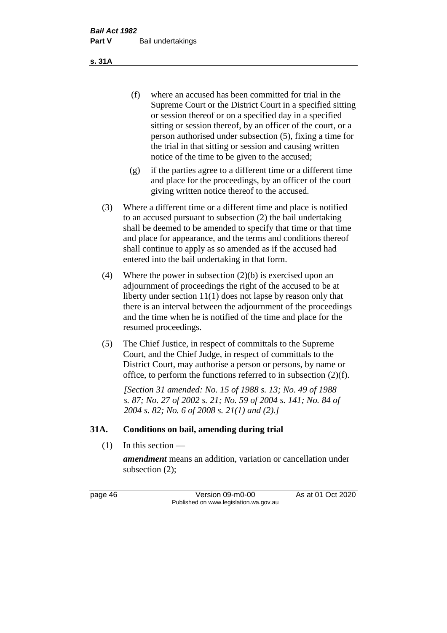(f) where an accused has been committed for trial in the Supreme Court or the District Court in a specified sitting or session thereof or on a specified day in a specified sitting or session thereof, by an officer of the court, or a person authorised under subsection (5), fixing a time for the trial in that sitting or session and causing written notice of the time to be given to the accused;

- (g) if the parties agree to a different time or a different time and place for the proceedings, by an officer of the court giving written notice thereof to the accused.
- (3) Where a different time or a different time and place is notified to an accused pursuant to subsection (2) the bail undertaking shall be deemed to be amended to specify that time or that time and place for appearance, and the terms and conditions thereof shall continue to apply as so amended as if the accused had entered into the bail undertaking in that form.
- (4) Where the power in subsection (2)(b) is exercised upon an adjournment of proceedings the right of the accused to be at liberty under section 11(1) does not lapse by reason only that there is an interval between the adjournment of the proceedings and the time when he is notified of the time and place for the resumed proceedings.
- (5) The Chief Justice, in respect of committals to the Supreme Court, and the Chief Judge, in respect of committals to the District Court, may authorise a person or persons, by name or office, to perform the functions referred to in subsection (2)(f).

*[Section 31 amended: No. 15 of 1988 s. 13; No. 49 of 1988 s. 87; No. 27 of 2002 s. 21; No. 59 of 2004 s. 141; No. 84 of 2004 s. 82; No. 6 of 2008 s. 21(1) and (2).]* 

#### **31A. Conditions on bail, amending during trial**

 $(1)$  In this section —

*amendment* means an addition, variation or cancellation under subsection (2);

page 46 Version 09-m0-00 As at 01 Oct 2020 Published on www.legislation.wa.gov.au

**s. 31A**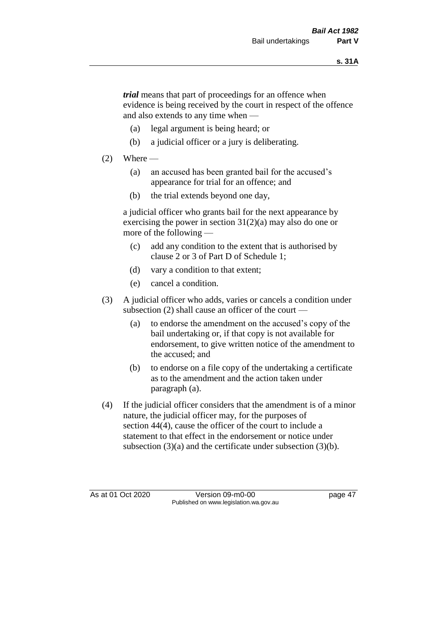*trial* means that part of proceedings for an offence when evidence is being received by the court in respect of the offence and also extends to any time when —

- (a) legal argument is being heard; or
- (b) a judicial officer or a jury is deliberating.

## $(2)$  Where —

- (a) an accused has been granted bail for the accused's appearance for trial for an offence; and
- (b) the trial extends beyond one day,

a judicial officer who grants bail for the next appearance by exercising the power in section  $31(2)(a)$  may also do one or more of the following —

- (c) add any condition to the extent that is authorised by clause 2 or 3 of Part D of Schedule 1;
- (d) vary a condition to that extent;
- (e) cancel a condition.
- (3) A judicial officer who adds, varies or cancels a condition under subsection (2) shall cause an officer of the court —
	- (a) to endorse the amendment on the accused's copy of the bail undertaking or, if that copy is not available for endorsement, to give written notice of the amendment to the accused; and
	- (b) to endorse on a file copy of the undertaking a certificate as to the amendment and the action taken under paragraph (a).
- (4) If the judicial officer considers that the amendment is of a minor nature, the judicial officer may, for the purposes of section 44(4), cause the officer of the court to include a statement to that effect in the endorsement or notice under subsection (3)(a) and the certificate under subsection (3)(b).

As at 01 Oct 2020 Version 09-m0-00 page 47 Published on www.legislation.wa.gov.au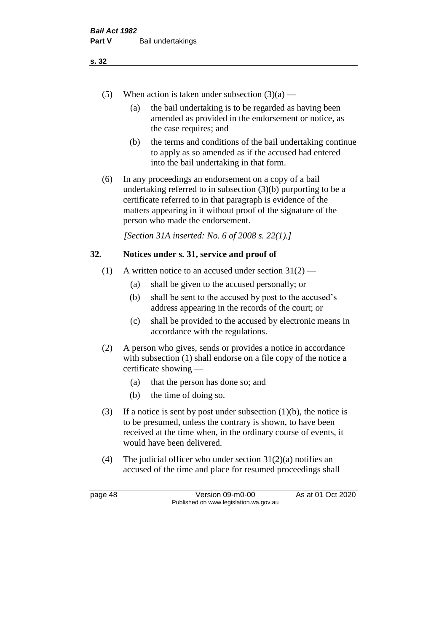- (5) When action is taken under subsection  $(3)(a)$ 
	- (a) the bail undertaking is to be regarded as having been amended as provided in the endorsement or notice, as the case requires; and
	- (b) the terms and conditions of the bail undertaking continue to apply as so amended as if the accused had entered into the bail undertaking in that form.
- (6) In any proceedings an endorsement on a copy of a bail undertaking referred to in subsection (3)(b) purporting to be a certificate referred to in that paragraph is evidence of the matters appearing in it without proof of the signature of the person who made the endorsement.

*[Section 31A inserted: No. 6 of 2008 s. 22(1).]*

## **32. Notices under s. 31, service and proof of**

- (1) A written notice to an accused under section  $31(2)$ 
	- (a) shall be given to the accused personally; or
	- (b) shall be sent to the accused by post to the accused's address appearing in the records of the court; or
	- (c) shall be provided to the accused by electronic means in accordance with the regulations.
- (2) A person who gives, sends or provides a notice in accordance with subsection (1) shall endorse on a file copy of the notice a certificate showing —
	- (a) that the person has done so; and
	- (b) the time of doing so.
- (3) If a notice is sent by post under subsection  $(1)(b)$ , the notice is to be presumed, unless the contrary is shown, to have been received at the time when, in the ordinary course of events, it would have been delivered.
- (4) The judicial officer who under section  $31(2)(a)$  notifies an accused of the time and place for resumed proceedings shall

page 48 Version 09-m0-00 As at 01 Oct 2020 Published on www.legislation.wa.gov.au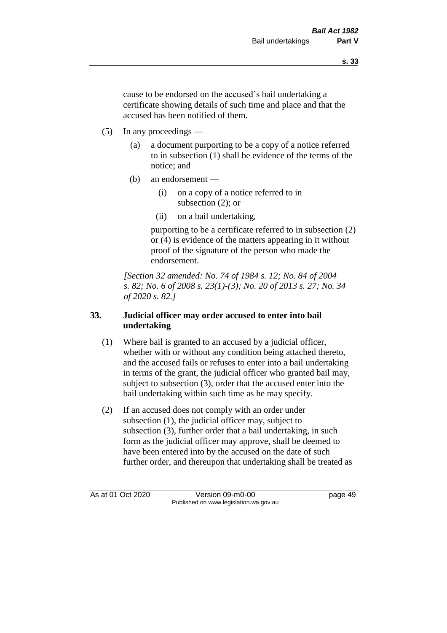cause to be endorsed on the accused's bail undertaking a certificate showing details of such time and place and that the accused has been notified of them.

- (5) In any proceedings
	- (a) a document purporting to be a copy of a notice referred to in subsection (1) shall be evidence of the terms of the notice; and
	- (b) an endorsement
		- (i) on a copy of a notice referred to in subsection (2); or
		- (ii) on a bail undertaking,

purporting to be a certificate referred to in subsection (2) or (4) is evidence of the matters appearing in it without proof of the signature of the person who made the endorsement.

*[Section 32 amended: No. 74 of 1984 s. 12; No. 84 of 2004 s. 82; No. 6 of 2008 s. 23(1)-(3); No. 20 of 2013 s. 27; No. 34 of 2020 s. 82.]* 

## **33. Judicial officer may order accused to enter into bail undertaking**

- (1) Where bail is granted to an accused by a judicial officer, whether with or without any condition being attached thereto, and the accused fails or refuses to enter into a bail undertaking in terms of the grant, the judicial officer who granted bail may, subject to subsection (3), order that the accused enter into the bail undertaking within such time as he may specify.
- (2) If an accused does not comply with an order under subsection (1), the judicial officer may, subject to subsection (3), further order that a bail undertaking, in such form as the judicial officer may approve, shall be deemed to have been entered into by the accused on the date of such further order, and thereupon that undertaking shall be treated as

As at 01 Oct 2020 Version 09-m0-00 page 49 Published on www.legislation.wa.gov.au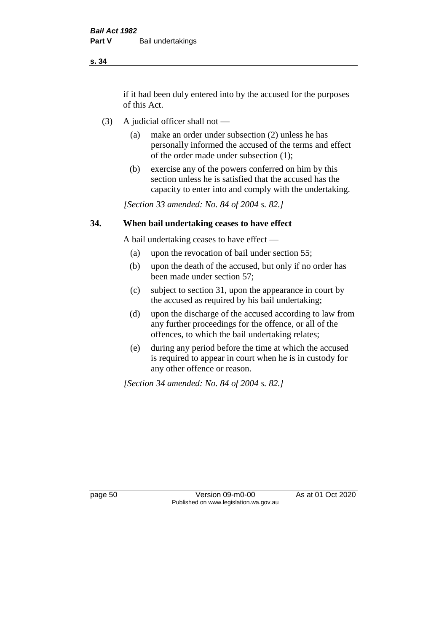if it had been duly entered into by the accused for the purposes of this Act.

- (3) A judicial officer shall not
	- (a) make an order under subsection (2) unless he has personally informed the accused of the terms and effect of the order made under subsection (1);
	- (b) exercise any of the powers conferred on him by this section unless he is satisfied that the accused has the capacity to enter into and comply with the undertaking.

*[Section 33 amended: No. 84 of 2004 s. 82.]* 

#### **34. When bail undertaking ceases to have effect**

A bail undertaking ceases to have effect —

- (a) upon the revocation of bail under section 55;
- (b) upon the death of the accused, but only if no order has been made under section 57;
- (c) subject to section 31, upon the appearance in court by the accused as required by his bail undertaking;
- (d) upon the discharge of the accused according to law from any further proceedings for the offence, or all of the offences, to which the bail undertaking relates;
- (e) during any period before the time at which the accused is required to appear in court when he is in custody for any other offence or reason.

*[Section 34 amended: No. 84 of 2004 s. 82.]* 

page 50 Version 09-m0-00 As at 01 Oct 2020 Published on www.legislation.wa.gov.au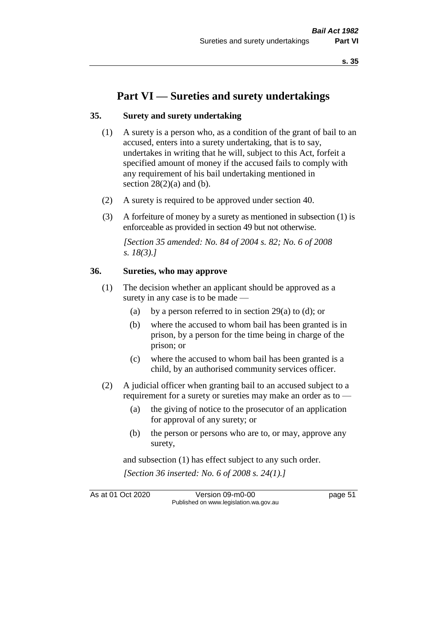# **Part VI — Sureties and surety undertakings**

#### **35. Surety and surety undertaking**

- (1) A surety is a person who, as a condition of the grant of bail to an accused, enters into a surety undertaking, that is to say, undertakes in writing that he will, subject to this Act, forfeit a specified amount of money if the accused fails to comply with any requirement of his bail undertaking mentioned in section  $28(2)(a)$  and (b).
- (2) A surety is required to be approved under section 40.
- (3) A forfeiture of money by a surety as mentioned in subsection (1) is enforceable as provided in section 49 but not otherwise.

*[Section 35 amended: No. 84 of 2004 s. 82; No. 6 of 2008 s. 18(3).]* 

#### **36. Sureties, who may approve**

- (1) The decision whether an applicant should be approved as a surety in any case is to be made —
	- (a) by a person referred to in section 29(a) to (d); or
	- (b) where the accused to whom bail has been granted is in prison, by a person for the time being in charge of the prison; or
	- (c) where the accused to whom bail has been granted is a child, by an authorised community services officer.
- (2) A judicial officer when granting bail to an accused subject to a requirement for a surety or sureties may make an order as to —
	- (a) the giving of notice to the prosecutor of an application for approval of any surety; or
	- (b) the person or persons who are to, or may, approve any surety,

and subsection (1) has effect subject to any such order. *[Section 36 inserted: No. 6 of 2008 s. 24(1).]*

As at 01 Oct 2020 Version 09-m0-00 page 51 Published on www.legislation.wa.gov.au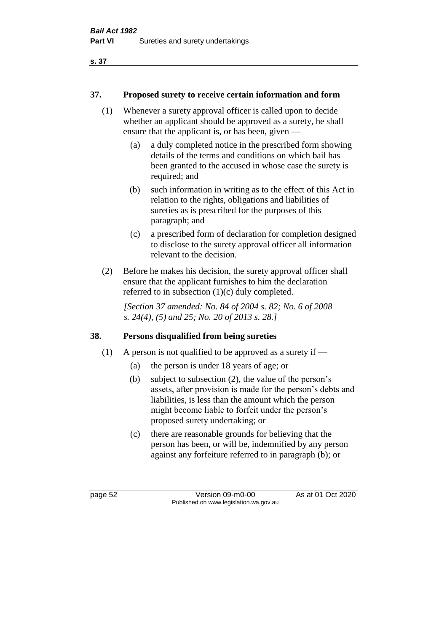## **37. Proposed surety to receive certain information and form**

- (1) Whenever a surety approval officer is called upon to decide whether an applicant should be approved as a surety, he shall ensure that the applicant is, or has been, given —
	- (a) a duly completed notice in the prescribed form showing details of the terms and conditions on which bail has been granted to the accused in whose case the surety is required; and
	- (b) such information in writing as to the effect of this Act in relation to the rights, obligations and liabilities of sureties as is prescribed for the purposes of this paragraph; and
	- (c) a prescribed form of declaration for completion designed to disclose to the surety approval officer all information relevant to the decision.
- (2) Before he makes his decision, the surety approval officer shall ensure that the applicant furnishes to him the declaration referred to in subsection (1)(c) duly completed.

*[Section 37 amended: No. 84 of 2004 s. 82; No. 6 of 2008 s. 24(4), (5) and 25; No. 20 of 2013 s. 28.]* 

## **38. Persons disqualified from being sureties**

- (1) A person is not qualified to be approved as a surety if  $-$ 
	- (a) the person is under 18 years of age; or
	- (b) subject to subsection (2), the value of the person's assets, after provision is made for the person's debts and liabilities, is less than the amount which the person might become liable to forfeit under the person's proposed surety undertaking; or
	- (c) there are reasonable grounds for believing that the person has been, or will be, indemnified by any person against any forfeiture referred to in paragraph (b); or

page 52 Version 09-m0-00 As at 01 Oct 2020 Published on www.legislation.wa.gov.au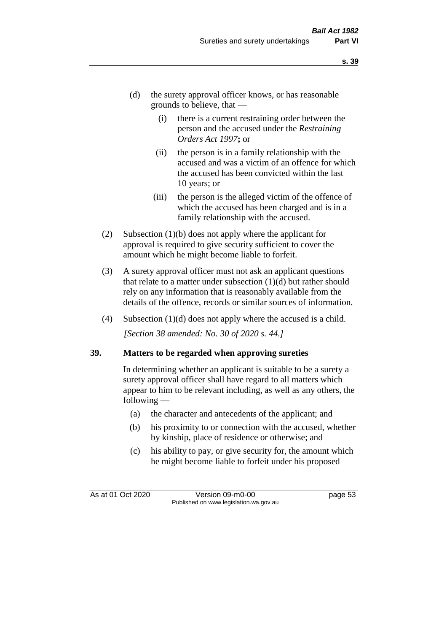- (d) the surety approval officer knows, or has reasonable grounds to believe, that —
	- (i) there is a current restraining order between the person and the accused under the *Restraining Orders Act 1997***;** or
	- (ii) the person is in a family relationship with the accused and was a victim of an offence for which the accused has been convicted within the last 10 years; or
	- (iii) the person is the alleged victim of the offence of which the accused has been charged and is in a family relationship with the accused.
- (2) Subsection (1)(b) does not apply where the applicant for approval is required to give security sufficient to cover the amount which he might become liable to forfeit.
- (3) A surety approval officer must not ask an applicant questions that relate to a matter under subsection  $(1)(d)$  but rather should rely on any information that is reasonably available from the details of the offence, records or similar sources of information.
- (4) Subsection (1)(d) does not apply where the accused is a child. *[Section 38 amended: No. 30 of 2020 s. 44.]*

#### **39. Matters to be regarded when approving sureties**

In determining whether an applicant is suitable to be a surety a surety approval officer shall have regard to all matters which appear to him to be relevant including, as well as any others, the following —

- (a) the character and antecedents of the applicant; and
- (b) his proximity to or connection with the accused, whether by kinship, place of residence or otherwise; and
- (c) his ability to pay, or give security for, the amount which he might become liable to forfeit under his proposed

As at 01 Oct 2020 Version 09-m0-00 page 53 Published on www.legislation.wa.gov.au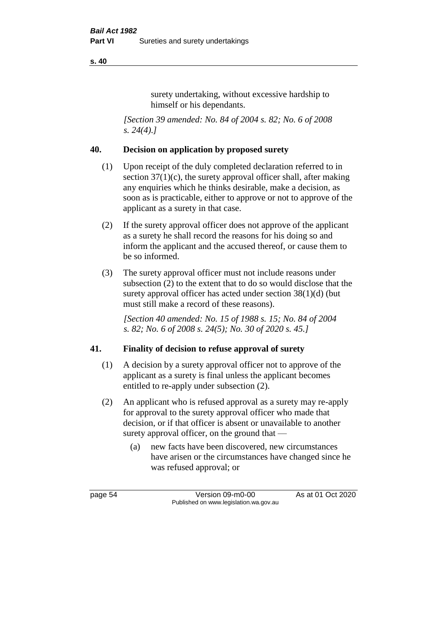surety undertaking, without excessive hardship to himself or his dependants.

*[Section 39 amended: No. 84 of 2004 s. 82; No. 6 of 2008 s. 24(4).]* 

## **40. Decision on application by proposed surety**

- (1) Upon receipt of the duly completed declaration referred to in section  $37(1)(c)$ , the surety approval officer shall, after making any enquiries which he thinks desirable, make a decision, as soon as is practicable, either to approve or not to approve of the applicant as a surety in that case.
- (2) If the surety approval officer does not approve of the applicant as a surety he shall record the reasons for his doing so and inform the applicant and the accused thereof, or cause them to be so informed.
- (3) The surety approval officer must not include reasons under subsection (2) to the extent that to do so would disclose that the surety approval officer has acted under section 38(1)(d) (but must still make a record of these reasons).

*[Section 40 amended: No. 15 of 1988 s. 15; No. 84 of 2004 s. 82; No. 6 of 2008 s. 24(5); No. 30 of 2020 s. 45.]* 

## **41. Finality of decision to refuse approval of surety**

- (1) A decision by a surety approval officer not to approve of the applicant as a surety is final unless the applicant becomes entitled to re-apply under subsection (2).
- (2) An applicant who is refused approval as a surety may re-apply for approval to the surety approval officer who made that decision, or if that officer is absent or unavailable to another surety approval officer, on the ground that —
	- (a) new facts have been discovered, new circumstances have arisen or the circumstances have changed since he was refused approval; or

page 54 Version 09-m0-00 As at 01 Oct 2020 Published on www.legislation.wa.gov.au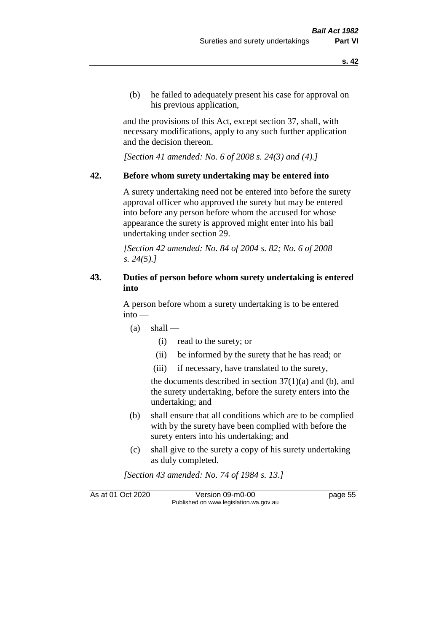(b) he failed to adequately present his case for approval on his previous application,

and the provisions of this Act, except section 37, shall, with necessary modifications, apply to any such further application and the decision thereon.

*[Section 41 amended: No. 6 of 2008 s. 24(3) and (4).]*

#### **42. Before whom surety undertaking may be entered into**

A surety undertaking need not be entered into before the surety approval officer who approved the surety but may be entered into before any person before whom the accused for whose appearance the surety is approved might enter into his bail undertaking under section 29.

*[Section 42 amended: No. 84 of 2004 s. 82; No. 6 of 2008 s. 24(5).]* 

## **43. Duties of person before whom surety undertaking is entered into**

A person before whom a surety undertaking is to be entered into —

- $(a)$  shall
	- (i) read to the surety; or
	- (ii) be informed by the surety that he has read; or
	- (iii) if necessary, have translated to the surety,

the documents described in section  $37(1)(a)$  and (b), and the surety undertaking, before the surety enters into the undertaking; and

- (b) shall ensure that all conditions which are to be complied with by the surety have been complied with before the surety enters into his undertaking; and
- (c) shall give to the surety a copy of his surety undertaking as duly completed.

*[Section 43 amended: No. 74 of 1984 s. 13.]* 

As at 01 Oct 2020 Version 09-m0-00 page 55 Published on www.legislation.wa.gov.au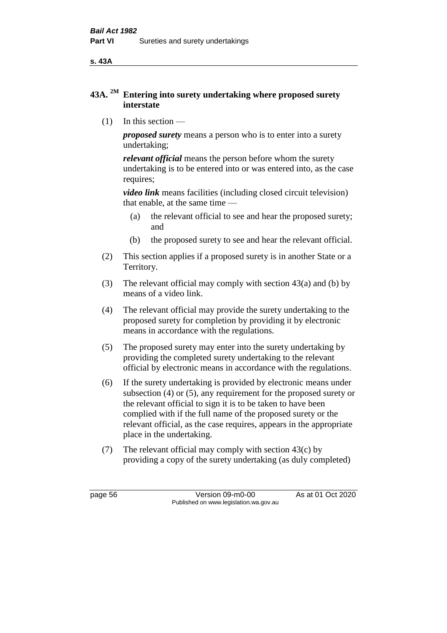**s. 43A**

## **43A. 2M Entering into surety undertaking where proposed surety interstate**

(1) In this section —

*proposed surety* means a person who is to enter into a surety undertaking;

*relevant official* means the person before whom the surety undertaking is to be entered into or was entered into, as the case requires;

*video link* means facilities (including closed circuit television) that enable, at the same time —

- (a) the relevant official to see and hear the proposed surety; and
- (b) the proposed surety to see and hear the relevant official.
- (2) This section applies if a proposed surety is in another State or a Territory.
- (3) The relevant official may comply with section 43(a) and (b) by means of a video link.
- (4) The relevant official may provide the surety undertaking to the proposed surety for completion by providing it by electronic means in accordance with the regulations.
- (5) The proposed surety may enter into the surety undertaking by providing the completed surety undertaking to the relevant official by electronic means in accordance with the regulations.
- (6) If the surety undertaking is provided by electronic means under subsection (4) or (5), any requirement for the proposed surety or the relevant official to sign it is to be taken to have been complied with if the full name of the proposed surety or the relevant official, as the case requires, appears in the appropriate place in the undertaking.
- (7) The relevant official may comply with section 43(c) by providing a copy of the surety undertaking (as duly completed)

page 56 Version 09-m0-00 As at 01 Oct 2020 Published on www.legislation.wa.gov.au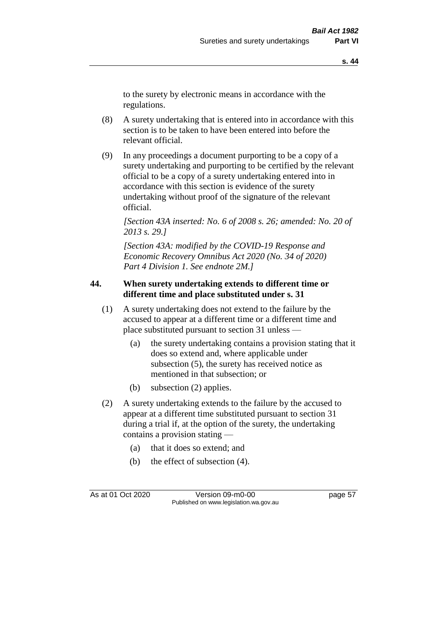to the surety by electronic means in accordance with the regulations.

- (8) A surety undertaking that is entered into in accordance with this section is to be taken to have been entered into before the relevant official.
- (9) In any proceedings a document purporting to be a copy of a surety undertaking and purporting to be certified by the relevant official to be a copy of a surety undertaking entered into in accordance with this section is evidence of the surety undertaking without proof of the signature of the relevant official.

*[Section 43A inserted: No. 6 of 2008 s. 26; amended: No. 20 of 2013 s. 29.]*

*[Section 43A: modified by the COVID-19 Response and Economic Recovery Omnibus Act 2020 (No. 34 of 2020) Part 4 Division 1. See endnote 2M.]*

#### **44. When surety undertaking extends to different time or different time and place substituted under s. 31**

- (1) A surety undertaking does not extend to the failure by the accused to appear at a different time or a different time and place substituted pursuant to section 31 unless —
	- (a) the surety undertaking contains a provision stating that it does so extend and, where applicable under subsection (5), the surety has received notice as mentioned in that subsection; or
	- (b) subsection (2) applies.
- (2) A surety undertaking extends to the failure by the accused to appear at a different time substituted pursuant to section 31 during a trial if, at the option of the surety, the undertaking contains a provision stating —
	- (a) that it does so extend; and
	- (b) the effect of subsection (4).

As at 01 Oct 2020 Version 09-m0-00 page 57 Published on www.legislation.wa.gov.au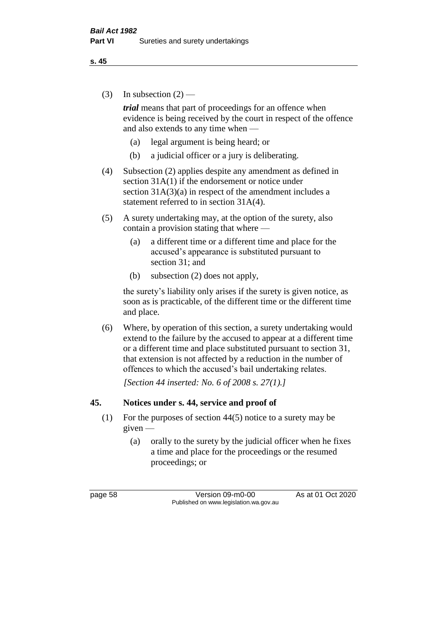(3) In subsection  $(2)$  —

*trial* means that part of proceedings for an offence when evidence is being received by the court in respect of the offence and also extends to any time when —

- (a) legal argument is being heard; or
- (b) a judicial officer or a jury is deliberating.
- (4) Subsection (2) applies despite any amendment as defined in section 31A(1) if the endorsement or notice under section  $31A(3)(a)$  in respect of the amendment includes a statement referred to in section 31A(4).
- (5) A surety undertaking may, at the option of the surety, also contain a provision stating that where —
	- (a) a different time or a different time and place for the accused's appearance is substituted pursuant to section 31; and
	- (b) subsection (2) does not apply,

the surety's liability only arises if the surety is given notice, as soon as is practicable, of the different time or the different time and place.

(6) Where, by operation of this section, a surety undertaking would extend to the failure by the accused to appear at a different time or a different time and place substituted pursuant to section 31, that extension is not affected by a reduction in the number of offences to which the accused's bail undertaking relates.

*[Section 44 inserted: No. 6 of 2008 s. 27(1).]*

#### **45. Notices under s. 44, service and proof of**

- (1) For the purposes of section 44(5) notice to a surety may be given —
	- (a) orally to the surety by the judicial officer when he fixes a time and place for the proceedings or the resumed proceedings; or

page 58 Version 09-m0-00 As at 01 Oct 2020 Published on www.legislation.wa.gov.au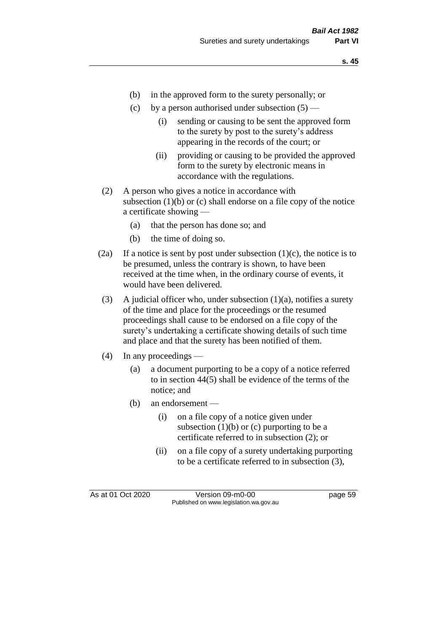- (b) in the approved form to the surety personally; or
- (c) by a person authorised under subsection  $(5)$ 
	- (i) sending or causing to be sent the approved form to the surety by post to the surety's address appearing in the records of the court; or
	- (ii) providing or causing to be provided the approved form to the surety by electronic means in accordance with the regulations.
- (2) A person who gives a notice in accordance with subsection  $(1)(b)$  or  $(c)$  shall endorse on a file copy of the notice a certificate showing —
	- (a) that the person has done so; and
	- (b) the time of doing so.
- (2a) If a notice is sent by post under subsection  $(1)(c)$ , the notice is to be presumed, unless the contrary is shown, to have been received at the time when, in the ordinary course of events, it would have been delivered.
- (3) A judicial officer who, under subsection  $(1)(a)$ , notifies a surety of the time and place for the proceedings or the resumed proceedings shall cause to be endorsed on a file copy of the surety's undertaking a certificate showing details of such time and place and that the surety has been notified of them.
- (4) In any proceedings
	- (a) a document purporting to be a copy of a notice referred to in section 44(5) shall be evidence of the terms of the notice; and
	- (b) an endorsement
		- (i) on a file copy of a notice given under subsection  $(1)(b)$  or  $(c)$  purporting to be a certificate referred to in subsection (2); or
		- (ii) on a file copy of a surety undertaking purporting to be a certificate referred to in subsection (3),

As at 01 Oct 2020 Version 09-m0-00 page 59 Published on www.legislation.wa.gov.au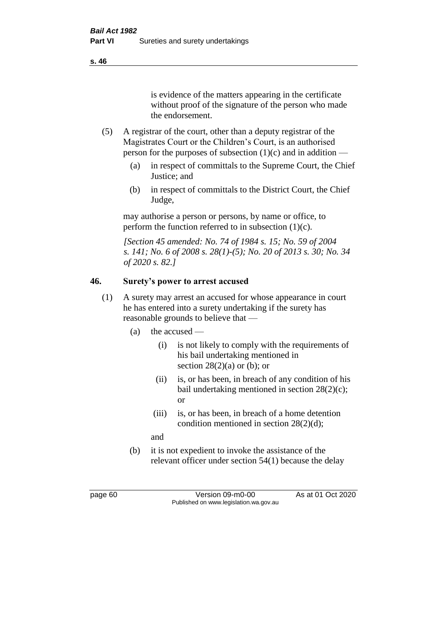is evidence of the matters appearing in the certificate without proof of the signature of the person who made the endorsement.

- (5) A registrar of the court, other than a deputy registrar of the Magistrates Court or the Children's Court, is an authorised person for the purposes of subsection  $(1)(c)$  and in addition —
	- (a) in respect of committals to the Supreme Court, the Chief Justice; and
	- (b) in respect of committals to the District Court, the Chief Judge,

may authorise a person or persons, by name or office, to perform the function referred to in subsection  $(1)(c)$ .

*[Section 45 amended: No. 74 of 1984 s. 15; No. 59 of 2004 s. 141; No. 6 of 2008 s. 28(1)-(5); No. 20 of 2013 s. 30; No. 34 of 2020 s. 82.]* 

# **46. Surety's power to arrest accused**

- (1) A surety may arrest an accused for whose appearance in court he has entered into a surety undertaking if the surety has reasonable grounds to believe that —
	- (a) the accused
		- (i) is not likely to comply with the requirements of his bail undertaking mentioned in section  $28(2)(a)$  or (b); or
		- (ii) is, or has been, in breach of any condition of his bail undertaking mentioned in section 28(2)(c); or
		- (iii) is, or has been, in breach of a home detention condition mentioned in section 28(2)(d);
		- and
	- (b) it is not expedient to invoke the assistance of the relevant officer under section 54(1) because the delay

page 60 Version 09-m0-00 As at 01 Oct 2020 Published on www.legislation.wa.gov.au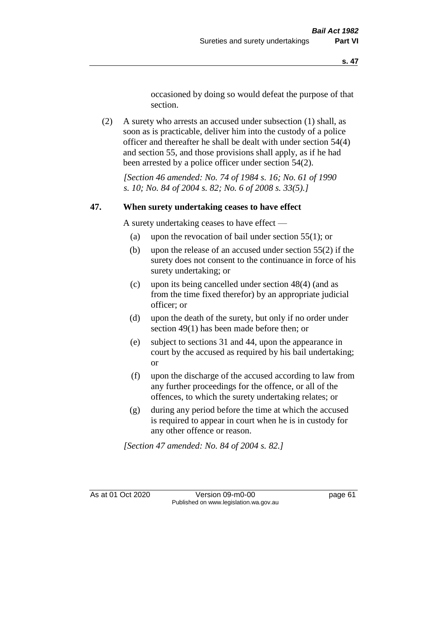occasioned by doing so would defeat the purpose of that section.

(2) A surety who arrests an accused under subsection (1) shall, as soon as is practicable, deliver him into the custody of a police officer and thereafter he shall be dealt with under section 54(4) and section 55, and those provisions shall apply, as if he had been arrested by a police officer under section 54(2).

*[Section 46 amended: No. 74 of 1984 s. 16; No. 61 of 1990 s. 10; No. 84 of 2004 s. 82; No. 6 of 2008 s. 33(5).]* 

#### **47. When surety undertaking ceases to have effect**

A surety undertaking ceases to have effect —

- (a) upon the revocation of bail under section 55(1); or
- (b) upon the release of an accused under section 55(2) if the surety does not consent to the continuance in force of his surety undertaking; or
- (c) upon its being cancelled under section 48(4) (and as from the time fixed therefor) by an appropriate judicial officer; or
- (d) upon the death of the surety, but only if no order under section 49(1) has been made before then; or
- (e) subject to sections 31 and 44, upon the appearance in court by the accused as required by his bail undertaking; or
- (f) upon the discharge of the accused according to law from any further proceedings for the offence, or all of the offences, to which the surety undertaking relates; or
- (g) during any period before the time at which the accused is required to appear in court when he is in custody for any other offence or reason.

*[Section 47 amended: No. 84 of 2004 s. 82.]* 

As at 01 Oct 2020 Version 09-m0-00 page 61 Published on www.legislation.wa.gov.au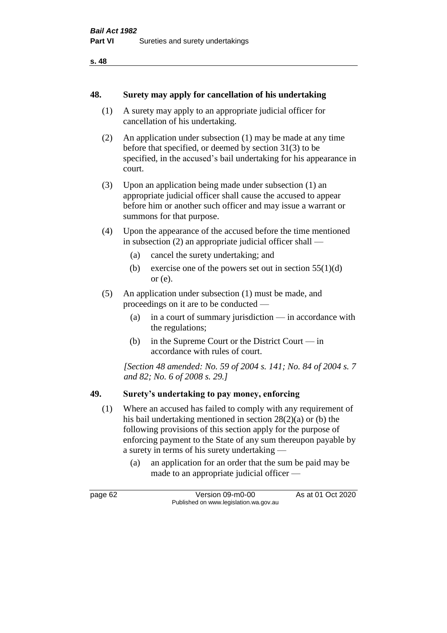#### **48. Surety may apply for cancellation of his undertaking**

- (1) A surety may apply to an appropriate judicial officer for cancellation of his undertaking.
- (2) An application under subsection (1) may be made at any time before that specified, or deemed by section 31(3) to be specified, in the accused's bail undertaking for his appearance in court.
- (3) Upon an application being made under subsection (1) an appropriate judicial officer shall cause the accused to appear before him or another such officer and may issue a warrant or summons for that purpose.
- (4) Upon the appearance of the accused before the time mentioned in subsection (2) an appropriate judicial officer shall —
	- (a) cancel the surety undertaking; and
	- (b) exercise one of the powers set out in section  $55(1)(d)$ or (e).
- (5) An application under subsection (1) must be made, and proceedings on it are to be conducted —
	- (a) in a court of summary jurisdiction in accordance with the regulations;
	- (b) in the Supreme Court or the District Court in accordance with rules of court.

*[Section 48 amended: No. 59 of 2004 s. 141; No. 84 of 2004 s. 7 and 82; No. 6 of 2008 s. 29.]* 

#### **49. Surety's undertaking to pay money, enforcing**

- (1) Where an accused has failed to comply with any requirement of his bail undertaking mentioned in section 28(2)(a) or (b) the following provisions of this section apply for the purpose of enforcing payment to the State of any sum thereupon payable by a surety in terms of his surety undertaking —
	- (a) an application for an order that the sum be paid may be made to an appropriate judicial officer —

page 62 Version 09-m0-00 As at 01 Oct 2020 Published on www.legislation.wa.gov.au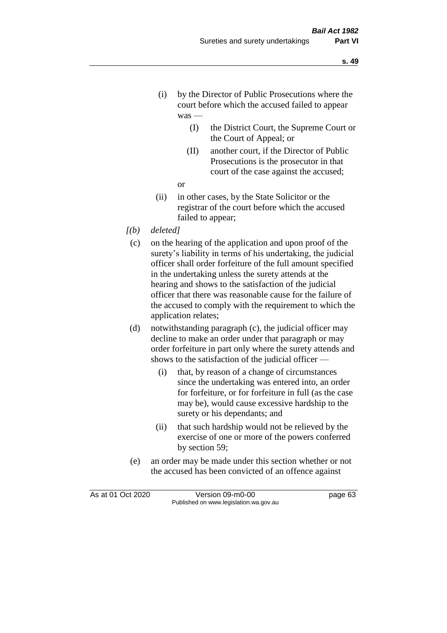- (i) by the Director of Public Prosecutions where the court before which the accused failed to appear was —
	- (I) the District Court, the Supreme Court or the Court of Appeal; or
	- (II) another court, if the Director of Public Prosecutions is the prosecutor in that court of the case against the accused;
	- or
- (ii) in other cases, by the State Solicitor or the registrar of the court before which the accused failed to appear;
- *[(b) deleted]*
	- (c) on the hearing of the application and upon proof of the surety's liability in terms of his undertaking, the judicial officer shall order forfeiture of the full amount specified in the undertaking unless the surety attends at the hearing and shows to the satisfaction of the judicial officer that there was reasonable cause for the failure of the accused to comply with the requirement to which the application relates;
	- (d) notwithstanding paragraph (c), the judicial officer may decline to make an order under that paragraph or may order forfeiture in part only where the surety attends and shows to the satisfaction of the judicial officer —
		- (i) that, by reason of a change of circumstances since the undertaking was entered into, an order for forfeiture, or for forfeiture in full (as the case may be), would cause excessive hardship to the surety or his dependants; and
		- (ii) that such hardship would not be relieved by the exercise of one or more of the powers conferred by section 59;
	- (e) an order may be made under this section whether or not the accused has been convicted of an offence against

As at 01 Oct 2020 Version 09-m0-00 page 63 Published on www.legislation.wa.gov.au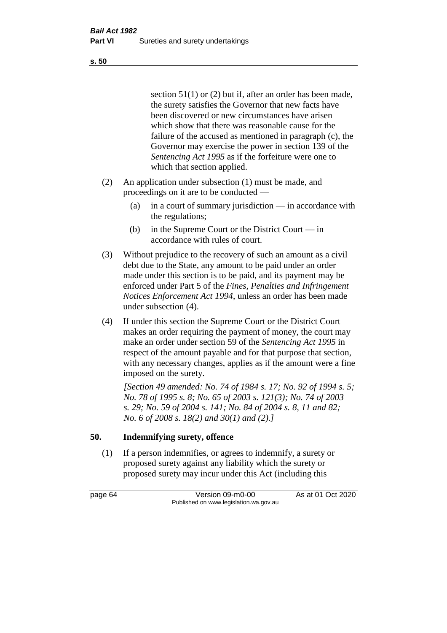section 51(1) or (2) but if, after an order has been made, the surety satisfies the Governor that new facts have been discovered or new circumstances have arisen which show that there was reasonable cause for the failure of the accused as mentioned in paragraph (c), the Governor may exercise the power in section 139 of the *Sentencing Act 1995* as if the forfeiture were one to which that section applied.

- (2) An application under subsection (1) must be made, and proceedings on it are to be conducted —
	- (a) in a court of summary jurisdiction in accordance with the regulations;
	- (b) in the Supreme Court or the District Court in accordance with rules of court.
- (3) Without prejudice to the recovery of such an amount as a civil debt due to the State, any amount to be paid under an order made under this section is to be paid, and its payment may be enforced under Part 5 of the *Fines, Penalties and Infringement Notices Enforcement Act 1994*, unless an order has been made under subsection (4).
- (4) If under this section the Supreme Court or the District Court makes an order requiring the payment of money, the court may make an order under section 59 of the *Sentencing Act 1995* in respect of the amount payable and for that purpose that section, with any necessary changes, applies as if the amount were a fine imposed on the surety.

*[Section 49 amended: No. 74 of 1984 s. 17; No. 92 of 1994 s. 5; No. 78 of 1995 s. 8; No. 65 of 2003 s. 121(3); No. 74 of 2003 s. 29; No. 59 of 2004 s. 141; No. 84 of 2004 s. 8, 11 and 82; No. 6 of 2008 s. 18(2) and 30(1) and (2).]* 

# **50. Indemnifying surety, offence**

(1) If a person indemnifies, or agrees to indemnify, a surety or proposed surety against any liability which the surety or proposed surety may incur under this Act (including this

page 64 Version 09-m0-00 As at 01 Oct 2020 Published on www.legislation.wa.gov.au

**s. 50**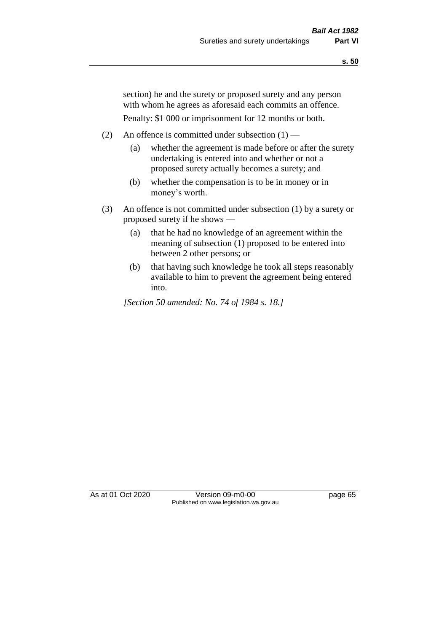section) he and the surety or proposed surety and any person with whom he agrees as aforesaid each commits an offence.

Penalty: \$1 000 or imprisonment for 12 months or both.

- (2) An offence is committed under subsection  $(1)$ 
	- (a) whether the agreement is made before or after the surety undertaking is entered into and whether or not a proposed surety actually becomes a surety; and
	- (b) whether the compensation is to be in money or in money's worth.
- (3) An offence is not committed under subsection (1) by a surety or proposed surety if he shows —
	- (a) that he had no knowledge of an agreement within the meaning of subsection (1) proposed to be entered into between 2 other persons; or
	- (b) that having such knowledge he took all steps reasonably available to him to prevent the agreement being entered into.

*[Section 50 amended: No. 74 of 1984 s. 18.]* 

As at 01 Oct 2020 Version 09-m0-00 page 65 Published on www.legislation.wa.gov.au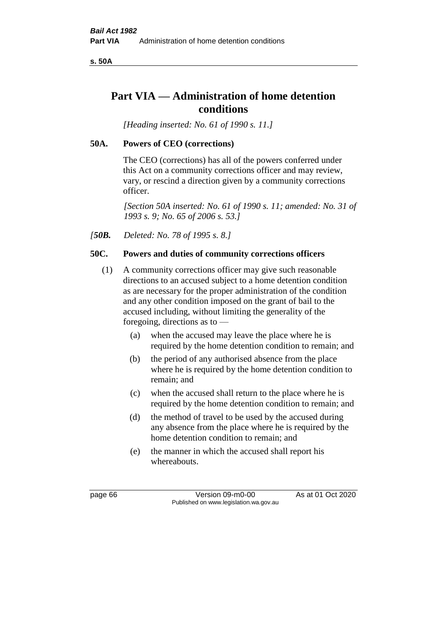**s. 50A**

# **Part VIA — Administration of home detention conditions**

*[Heading inserted: No. 61 of 1990 s. 11.]* 

# **50A. Powers of CEO (corrections)**

The CEO (corrections) has all of the powers conferred under this Act on a community corrections officer and may review, vary, or rescind a direction given by a community corrections officer.

*[Section 50A inserted: No. 61 of 1990 s. 11; amended: No. 31 of 1993 s. 9; No. 65 of 2006 s. 53.]* 

*[50B. Deleted: No. 78 of 1995 s. 8.]* 

# **50C. Powers and duties of community corrections officers**

- (1) A community corrections officer may give such reasonable directions to an accused subject to a home detention condition as are necessary for the proper administration of the condition and any other condition imposed on the grant of bail to the accused including, without limiting the generality of the foregoing, directions as to —
	- (a) when the accused may leave the place where he is required by the home detention condition to remain; and
	- (b) the period of any authorised absence from the place where he is required by the home detention condition to remain; and
	- (c) when the accused shall return to the place where he is required by the home detention condition to remain; and
	- (d) the method of travel to be used by the accused during any absence from the place where he is required by the home detention condition to remain; and
	- (e) the manner in which the accused shall report his whereabouts.

page 66 Version 09-m0-00 As at 01 Oct 2020 Published on www.legislation.wa.gov.au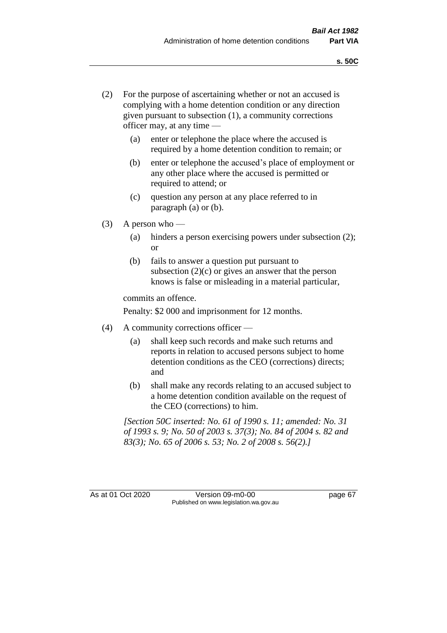- (2) For the purpose of ascertaining whether or not an accused is complying with a home detention condition or any direction given pursuant to subsection (1), a community corrections officer may, at any time —
	- (a) enter or telephone the place where the accused is required by a home detention condition to remain; or
	- (b) enter or telephone the accused's place of employment or any other place where the accused is permitted or required to attend; or
	- (c) question any person at any place referred to in paragraph (a) or (b).
- (3) A person who
	- (a) hinders a person exercising powers under subsection (2); or
	- (b) fails to answer a question put pursuant to subsection  $(2)(c)$  or gives an answer that the person knows is false or misleading in a material particular,

commits an offence.

Penalty: \$2 000 and imprisonment for 12 months.

- (4) A community corrections officer
	- (a) shall keep such records and make such returns and reports in relation to accused persons subject to home detention conditions as the CEO (corrections) directs; and
	- (b) shall make any records relating to an accused subject to a home detention condition available on the request of the CEO (corrections) to him.

*[Section 50C inserted: No. 61 of 1990 s. 11; amended: No. 31 of 1993 s. 9; No. 50 of 2003 s. 37(3); No. 84 of 2004 s. 82 and 83(3); No. 65 of 2006 s. 53; No. 2 of 2008 s. 56(2).]* 

As at 01 Oct 2020 Version 09-m0-00 page 67 Published on www.legislation.wa.gov.au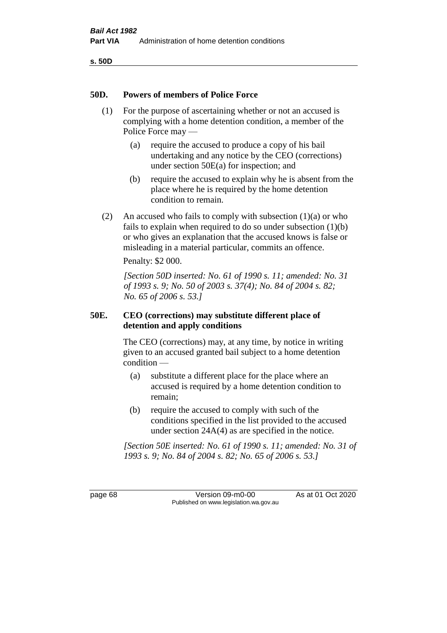**s. 50D**

### **50D. Powers of members of Police Force**

- (1) For the purpose of ascertaining whether or not an accused is complying with a home detention condition, a member of the Police Force may —
	- (a) require the accused to produce a copy of his bail undertaking and any notice by the CEO (corrections) under section 50E(a) for inspection; and
	- (b) require the accused to explain why he is absent from the place where he is required by the home detention condition to remain.
- (2) An accused who fails to comply with subsection  $(1)(a)$  or who fails to explain when required to do so under subsection (1)(b) or who gives an explanation that the accused knows is false or misleading in a material particular, commits an offence.

Penalty: \$2 000.

*[Section 50D inserted: No. 61 of 1990 s. 11; amended: No. 31 of 1993 s. 9; No. 50 of 2003 s. 37(4); No. 84 of 2004 s. 82; No. 65 of 2006 s. 53.]* 

# **50E. CEO (corrections) may substitute different place of detention and apply conditions**

The CEO (corrections) may, at any time, by notice in writing given to an accused granted bail subject to a home detention condition —

- (a) substitute a different place for the place where an accused is required by a home detention condition to remain;
- (b) require the accused to comply with such of the conditions specified in the list provided to the accused under section 24A(4) as are specified in the notice.

*[Section 50E inserted: No. 61 of 1990 s. 11; amended: No. 31 of 1993 s. 9; No. 84 of 2004 s. 82; No. 65 of 2006 s. 53.]* 

page 68 Version 09-m0-00 As at 01 Oct 2020 Published on www.legislation.wa.gov.au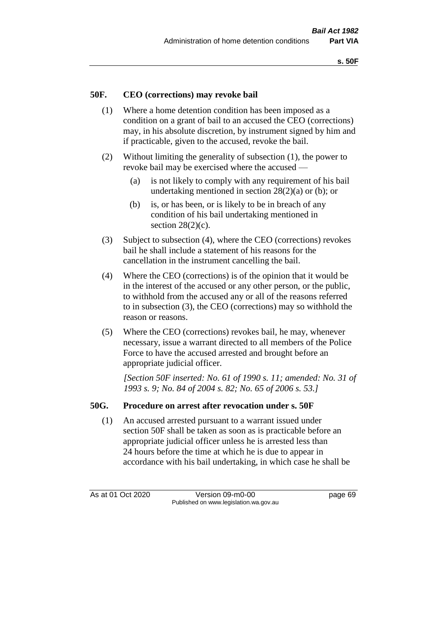# **50F. CEO (corrections) may revoke bail**

- (1) Where a home detention condition has been imposed as a condition on a grant of bail to an accused the CEO (corrections) may, in his absolute discretion, by instrument signed by him and if practicable, given to the accused, revoke the bail.
- (2) Without limiting the generality of subsection (1), the power to revoke bail may be exercised where the accused —
	- (a) is not likely to comply with any requirement of his bail undertaking mentioned in section 28(2)(a) or (b); or
	- (b) is, or has been, or is likely to be in breach of any condition of his bail undertaking mentioned in section  $28(2)(c)$ .
- (3) Subject to subsection (4), where the CEO (corrections) revokes bail he shall include a statement of his reasons for the cancellation in the instrument cancelling the bail.
- (4) Where the CEO (corrections) is of the opinion that it would be in the interest of the accused or any other person, or the public, to withhold from the accused any or all of the reasons referred to in subsection (3), the CEO (corrections) may so withhold the reason or reasons.
- (5) Where the CEO (corrections) revokes bail, he may, whenever necessary, issue a warrant directed to all members of the Police Force to have the accused arrested and brought before an appropriate judicial officer.

*[Section 50F inserted: No. 61 of 1990 s. 11; amended: No. 31 of 1993 s. 9; No. 84 of 2004 s. 82; No. 65 of 2006 s. 53.]* 

#### **50G. Procedure on arrest after revocation under s. 50F**

(1) An accused arrested pursuant to a warrant issued under section 50F shall be taken as soon as is practicable before an appropriate judicial officer unless he is arrested less than 24 hours before the time at which he is due to appear in accordance with his bail undertaking, in which case he shall be

As at 01 Oct 2020 Version 09-m0-00 page 69 Published on www.legislation.wa.gov.au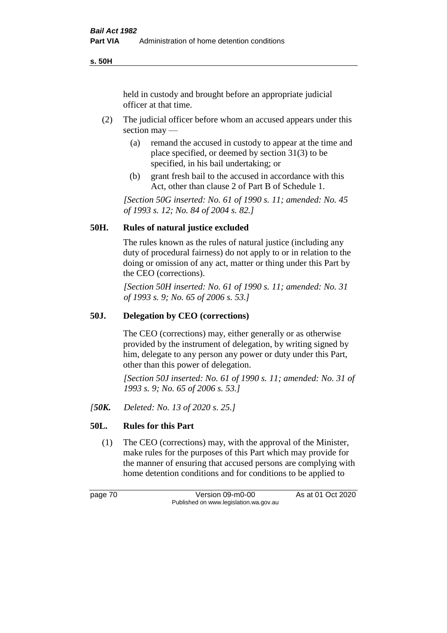**s. 50H**

held in custody and brought before an appropriate judicial officer at that time.

- (2) The judicial officer before whom an accused appears under this section may —
	- (a) remand the accused in custody to appear at the time and place specified, or deemed by section 31(3) to be specified, in his bail undertaking; or
	- (b) grant fresh bail to the accused in accordance with this Act, other than clause 2 of Part B of Schedule 1.

*[Section 50G inserted: No. 61 of 1990 s. 11; amended: No. 45 of 1993 s. 12; No. 84 of 2004 s. 82.]* 

# **50H. Rules of natural justice excluded**

The rules known as the rules of natural justice (including any duty of procedural fairness) do not apply to or in relation to the doing or omission of any act, matter or thing under this Part by the CEO (corrections).

*[Section 50H inserted: No. 61 of 1990 s. 11; amended: No. 31 of 1993 s. 9; No. 65 of 2006 s. 53.]* 

# **50J. Delegation by CEO (corrections)**

The CEO (corrections) may, either generally or as otherwise provided by the instrument of delegation, by writing signed by him, delegate to any person any power or duty under this Part, other than this power of delegation.

*[Section 50J inserted: No. 61 of 1990 s. 11; amended: No. 31 of 1993 s. 9; No. 65 of 2006 s. 53.]* 

*[50K. Deleted: No. 13 of 2020 s. 25.]*

# **50L. Rules for this Part**

(1) The CEO (corrections) may, with the approval of the Minister, make rules for the purposes of this Part which may provide for the manner of ensuring that accused persons are complying with home detention conditions and for conditions to be applied to

page 70 Version 09-m0-00 As at 01 Oct 2020 Published on www.legislation.wa.gov.au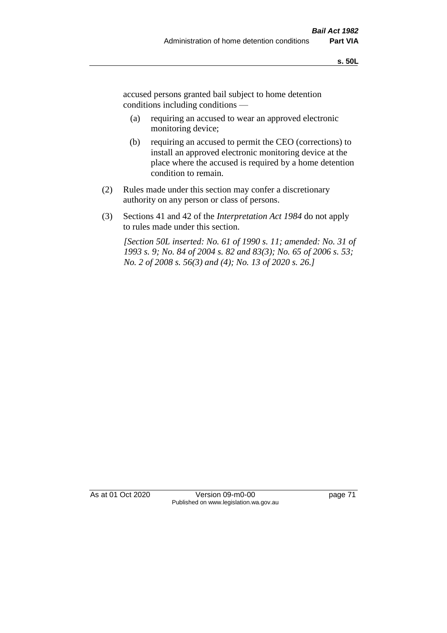accused persons granted bail subject to home detention conditions including conditions —

- (a) requiring an accused to wear an approved electronic monitoring device;
- (b) requiring an accused to permit the CEO (corrections) to install an approved electronic monitoring device at the place where the accused is required by a home detention condition to remain.
- (2) Rules made under this section may confer a discretionary authority on any person or class of persons.
- (3) Sections 41 and 42 of the *Interpretation Act 1984* do not apply to rules made under this section.

*[Section 50L inserted: No. 61 of 1990 s. 11; amended: No. 31 of 1993 s. 9; No. 84 of 2004 s. 82 and 83(3); No. 65 of 2006 s. 53; No. 2 of 2008 s. 56(3) and (4); No. 13 of 2020 s. 26.]* 

As at 01 Oct 2020 Version 09-m0-00 page 71 Published on www.legislation.wa.gov.au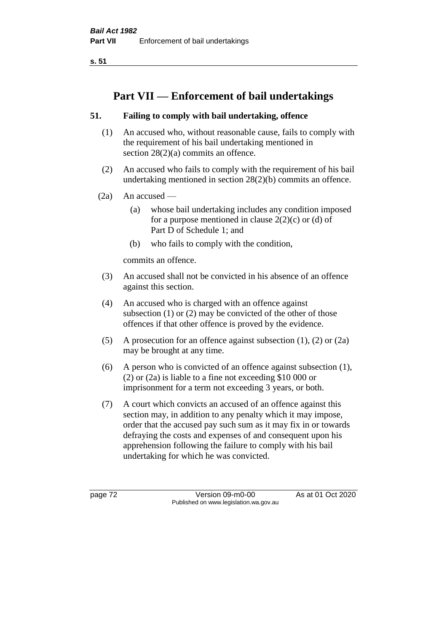**s. 51**

# **Part VII — Enforcement of bail undertakings**

# **51. Failing to comply with bail undertaking, offence**

- (1) An accused who, without reasonable cause, fails to comply with the requirement of his bail undertaking mentioned in section 28(2)(a) commits an offence.
- (2) An accused who fails to comply with the requirement of his bail undertaking mentioned in section 28(2)(b) commits an offence.
- $(2a)$  An accused
	- (a) whose bail undertaking includes any condition imposed for a purpose mentioned in clause  $2(2)(c)$  or (d) of Part D of Schedule 1; and
	- (b) who fails to comply with the condition,

commits an offence.

- (3) An accused shall not be convicted in his absence of an offence against this section.
- (4) An accused who is charged with an offence against subsection (1) or (2) may be convicted of the other of those offences if that other offence is proved by the evidence.
- (5) A prosecution for an offence against subsection (1), (2) or (2a) may be brought at any time.
- (6) A person who is convicted of an offence against subsection (1), (2) or (2a) is liable to a fine not exceeding \$10 000 or imprisonment for a term not exceeding 3 years, or both.
- (7) A court which convicts an accused of an offence against this section may, in addition to any penalty which it may impose, order that the accused pay such sum as it may fix in or towards defraying the costs and expenses of and consequent upon his apprehension following the failure to comply with his bail undertaking for which he was convicted.

page 72 Version 09-m0-00 As at 01 Oct 2020 Published on www.legislation.wa.gov.au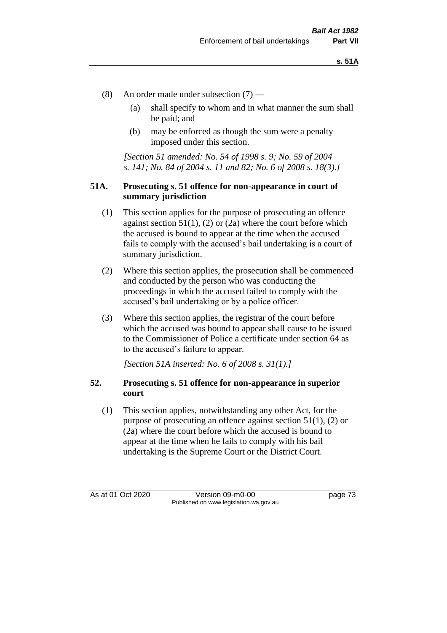- (8) An order made under subsection (7)
	- (a) shall specify to whom and in what manner the sum shall be paid; and
	- (b) may be enforced as though the sum were a penalty imposed under this section.

*[Section 51 amended: No. 54 of 1998 s. 9; No. 59 of 2004 s. 141; No. 84 of 2004 s. 11 and 82; No. 6 of 2008 s. 18(3).]*

### **51A. Prosecuting s. 51 offence for non-appearance in court of summary jurisdiction**

- (1) This section applies for the purpose of prosecuting an offence against section  $51(1)$ , (2) or (2a) where the court before which the accused is bound to appear at the time when the accused fails to comply with the accused's bail undertaking is a court of summary jurisdiction.
- (2) Where this section applies, the prosecution shall be commenced and conducted by the person who was conducting the proceedings in which the accused failed to comply with the accused's bail undertaking or by a police officer.
- (3) Where this section applies, the registrar of the court before which the accused was bound to appear shall cause to be issued to the Commissioner of Police a certificate under section 64 as to the accused's failure to appear.

*[Section 51A inserted: No. 6 of 2008 s. 31(1).]*

# **52. Prosecuting s. 51 offence for non-appearance in superior court**

(1) This section applies, notwithstanding any other Act, for the purpose of prosecuting an offence against section 51(1), (2) or (2a) where the court before which the accused is bound to appear at the time when he fails to comply with his bail undertaking is the Supreme Court or the District Court.

As at 01 Oct 2020 Version 09-m0-00 page 73 Published on www.legislation.wa.gov.au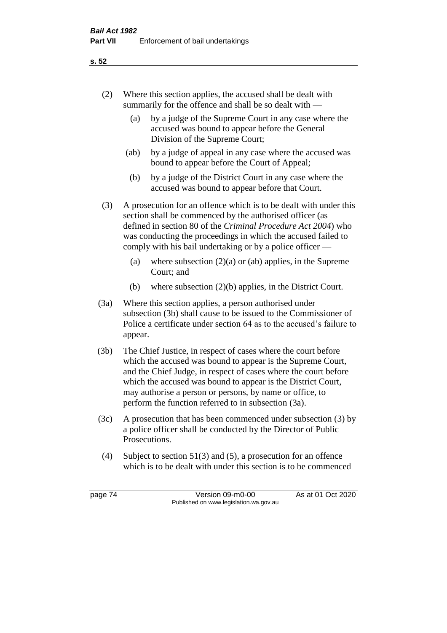- (2) Where this section applies, the accused shall be dealt with summarily for the offence and shall be so dealt with —
	- (a) by a judge of the Supreme Court in any case where the accused was bound to appear before the General Division of the Supreme Court;
	- (ab) by a judge of appeal in any case where the accused was bound to appear before the Court of Appeal;
	- (b) by a judge of the District Court in any case where the accused was bound to appear before that Court.
- (3) A prosecution for an offence which is to be dealt with under this section shall be commenced by the authorised officer (as defined in section 80 of the *Criminal Procedure Act 2004*) who was conducting the proceedings in which the accused failed to comply with his bail undertaking or by a police officer —
	- (a) where subsection  $(2)(a)$  or (ab) applies, in the Supreme Court; and
	- (b) where subsection (2)(b) applies, in the District Court.
- (3a) Where this section applies, a person authorised under subsection (3b) shall cause to be issued to the Commissioner of Police a certificate under section 64 as to the accused's failure to appear.
- (3b) The Chief Justice, in respect of cases where the court before which the accused was bound to appear is the Supreme Court, and the Chief Judge, in respect of cases where the court before which the accused was bound to appear is the District Court, may authorise a person or persons, by name or office, to perform the function referred to in subsection (3a).
- (3c) A prosecution that has been commenced under subsection (3) by a police officer shall be conducted by the Director of Public Prosecutions.
- (4) Subject to section 51(3) and (5), a prosecution for an offence which is to be dealt with under this section is to be commenced

page 74 Version 09-m0-00 As at 01 Oct 2020 Published on www.legislation.wa.gov.au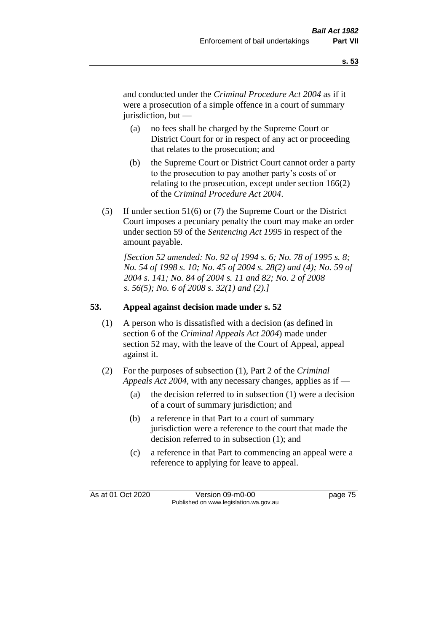and conducted under the *Criminal Procedure Act 2004* as if it were a prosecution of a simple offence in a court of summary jurisdiction, but —

- (a) no fees shall be charged by the Supreme Court or District Court for or in respect of any act or proceeding that relates to the prosecution; and
- (b) the Supreme Court or District Court cannot order a party to the prosecution to pay another party's costs of or relating to the prosecution, except under section 166(2) of the *Criminal Procedure Act 2004*.
- (5) If under section 51(6) or (7) the Supreme Court or the District Court imposes a pecuniary penalty the court may make an order under section 59 of the *Sentencing Act 1995* in respect of the amount payable.

*[Section 52 amended: No. 92 of 1994 s. 6; No. 78 of 1995 s. 8; No. 54 of 1998 s. 10; No. 45 of 2004 s. 28(2) and (4); No. 59 of 2004 s. 141; No. 84 of 2004 s. 11 and 82; No. 2 of 2008 s. 56(5); No. 6 of 2008 s. 32(1) and (2).]* 

# **53. Appeal against decision made under s. 52**

- (1) A person who is dissatisfied with a decision (as defined in section 6 of the *Criminal Appeals Act 2004*) made under section 52 may, with the leave of the Court of Appeal, appeal against it.
- (2) For the purposes of subsection (1), Part 2 of the *Criminal Appeals Act 2004*, with any necessary changes, applies as if —
	- (a) the decision referred to in subsection (1) were a decision of a court of summary jurisdiction; and
	- (b) a reference in that Part to a court of summary jurisdiction were a reference to the court that made the decision referred to in subsection (1); and
	- (c) a reference in that Part to commencing an appeal were a reference to applying for leave to appeal.

As at 01 Oct 2020 Version 09-m0-00 page 75 Published on www.legislation.wa.gov.au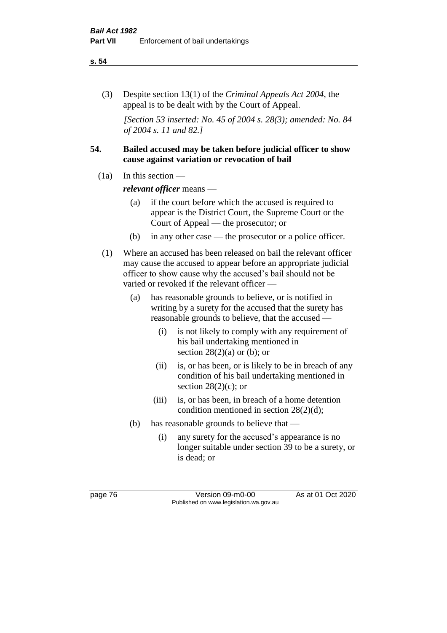#### **s. 54**

(3) Despite section 13(1) of the *Criminal Appeals Act 2004*, the appeal is to be dealt with by the Court of Appeal.

*[Section 53 inserted: No. 45 of 2004 s. 28(3); amended: No. 84 of 2004 s. 11 and 82.]*

# **54. Bailed accused may be taken before judicial officer to show cause against variation or revocation of bail**

 $(1a)$  In this section —

*relevant officer* means —

- (a) if the court before which the accused is required to appear is the District Court, the Supreme Court or the Court of Appeal — the prosecutor; or
- (b) in any other case the prosecutor or a police officer.
- (1) Where an accused has been released on bail the relevant officer may cause the accused to appear before an appropriate judicial officer to show cause why the accused's bail should not be varied or revoked if the relevant officer —
	- (a) has reasonable grounds to believe, or is notified in writing by a surety for the accused that the surety has reasonable grounds to believe, that the accused —
		- (i) is not likely to comply with any requirement of his bail undertaking mentioned in section  $28(2)(a)$  or (b); or
		- (ii) is, or has been, or is likely to be in breach of any condition of his bail undertaking mentioned in section  $28(2)(c)$ ; or
		- (iii) is, or has been, in breach of a home detention condition mentioned in section 28(2)(d);
	- (b) has reasonable grounds to believe that
		- (i) any surety for the accused's appearance is no longer suitable under section 39 to be a surety, or is dead; or

page 76 Version 09-m0-00 As at 01 Oct 2020 Published on www.legislation.wa.gov.au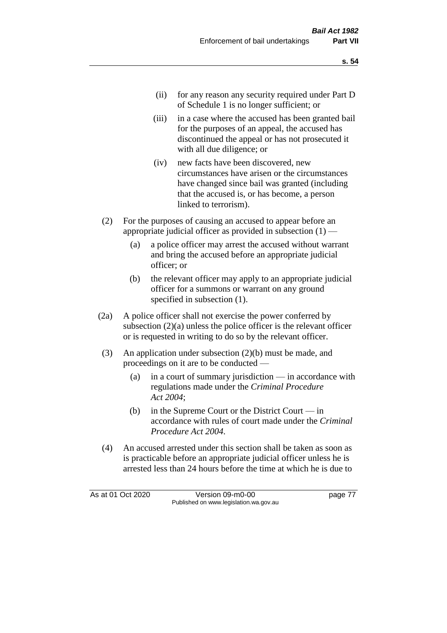- (ii) for any reason any security required under Part D of Schedule 1 is no longer sufficient; or
- (iii) in a case where the accused has been granted bail for the purposes of an appeal, the accused has discontinued the appeal or has not prosecuted it with all due diligence; or
- (iv) new facts have been discovered, new circumstances have arisen or the circumstances have changed since bail was granted (including that the accused is, or has become, a person linked to terrorism).
- (2) For the purposes of causing an accused to appear before an appropriate judicial officer as provided in subsection  $(1)$  —
	- (a) a police officer may arrest the accused without warrant and bring the accused before an appropriate judicial officer; or
	- (b) the relevant officer may apply to an appropriate judicial officer for a summons or warrant on any ground specified in subsection (1).
- (2a) A police officer shall not exercise the power conferred by subsection (2)(a) unless the police officer is the relevant officer or is requested in writing to do so by the relevant officer.
- (3) An application under subsection (2)(b) must be made, and proceedings on it are to be conducted —
	- (a) in a court of summary jurisdiction in accordance with regulations made under the *Criminal Procedure Act 2004*;
	- (b) in the Supreme Court or the District Court  $-\text{in}$ accordance with rules of court made under the *Criminal Procedure Act 2004*.
- (4) An accused arrested under this section shall be taken as soon as is practicable before an appropriate judicial officer unless he is arrested less than 24 hours before the time at which he is due to

As at 01 Oct 2020 Version 09-m0-00 page 77 Published on www.legislation.wa.gov.au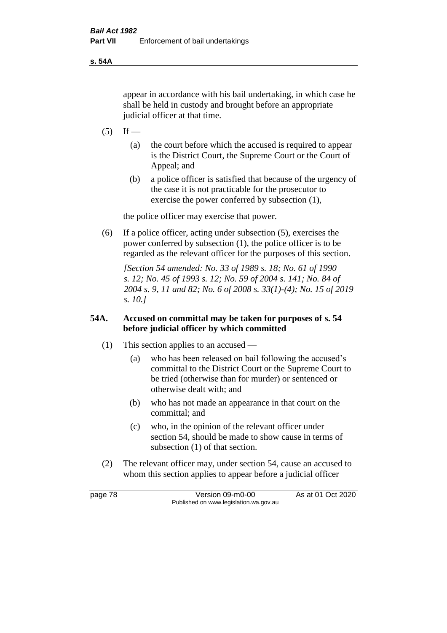**s. 54A**

appear in accordance with his bail undertaking, in which case he shall be held in custody and brought before an appropriate judicial officer at that time.

- $(5)$  If
	- (a) the court before which the accused is required to appear is the District Court, the Supreme Court or the Court of Appeal; and
	- (b) a police officer is satisfied that because of the urgency of the case it is not practicable for the prosecutor to exercise the power conferred by subsection (1),

the police officer may exercise that power.

(6) If a police officer, acting under subsection (5), exercises the power conferred by subsection (1), the police officer is to be regarded as the relevant officer for the purposes of this section.

*[Section 54 amended: No. 33 of 1989 s. 18; No. 61 of 1990 s. 12; No. 45 of 1993 s. 12; No. 59 of 2004 s. 141; No. 84 of 2004 s. 9, 11 and 82; No. 6 of 2008 s. 33(1)-(4); No. 15 of 2019 s. 10.]* 

# **54A. Accused on committal may be taken for purposes of s. 54 before judicial officer by which committed**

- (1) This section applies to an accused
	- (a) who has been released on bail following the accused's committal to the District Court or the Supreme Court to be tried (otherwise than for murder) or sentenced or otherwise dealt with; and
	- (b) who has not made an appearance in that court on the committal; and
	- (c) who, in the opinion of the relevant officer under section 54, should be made to show cause in terms of subsection (1) of that section.
- (2) The relevant officer may, under section 54, cause an accused to whom this section applies to appear before a judicial officer

page 78 Version 09-m0-00 As at 01 Oct 2020 Published on www.legislation.wa.gov.au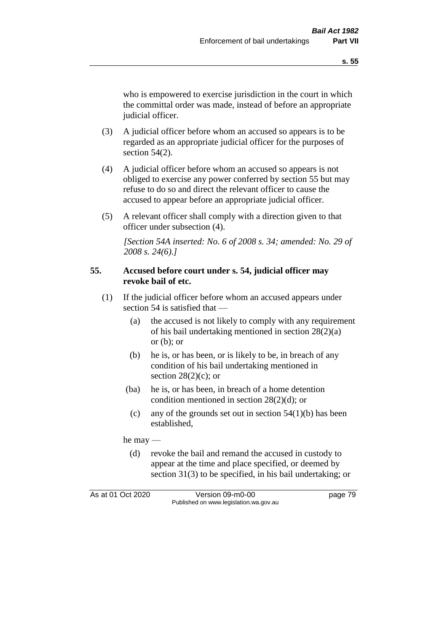who is empowered to exercise jurisdiction in the court in which the committal order was made, instead of before an appropriate judicial officer.

- (3) A judicial officer before whom an accused so appears is to be regarded as an appropriate judicial officer for the purposes of section 54(2).
- (4) A judicial officer before whom an accused so appears is not obliged to exercise any power conferred by section 55 but may refuse to do so and direct the relevant officer to cause the accused to appear before an appropriate judicial officer.
- (5) A relevant officer shall comply with a direction given to that officer under subsection (4).

*[Section 54A inserted: No. 6 of 2008 s. 34; amended: No. 29 of 2008 s. 24(6).]*

### **55. Accused before court under s. 54, judicial officer may revoke bail of etc.**

- (1) If the judicial officer before whom an accused appears under section 54 is satisfied that —
	- (a) the accused is not likely to comply with any requirement of his bail undertaking mentioned in section 28(2)(a) or  $(b)$ ; or
	- (b) he is, or has been, or is likely to be, in breach of any condition of his bail undertaking mentioned in section  $28(2)(c)$ ; or
	- (ba) he is, or has been, in breach of a home detention condition mentioned in section 28(2)(d); or
		- (c) any of the grounds set out in section  $54(1)(b)$  has been established,

he may —

(d) revoke the bail and remand the accused in custody to appear at the time and place specified, or deemed by section 31(3) to be specified, in his bail undertaking; or

As at 01 Oct 2020 Version 09-m0-00 page 79 Published on www.legislation.wa.gov.au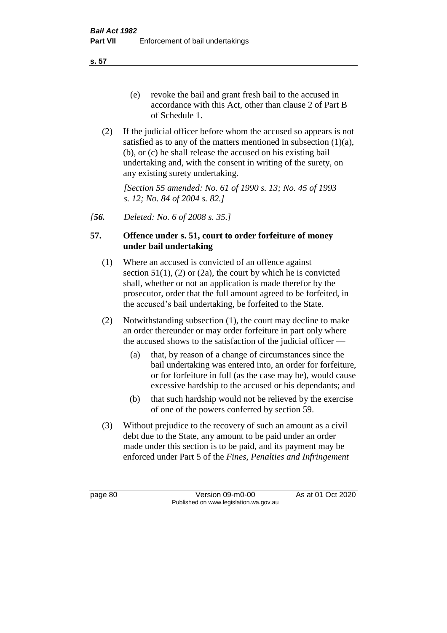**s. 57**

- (e) revoke the bail and grant fresh bail to the accused in accordance with this Act, other than clause 2 of Part B of Schedule 1.
- (2) If the judicial officer before whom the accused so appears is not satisfied as to any of the matters mentioned in subsection (1)(a), (b), or (c) he shall release the accused on his existing bail undertaking and, with the consent in writing of the surety, on any existing surety undertaking.

*[Section 55 amended: No. 61 of 1990 s. 13; No. 45 of 1993 s. 12; No. 84 of 2004 s. 82.]* 

*[56. Deleted: No. 6 of 2008 s. 35.]*

# **57. Offence under s. 51, court to order forfeiture of money under bail undertaking**

- (1) Where an accused is convicted of an offence against section  $51(1)$ ,  $(2)$  or  $(2a)$ , the court by which he is convicted shall, whether or not an application is made therefor by the prosecutor, order that the full amount agreed to be forfeited, in the accused's bail undertaking, be forfeited to the State.
- (2) Notwithstanding subsection (1), the court may decline to make an order thereunder or may order forfeiture in part only where the accused shows to the satisfaction of the judicial officer —
	- (a) that, by reason of a change of circumstances since the bail undertaking was entered into, an order for forfeiture, or for forfeiture in full (as the case may be), would cause excessive hardship to the accused or his dependants; and
	- (b) that such hardship would not be relieved by the exercise of one of the powers conferred by section 59.
- (3) Without prejudice to the recovery of such an amount as a civil debt due to the State, any amount to be paid under an order made under this section is to be paid, and its payment may be enforced under Part 5 of the *Fines, Penalties and Infringement*

page 80 Version 09-m0-00 As at 01 Oct 2020 Published on www.legislation.wa.gov.au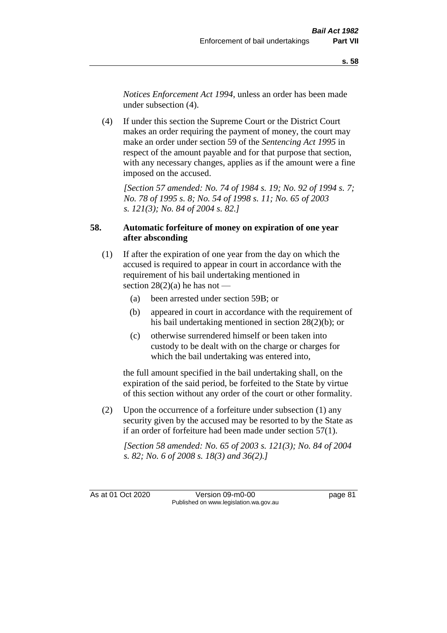*Notices Enforcement Act 1994*, unless an order has been made under subsection (4).

(4) If under this section the Supreme Court or the District Court makes an order requiring the payment of money, the court may make an order under section 59 of the *Sentencing Act 1995* in respect of the amount payable and for that purpose that section, with any necessary changes, applies as if the amount were a fine imposed on the accused.

*[Section 57 amended: No. 74 of 1984 s. 19; No. 92 of 1994 s. 7; No. 78 of 1995 s. 8; No. 54 of 1998 s. 11; No. 65 of 2003 s. 121(3); No. 84 of 2004 s. 82.]* 

# **58. Automatic forfeiture of money on expiration of one year after absconding**

- (1) If after the expiration of one year from the day on which the accused is required to appear in court in accordance with the requirement of his bail undertaking mentioned in section  $28(2)(a)$  he has not —
	- (a) been arrested under section 59B; or
	- (b) appeared in court in accordance with the requirement of his bail undertaking mentioned in section 28(2)(b); or
	- (c) otherwise surrendered himself or been taken into custody to be dealt with on the charge or charges for which the bail undertaking was entered into,

the full amount specified in the bail undertaking shall, on the expiration of the said period, be forfeited to the State by virtue of this section without any order of the court or other formality.

(2) Upon the occurrence of a forfeiture under subsection (1) any security given by the accused may be resorted to by the State as if an order of forfeiture had been made under section 57(1).

*[Section 58 amended: No. 65 of 2003 s. 121(3); No. 84 of 2004 s. 82; No. 6 of 2008 s. 18(3) and 36(2).]*

As at 01 Oct 2020 Version 09-m0-00 page 81 Published on www.legislation.wa.gov.au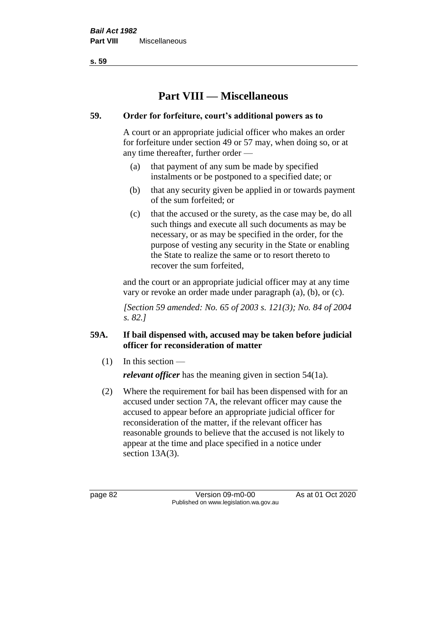**s. 59**

# **Part VIII — Miscellaneous**

# **59. Order for forfeiture, court's additional powers as to**

A court or an appropriate judicial officer who makes an order for forfeiture under section 49 or 57 may, when doing so, or at any time thereafter, further order —

- (a) that payment of any sum be made by specified instalments or be postponed to a specified date; or
- (b) that any security given be applied in or towards payment of the sum forfeited; or
- (c) that the accused or the surety, as the case may be, do all such things and execute all such documents as may be necessary, or as may be specified in the order, for the purpose of vesting any security in the State or enabling the State to realize the same or to resort thereto to recover the sum forfeited,

and the court or an appropriate judicial officer may at any time vary or revoke an order made under paragraph (a), (b), or (c).

*[Section 59 amended: No. 65 of 2003 s. 121(3); No. 84 of 2004 s. 82.]*

# **59A. If bail dispensed with, accused may be taken before judicial officer for reconsideration of matter**

 $(1)$  In this section —

*relevant officer* has the meaning given in section 54(1a).

(2) Where the requirement for bail has been dispensed with for an accused under section 7A, the relevant officer may cause the accused to appear before an appropriate judicial officer for reconsideration of the matter, if the relevant officer has reasonable grounds to believe that the accused is not likely to appear at the time and place specified in a notice under section 13A(3).

page 82 Version 09-m0-00 As at 01 Oct 2020 Published on www.legislation.wa.gov.au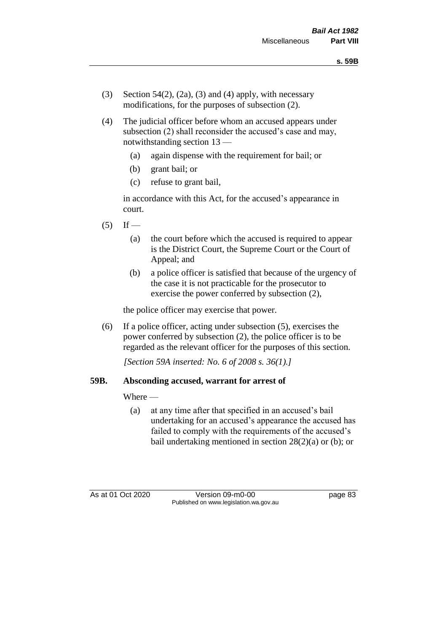- (3) Section 54(2), (2a), (3) and (4) apply, with necessary modifications, for the purposes of subsection (2).
- (4) The judicial officer before whom an accused appears under subsection (2) shall reconsider the accused's case and may, notwithstanding section 13 —
	- (a) again dispense with the requirement for bail; or
	- (b) grant bail; or
	- (c) refuse to grant bail,

in accordance with this Act, for the accused's appearance in court.

- $(5)$  If
	- (a) the court before which the accused is required to appear is the District Court, the Supreme Court or the Court of Appeal; and
	- (b) a police officer is satisfied that because of the urgency of the case it is not practicable for the prosecutor to exercise the power conferred by subsection (2),

the police officer may exercise that power.

(6) If a police officer, acting under subsection (5), exercises the power conferred by subsection (2), the police officer is to be regarded as the relevant officer for the purposes of this section.

*[Section 59A inserted: No. 6 of 2008 s. 36(1).]*

# **59B. Absconding accused, warrant for arrest of**

Where —

(a) at any time after that specified in an accused's bail undertaking for an accused's appearance the accused has failed to comply with the requirements of the accused's bail undertaking mentioned in section  $28(2)(a)$  or (b); or

As at 01 Oct 2020 Version 09-m0-00 page 83 Published on www.legislation.wa.gov.au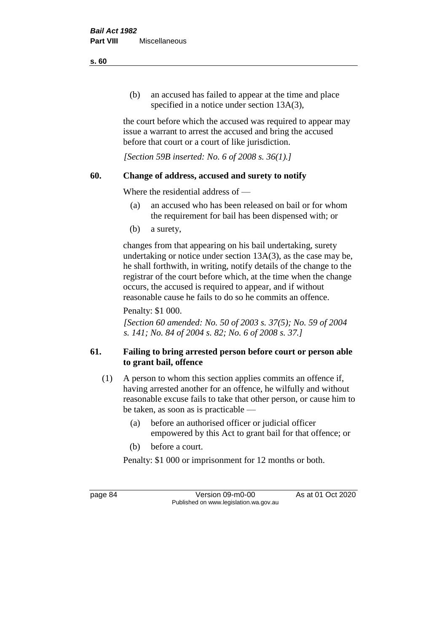(b) an accused has failed to appear at the time and place specified in a notice under section 13A(3),

the court before which the accused was required to appear may issue a warrant to arrest the accused and bring the accused before that court or a court of like jurisdiction.

*[Section 59B inserted: No. 6 of 2008 s. 36(1).]*

# **60. Change of address, accused and surety to notify**

Where the residential address of —

- (a) an accused who has been released on bail or for whom the requirement for bail has been dispensed with; or
- (b) a surety,

changes from that appearing on his bail undertaking, surety undertaking or notice under section 13A(3), as the case may be, he shall forthwith, in writing, notify details of the change to the registrar of the court before which, at the time when the change occurs, the accused is required to appear, and if without reasonable cause he fails to do so he commits an offence.

Penalty: \$1 000.

*[Section 60 amended: No. 50 of 2003 s. 37(5); No. 59 of 2004 s. 141; No. 84 of 2004 s. 82; No. 6 of 2008 s. 37.]*

# **61. Failing to bring arrested person before court or person able to grant bail, offence**

- (1) A person to whom this section applies commits an offence if, having arrested another for an offence, he wilfully and without reasonable excuse fails to take that other person, or cause him to be taken, as soon as is practicable —
	- (a) before an authorised officer or judicial officer empowered by this Act to grant bail for that offence; or
	- (b) before a court.

Penalty: \$1 000 or imprisonment for 12 months or both.

page 84 Version 09-m0-00 As at 01 Oct 2020 Published on www.legislation.wa.gov.au

**s. 60**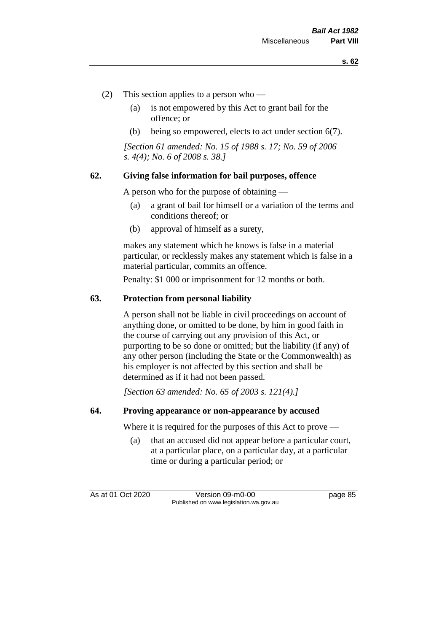- (2) This section applies to a person who
	- (a) is not empowered by this Act to grant bail for the offence; or
	- (b) being so empowered, elects to act under section 6(7).

*[Section 61 amended: No. 15 of 1988 s. 17; No. 59 of 2006 s. 4(4); No. 6 of 2008 s. 38.]* 

#### **62. Giving false information for bail purposes, offence**

A person who for the purpose of obtaining —

- (a) a grant of bail for himself or a variation of the terms and conditions thereof; or
- (b) approval of himself as a surety,

makes any statement which he knows is false in a material particular, or recklessly makes any statement which is false in a material particular, commits an offence.

Penalty: \$1 000 or imprisonment for 12 months or both.

#### **63. Protection from personal liability**

A person shall not be liable in civil proceedings on account of anything done, or omitted to be done, by him in good faith in the course of carrying out any provision of this Act, or purporting to be so done or omitted; but the liability (if any) of any other person (including the State or the Commonwealth) as his employer is not affected by this section and shall be determined as if it had not been passed.

*[Section 63 amended: No. 65 of 2003 s. 121(4).]*

#### **64. Proving appearance or non-appearance by accused**

Where it is required for the purposes of this Act to prove —

(a) that an accused did not appear before a particular court, at a particular place, on a particular day, at a particular time or during a particular period; or

As at 01 Oct 2020 Version 09-m0-00 page 85 Published on www.legislation.wa.gov.au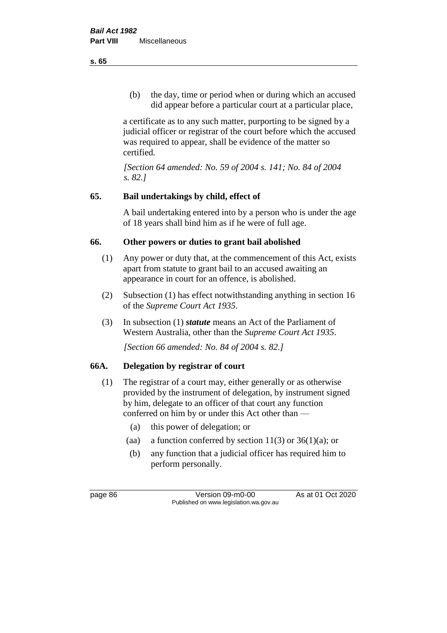(b) the day, time or period when or during which an accused did appear before a particular court at a particular place,

a certificate as to any such matter, purporting to be signed by a judicial officer or registrar of the court before which the accused was required to appear, shall be evidence of the matter so certified.

*[Section 64 amended: No. 59 of 2004 s. 141; No. 84 of 2004 s. 82.]* 

# **65. Bail undertakings by child, effect of**

A bail undertaking entered into by a person who is under the age of 18 years shall bind him as if he were of full age.

# **66. Other powers or duties to grant bail abolished**

- (1) Any power or duty that, at the commencement of this Act, exists apart from statute to grant bail to an accused awaiting an appearance in court for an offence, is abolished.
- (2) Subsection (1) has effect notwithstanding anything in section 16 of the *Supreme Court Act 1935*.
- (3) In subsection (1) *statute* means an Act of the Parliament of Western Australia, other than the *Supreme Court Act 1935*.

*[Section 66 amended: No. 84 of 2004 s. 82.]*

# **66A. Delegation by registrar of court**

- (1) The registrar of a court may, either generally or as otherwise provided by the instrument of delegation, by instrument signed by him, delegate to an officer of that court any function conferred on him by or under this Act other than —
	- (a) this power of delegation; or
	- (aa) a function conferred by section  $11(3)$  or  $36(1)(a)$ ; or
	- (b) any function that a judicial officer has required him to perform personally.

page 86 Version 09-m0-00 As at 01 Oct 2020 Published on www.legislation.wa.gov.au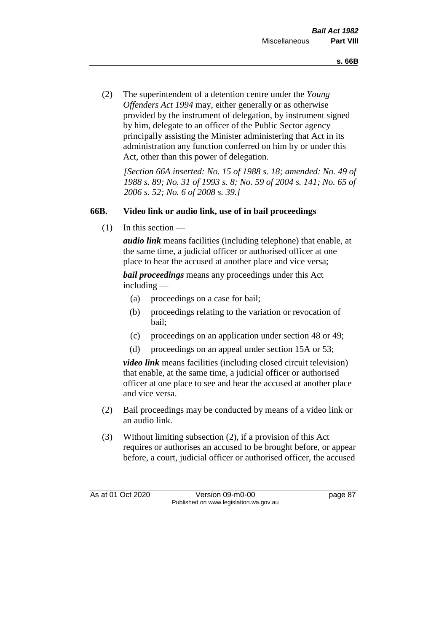(2) The superintendent of a detention centre under the *Young Offenders Act 1994* may, either generally or as otherwise provided by the instrument of delegation, by instrument signed by him, delegate to an officer of the Public Sector agency principally assisting the Minister administering that Act in its administration any function conferred on him by or under this Act, other than this power of delegation.

*[Section 66A inserted: No. 15 of 1988 s. 18; amended: No. 49 of 1988 s. 89; No. 31 of 1993 s. 8; No. 59 of 2004 s. 141; No. 65 of 2006 s. 52; No. 6 of 2008 s. 39.]* 

# **66B. Video link or audio link, use of in bail proceedings**

 $(1)$  In this section —

*audio link* means facilities (including telephone) that enable, at the same time, a judicial officer or authorised officer at one place to hear the accused at another place and vice versa;

*bail proceedings* means any proceedings under this Act including —

- (a) proceedings on a case for bail;
- (b) proceedings relating to the variation or revocation of bail;
- (c) proceedings on an application under section 48 or 49;
- (d) proceedings on an appeal under section 15A or 53;

*video link* means facilities (including closed circuit television) that enable, at the same time, a judicial officer or authorised officer at one place to see and hear the accused at another place and vice versa.

- (2) Bail proceedings may be conducted by means of a video link or an audio link.
- (3) Without limiting subsection (2), if a provision of this Act requires or authorises an accused to be brought before, or appear before, a court, judicial officer or authorised officer, the accused

As at 01 Oct 2020 Version 09-m0-00 page 87 Published on www.legislation.wa.gov.au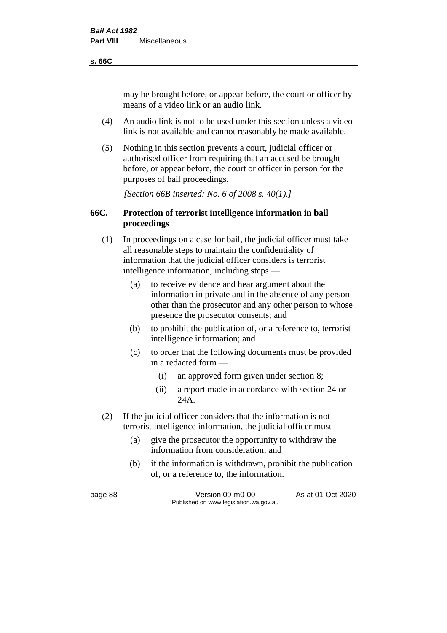#### **s. 66C**

may be brought before, or appear before, the court or officer by means of a video link or an audio link.

- (4) An audio link is not to be used under this section unless a video link is not available and cannot reasonably be made available.
- (5) Nothing in this section prevents a court, judicial officer or authorised officer from requiring that an accused be brought before, or appear before, the court or officer in person for the purposes of bail proceedings.

*[Section 66B inserted: No. 6 of 2008 s. 40(1).]*

# **66C. Protection of terrorist intelligence information in bail proceedings**

- (1) In proceedings on a case for bail, the judicial officer must take all reasonable steps to maintain the confidentiality of information that the judicial officer considers is terrorist intelligence information, including steps —
	- (a) to receive evidence and hear argument about the information in private and in the absence of any person other than the prosecutor and any other person to whose presence the prosecutor consents; and
	- (b) to prohibit the publication of, or a reference to, terrorist intelligence information; and
	- (c) to order that the following documents must be provided in a redacted form —
		- (i) an approved form given under section 8;
		- (ii) a report made in accordance with section 24 or 24A.
- (2) If the judicial officer considers that the information is not terrorist intelligence information, the judicial officer must —
	- (a) give the prosecutor the opportunity to withdraw the information from consideration; and
	- (b) if the information is withdrawn, prohibit the publication of, or a reference to, the information.

page 88 Version 09-m0-00 As at 01 Oct 2020 Published on www.legislation.wa.gov.au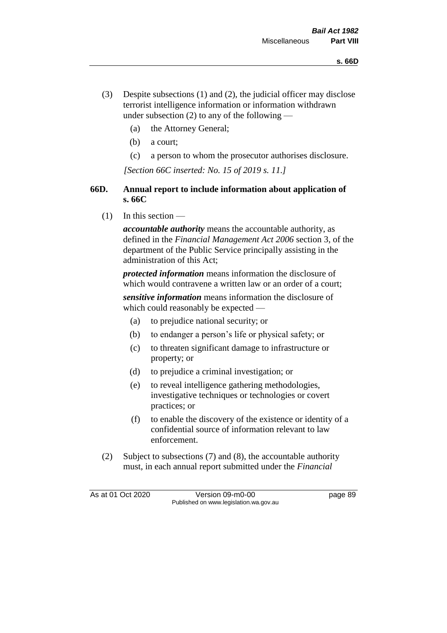- (3) Despite subsections (1) and (2), the judicial officer may disclose terrorist intelligence information or information withdrawn under subsection  $(2)$  to any of the following —
	- (a) the Attorney General;
	- (b) a court;
	- (c) a person to whom the prosecutor authorises disclosure.

*[Section 66C inserted: No. 15 of 2019 s. 11.]*

# **66D. Annual report to include information about application of s. 66C**

 $(1)$  In this section —

*accountable authority* means the accountable authority, as defined in the *Financial Management Act 2006* section 3, of the department of the Public Service principally assisting in the administration of this Act;

*protected information* means information the disclosure of which would contravene a written law or an order of a court;

*sensitive information* means information the disclosure of which could reasonably be expected —

- (a) to prejudice national security; or
- (b) to endanger a person's life or physical safety; or
- (c) to threaten significant damage to infrastructure or property; or
- (d) to prejudice a criminal investigation; or
- (e) to reveal intelligence gathering methodologies, investigative techniques or technologies or covert practices; or
- (f) to enable the discovery of the existence or identity of a confidential source of information relevant to law enforcement.
- (2) Subject to subsections (7) and (8), the accountable authority must, in each annual report submitted under the *Financial*

As at 01 Oct 2020 Version 09-m0-00 page 89 Published on www.legislation.wa.gov.au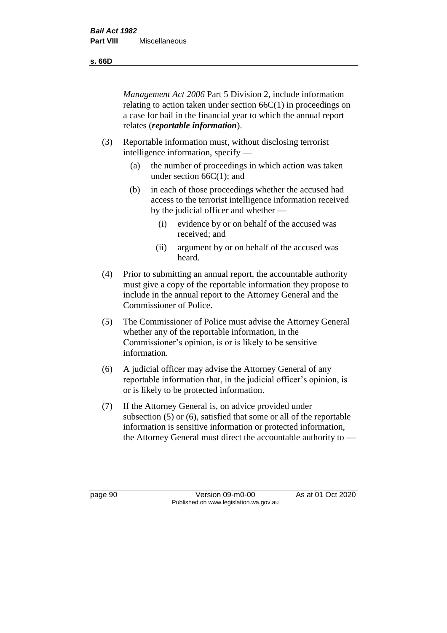**s. 66D**

*Management Act 2006* Part 5 Division 2, include information relating to action taken under section 66C(1) in proceedings on a case for bail in the financial year to which the annual report relates (*reportable information*).

- (3) Reportable information must, without disclosing terrorist intelligence information, specify —
	- (a) the number of proceedings in which action was taken under section 66C(1); and
	- (b) in each of those proceedings whether the accused had access to the terrorist intelligence information received by the judicial officer and whether —
		- (i) evidence by or on behalf of the accused was received; and
		- (ii) argument by or on behalf of the accused was heard.
- (4) Prior to submitting an annual report, the accountable authority must give a copy of the reportable information they propose to include in the annual report to the Attorney General and the Commissioner of Police.
- (5) The Commissioner of Police must advise the Attorney General whether any of the reportable information, in the Commissioner's opinion, is or is likely to be sensitive information.
- (6) A judicial officer may advise the Attorney General of any reportable information that, in the judicial officer's opinion, is or is likely to be protected information.
- (7) If the Attorney General is, on advice provided under subsection (5) or (6), satisfied that some or all of the reportable information is sensitive information or protected information, the Attorney General must direct the accountable authority to —

page 90 Version 09-m0-00 As at 01 Oct 2020 Published on www.legislation.wa.gov.au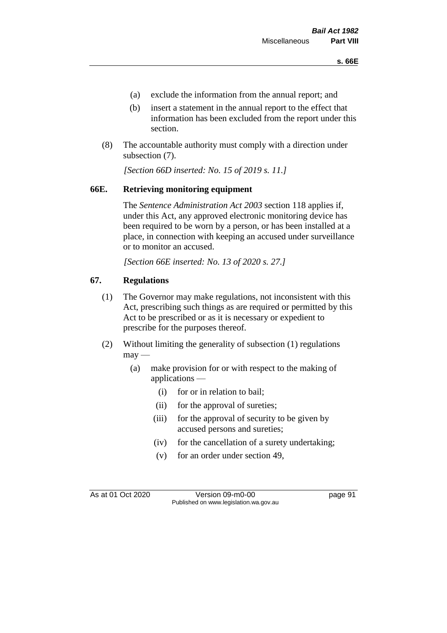- (a) exclude the information from the annual report; and
- (b) insert a statement in the annual report to the effect that information has been excluded from the report under this section.
- (8) The accountable authority must comply with a direction under subsection (7).

*[Section 66D inserted: No. 15 of 2019 s. 11.]*

# **66E. Retrieving monitoring equipment**

The *Sentence Administration Act 2003* section 118 applies if, under this Act, any approved electronic monitoring device has been required to be worn by a person, or has been installed at a place, in connection with keeping an accused under surveillance or to monitor an accused.

*[Section 66E inserted: No. 13 of 2020 s. 27.]*

# **67. Regulations**

- (1) The Governor may make regulations, not inconsistent with this Act, prescribing such things as are required or permitted by this Act to be prescribed or as it is necessary or expedient to prescribe for the purposes thereof.
- (2) Without limiting the generality of subsection (1) regulations  $may -$ 
	- (a) make provision for or with respect to the making of applications —
		- (i) for or in relation to bail;
		- (ii) for the approval of sureties;
		- (iii) for the approval of security to be given by accused persons and sureties;
		- (iv) for the cancellation of a surety undertaking;
		- (v) for an order under section 49,

As at 01 Oct 2020 Version 09-m0-00 page 91 Published on www.legislation.wa.gov.au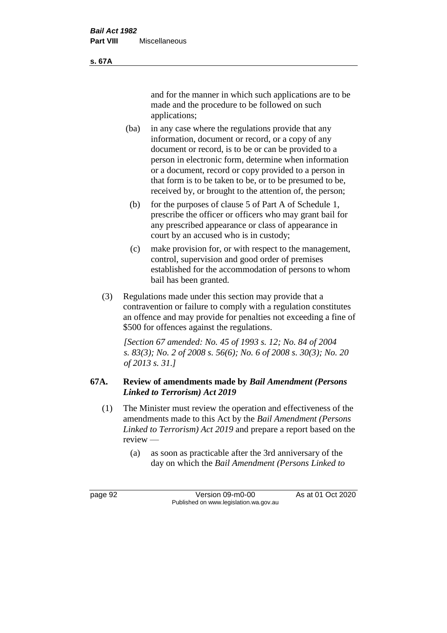and for the manner in which such applications are to be made and the procedure to be followed on such applications;

- (ba) in any case where the regulations provide that any information, document or record, or a copy of any document or record, is to be or can be provided to a person in electronic form, determine when information or a document, record or copy provided to a person in that form is to be taken to be, or to be presumed to be, received by, or brought to the attention of, the person;
	- (b) for the purposes of clause 5 of Part A of Schedule 1, prescribe the officer or officers who may grant bail for any prescribed appearance or class of appearance in court by an accused who is in custody;
	- (c) make provision for, or with respect to the management, control, supervision and good order of premises established for the accommodation of persons to whom bail has been granted.
- (3) Regulations made under this section may provide that a contravention or failure to comply with a regulation constitutes an offence and may provide for penalties not exceeding a fine of \$500 for offences against the regulations.

*[Section 67 amended: No. 45 of 1993 s. 12; No. 84 of 2004 s. 83(3); No. 2 of 2008 s. 56(6); No. 6 of 2008 s. 30(3); No. 20 of 2013 s. 31.]* 

# **67A. Review of amendments made by** *Bail Amendment (Persons Linked to Terrorism) Act 2019*

- (1) The Minister must review the operation and effectiveness of the amendments made to this Act by the *Bail Amendment (Persons Linked to Terrorism) Act 2019* and prepare a report based on the review —
	- (a) as soon as practicable after the 3rd anniversary of the day on which the *Bail Amendment (Persons Linked to*

page 92 Version 09-m0-00 As at 01 Oct 2020 Published on www.legislation.wa.gov.au

**s. 67A**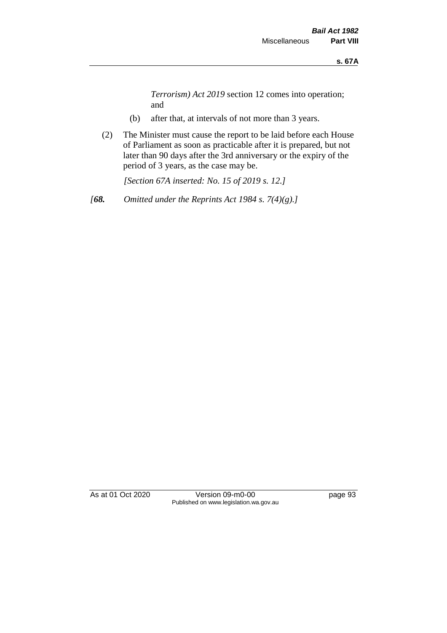*Terrorism) Act 2019* section 12 comes into operation; and

- (b) after that, at intervals of not more than 3 years.
- (2) The Minister must cause the report to be laid before each House of Parliament as soon as practicable after it is prepared, but not later than 90 days after the 3rd anniversary or the expiry of the period of 3 years, as the case may be.

*[Section 67A inserted: No. 15 of 2019 s. 12.]*

*[68. Omitted under the Reprints Act 1984 s. 7(4)(g).]*

As at 01 Oct 2020 Version 09-m0-00 page 93 Published on www.legislation.wa.gov.au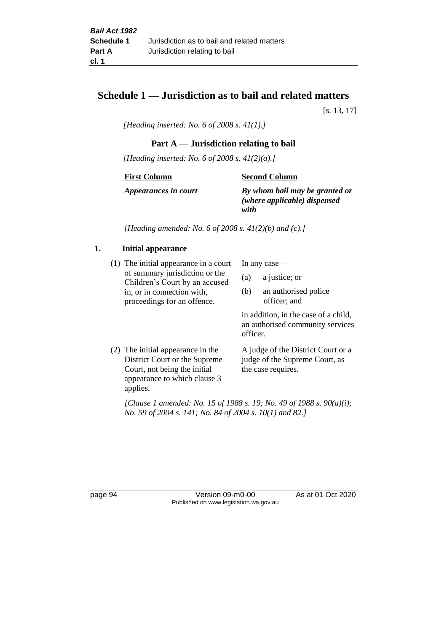# **Schedule 1 — Jurisdiction as to bail and related matters**

[s. 13, 17]

*[Heading inserted: No. 6 of 2008 s. 41(1).]*

# **Part A** — **Jurisdiction relating to bail**

*[Heading inserted: No. 6 of 2008 s. 41(2)(a).]*

**First Column**

**Second Column**

*Appearances in court*

*By whom bail may be granted or (where applicable) dispensed* 

*with*

*[Heading amended: No. 6 of 2008 s. 41(2)(b) and (c).]*

# **1. Initial appearance**

(1) The initial appearance in a court of summary jurisdiction or the Children's Court by an accused in, or in connection with, proceedings for an offence.

In any case —

- (a) a justice; or
- (b) an authorised police officer; and

in addition, in the case of a child, an authorised community services officer.

(2) The initial appearance in the District Court or the Supreme Court, not being the initial appearance to which clause 3 applies.

A judge of the District Court or a judge of the Supreme Court, as the case requires.

*[Clause 1 amended: No. 15 of 1988 s. 19; No. 49 of 1988 s. 90(a)(i); No. 59 of 2004 s. 141; No. 84 of 2004 s. 10(1) and 82.]*

page 94 Version 09-m0-00 As at 01 Oct 2020 Published on www.legislation.wa.gov.au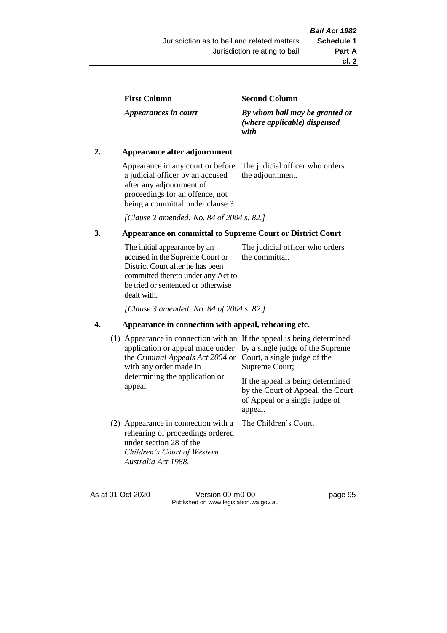| <b>First Column</b> |
|---------------------|
|---------------------|

*Appearances in court*

#### **Second Column**

*By whom bail may be granted or (where applicable) dispensed with*

# **2. Appearance after adjournment**

Appearance in any court or before a judicial officer by an accused after any adjournment of proceedings for an offence, not being a committal under clause 3.

The judicial officer who orders the adjournment.

*[Clause 2 amended: No. 84 of 2004 s. 82.]*

# **3. Appearance on committal to Supreme Court or District Court**

The initial appearance by an accused in the Supreme Court or District Court after he has been committed thereto under any Act to be tried or sentenced or otherwise dealt with. The judicial officer who orders the committal.

*[Clause 3 amended: No. 84 of 2004 s. 82.]*

# **4. Appearance in connection with appeal, rehearing etc.**

| (1) Appearance in connection with an If the appeal is being determined<br>application or appeal made under<br>the Criminal Appeals Act 2004 or<br>with any order made in<br>determining the application or<br>appeal. | by a single judge of the Supreme<br>Court, a single judge of the<br>Supreme Court;<br>If the appeal is being determined<br>by the Court of Appeal, the Court<br>of Appeal or a single judge of<br>appeal. |
|-----------------------------------------------------------------------------------------------------------------------------------------------------------------------------------------------------------------------|-----------------------------------------------------------------------------------------------------------------------------------------------------------------------------------------------------------|
| (2) Appearance in connection with a<br>rehearing of proceedings ordered<br>under section 28 of the<br>Children's Court of Western<br>Australia Act 1988.                                                              | The Children's Court.                                                                                                                                                                                     |

As at 01 Oct 2020 Version 09-m0-00 page 95 Published on www.legislation.wa.gov.au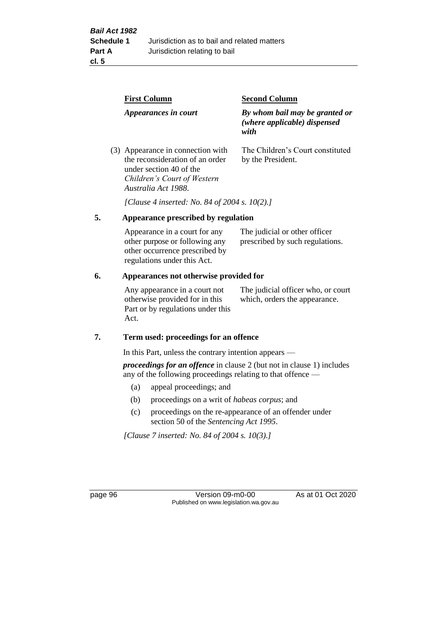|    | <b>First Column</b>                                                                                                                                   | <b>Second Column</b>                                                   |  |
|----|-------------------------------------------------------------------------------------------------------------------------------------------------------|------------------------------------------------------------------------|--|
|    | Appearances in court                                                                                                                                  | By whom bail may be granted or<br>(where applicable) dispensed<br>with |  |
|    | (3) Appearance in connection with<br>the reconsideration of an order<br>under section 40 of the<br>Children's Court of Western<br>Australia Act 1988. | The Children's Court constituted<br>by the President.                  |  |
|    | [Clause 4 inserted: No. 84 of 2004 s. 10(2).]                                                                                                         |                                                                        |  |
| 5. | Appearance prescribed by regulation                                                                                                                   |                                                                        |  |
|    | Appearance in a court for any<br>other purpose or following any<br>other occurrence prescribed by                                                     | The judicial or other officer<br>prescribed by such regulations.       |  |

#### **6. Appearances not otherwise provided for**

regulations under this Act.

Any appearance in a court not otherwise provided for in this Part or by regulations under this Act.

The judicial officer who, or court which, orders the appearance.

#### **7. Term used: proceedings for an offence**

In this Part, unless the contrary intention appears —

*proceedings for an offence* in clause 2 (but not in clause 1) includes any of the following proceedings relating to that offence —

- (a) appeal proceedings; and
- (b) proceedings on a writ of *habeas corpus*; and
- (c) proceedings on the re-appearance of an offender under section 50 of the *Sentencing Act 1995*.

*[Clause 7 inserted: No. 84 of 2004 s. 10(3).]*

page 96 Version 09-m0-00 As at 01 Oct 2020 Published on www.legislation.wa.gov.au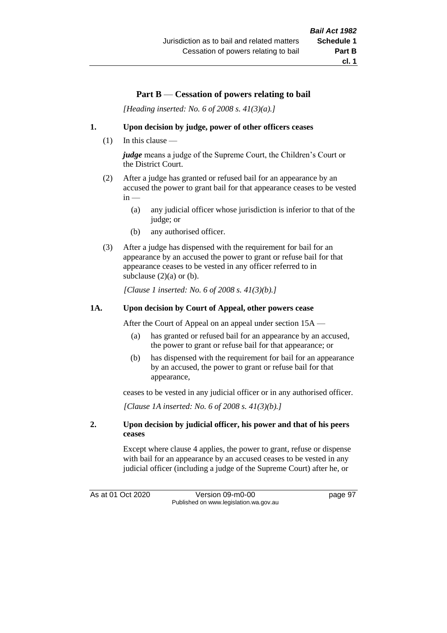# **Part B** — **Cessation of powers relating to bail**

*[Heading inserted: No. 6 of 2008 s. 41(3)(a).]*

#### **1. Upon decision by judge, power of other officers ceases**

(1) In this clause —

*judge* means a judge of the Supreme Court, the Children's Court or the District Court.

- (2) After a judge has granted or refused bail for an appearance by an accused the power to grant bail for that appearance ceases to be vested  $in -$ 
	- (a) any judicial officer whose jurisdiction is inferior to that of the judge; or
	- (b) any authorised officer.
- (3) After a judge has dispensed with the requirement for bail for an appearance by an accused the power to grant or refuse bail for that appearance ceases to be vested in any officer referred to in subclause  $(2)(a)$  or  $(b)$ .

*[Clause 1 inserted: No. 6 of 2008 s. 41(3)(b).]*

#### **1A. Upon decision by Court of Appeal, other powers cease**

After the Court of Appeal on an appeal under section 15A —

- (a) has granted or refused bail for an appearance by an accused, the power to grant or refuse bail for that appearance; or
- (b) has dispensed with the requirement for bail for an appearance by an accused, the power to grant or refuse bail for that appearance,

ceases to be vested in any judicial officer or in any authorised officer.

*[Clause 1A inserted: No. 6 of 2008 s. 41(3)(b).]*

#### **2. Upon decision by judicial officer, his power and that of his peers ceases**

Except where clause 4 applies, the power to grant, refuse or dispense with bail for an appearance by an accused ceases to be vested in any judicial officer (including a judge of the Supreme Court) after he, or

As at 01 Oct 2020 Version 09-m0-00 page 97 Published on www.legislation.wa.gov.au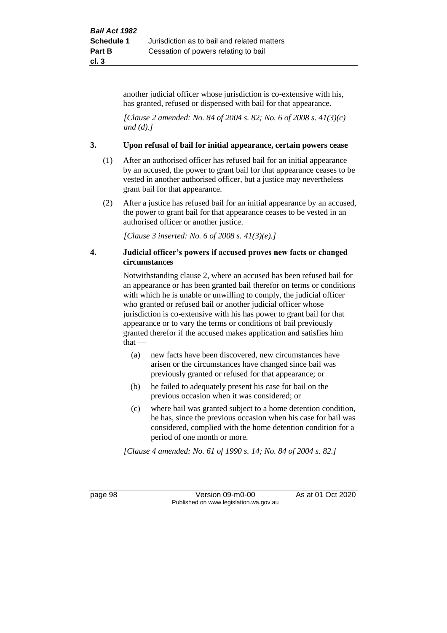another judicial officer whose jurisdiction is co-extensive with his, has granted, refused or dispensed with bail for that appearance.

*[Clause 2 amended: No. 84 of 2004 s. 82; No. 6 of 2008 s. 41(3)(c) and (d).]*

#### **3. Upon refusal of bail for initial appearance, certain powers cease**

- (1) After an authorised officer has refused bail for an initial appearance by an accused, the power to grant bail for that appearance ceases to be vested in another authorised officer, but a justice may nevertheless grant bail for that appearance.
- (2) After a justice has refused bail for an initial appearance by an accused, the power to grant bail for that appearance ceases to be vested in an authorised officer or another justice.

*[Clause 3 inserted: No. 6 of 2008 s. 41(3)(e).]*

#### **4. Judicial officer's powers if accused proves new facts or changed circumstances**

Notwithstanding clause 2, where an accused has been refused bail for an appearance or has been granted bail therefor on terms or conditions with which he is unable or unwilling to comply, the judicial officer who granted or refused bail or another judicial officer whose jurisdiction is co-extensive with his has power to grant bail for that appearance or to vary the terms or conditions of bail previously granted therefor if the accused makes application and satisfies him  $that -$ 

- (a) new facts have been discovered, new circumstances have arisen or the circumstances have changed since bail was previously granted or refused for that appearance; or
- (b) he failed to adequately present his case for bail on the previous occasion when it was considered; or
- (c) where bail was granted subject to a home detention condition, he has, since the previous occasion when his case for bail was considered, complied with the home detention condition for a period of one month or more.

*[Clause 4 amended: No. 61 of 1990 s. 14; No. 84 of 2004 s. 82.]*

page 98 Version 09-m0-00 As at 01 Oct 2020 Published on www.legislation.wa.gov.au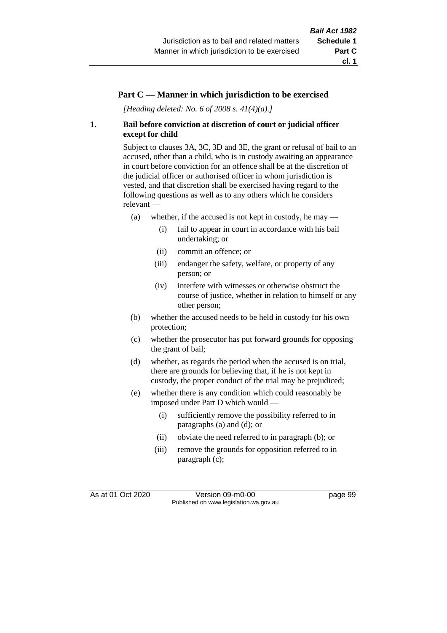## **Part C — Manner in which jurisdiction to be exercised**

*[Heading deleted: No. 6 of 2008 s. 41(4)(a).]*

## **1. Bail before conviction at discretion of court or judicial officer except for child**

Subject to clauses 3A, 3C, 3D and 3E, the grant or refusal of bail to an accused, other than a child, who is in custody awaiting an appearance in court before conviction for an offence shall be at the discretion of the judicial officer or authorised officer in whom jurisdiction is vested, and that discretion shall be exercised having regard to the following questions as well as to any others which he considers relevant —

- (a) whether, if the accused is not kept in custody, he may
	- (i) fail to appear in court in accordance with his bail undertaking; or
	- (ii) commit an offence; or
	- (iii) endanger the safety, welfare, or property of any person; or
	- (iv) interfere with witnesses or otherwise obstruct the course of justice, whether in relation to himself or any other person;
- (b) whether the accused needs to be held in custody for his own protection;
- (c) whether the prosecutor has put forward grounds for opposing the grant of bail;
- (d) whether, as regards the period when the accused is on trial, there are grounds for believing that, if he is not kept in custody, the proper conduct of the trial may be prejudiced;
- (e) whether there is any condition which could reasonably be imposed under Part D which would —
	- (i) sufficiently remove the possibility referred to in paragraphs (a) and (d); or
	- (ii) obviate the need referred to in paragraph (b); or
	- (iii) remove the grounds for opposition referred to in paragraph (c);

As at 01 Oct 2020 Version 09-m0-00 page 99 Published on www.legislation.wa.gov.au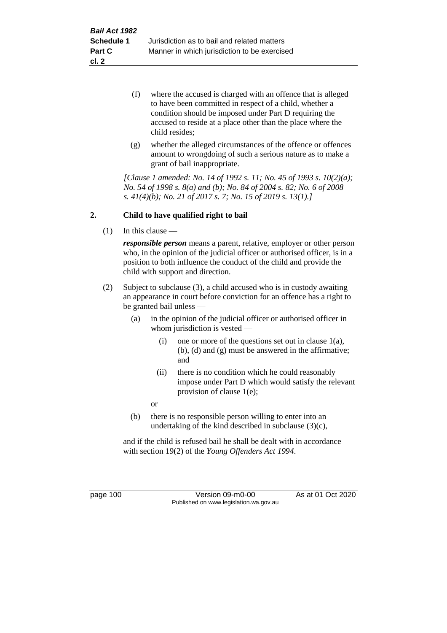- (f) where the accused is charged with an offence that is alleged to have been committed in respect of a child, whether a condition should be imposed under Part D requiring the accused to reside at a place other than the place where the child resides;
- (g) whether the alleged circumstances of the offence or offences amount to wrongdoing of such a serious nature as to make a grant of bail inappropriate.

*[Clause 1 amended: No. 14 of 1992 s. 11; No. 45 of 1993 s. 10(2)(a); No. 54 of 1998 s. 8(a) and (b); No. 84 of 2004 s. 82; No. 6 of 2008 s. 41(4)(b); No. 21 of 2017 s. 7; No. 15 of 2019 s. 13(1).]*

## **2. Child to have qualified right to bail**

(1) In this clause —

*responsible person* means a parent, relative, employer or other person who, in the opinion of the judicial officer or authorised officer, is in a position to both influence the conduct of the child and provide the child with support and direction.

- (2) Subject to subclause (3), a child accused who is in custody awaiting an appearance in court before conviction for an offence has a right to be granted bail unless —
	- (a) in the opinion of the judicial officer or authorised officer in whom jurisdiction is vested —
		- (i) one or more of the questions set out in clause  $1(a)$ , (b), (d) and (g) must be answered in the affirmative; and
		- (ii) there is no condition which he could reasonably impose under Part D which would satisfy the relevant provision of clause 1(e);

or

(b) there is no responsible person willing to enter into an undertaking of the kind described in subclause (3)(c),

and if the child is refused bail he shall be dealt with in accordance with section 19(2) of the *Young Offenders Act 1994*.

page 100 Version 09-m0-00 As at 01 Oct 2020 Published on www.legislation.wa.gov.au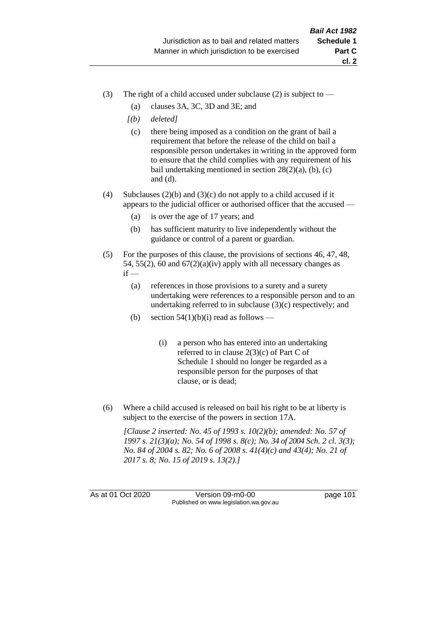- (3) The right of a child accused under subclause (2) is subject to  $-$ 
	- (a) clauses 3A, 3C, 3D and 3E; and
	- *[(b) deleted]*
	- (c) there being imposed as a condition on the grant of bail a requirement that before the release of the child on bail a responsible person undertakes in writing in the approved form to ensure that the child complies with any requirement of his bail undertaking mentioned in section  $28(2)(a)$ , (b), (c) and (d).
- (4) Subclauses (2)(b) and (3)(c) do not apply to a child accused if it appears to the judicial officer or authorised officer that the accused —
	- (a) is over the age of 17 years; and
	- (b) has sufficient maturity to live independently without the guidance or control of a parent or guardian.
- (5) For the purposes of this clause, the provisions of sections 46, 47, 48, 54, 55(2), 60 and  $67(2)(a)(iv)$  apply with all necessary changes as  $if -$ 
	- (a) references in those provisions to a surety and a surety undertaking were references to a responsible person and to an undertaking referred to in subclause (3)(c) respectively; and
	- (b) section  $54(1)(b)(i)$  read as follows
		- (i) a person who has entered into an undertaking referred to in clause 2(3)(c) of Part C of Schedule 1 should no longer be regarded as a responsible person for the purposes of that clause, or is dead;
- (6) Where a child accused is released on bail his right to be at liberty is subject to the exercise of the powers in section 17A.

*[Clause 2 inserted: No. 45 of 1993 s. 10(2)(b); amended: No. 57 of 1997 s. 21(3)(a); No. 54 of 1998 s. 8(c); No. 34 of 2004 Sch. 2 cl. 3(3); No. 84 of 2004 s. 82; No. 6 of 2008 s. 41(4)(c) and 43(4); No. 21 of 2017 s. 8; No. 15 of 2019 s. 13(2).]*

As at 01 Oct 2020 Version 09-m0-00 page 101 Published on www.legislation.wa.gov.au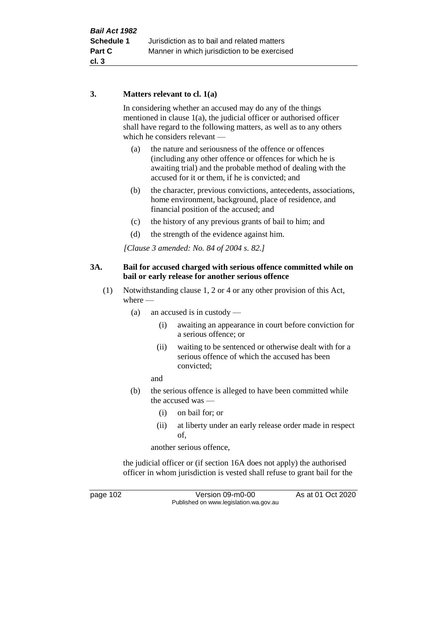## **3. Matters relevant to cl. 1(a)**

In considering whether an accused may do any of the things mentioned in clause 1(a), the judicial officer or authorised officer shall have regard to the following matters, as well as to any others which he considers relevant —

- (a) the nature and seriousness of the offence or offences (including any other offence or offences for which he is awaiting trial) and the probable method of dealing with the accused for it or them, if he is convicted; and
- (b) the character, previous convictions, antecedents, associations, home environment, background, place of residence, and financial position of the accused; and
- (c) the history of any previous grants of bail to him; and
- (d) the strength of the evidence against him.

*[Clause 3 amended: No. 84 of 2004 s. 82.]*

### **3A. Bail for accused charged with serious offence committed while on bail or early release for another serious offence**

- (1) Notwithstanding clause 1, 2 or 4 or any other provision of this Act, where —
	- (a) an accused is in custody
		- (i) awaiting an appearance in court before conviction for a serious offence; or
		- (ii) waiting to be sentenced or otherwise dealt with for a serious offence of which the accused has been convicted;

and

- (b) the serious offence is alleged to have been committed while the accused was —
	- (i) on bail for; or
	- (ii) at liberty under an early release order made in respect of,

another serious offence,

the judicial officer or (if section 16A does not apply) the authorised officer in whom jurisdiction is vested shall refuse to grant bail for the

page 102 Version 09-m0-00 As at 01 Oct 2020 Published on www.legislation.wa.gov.au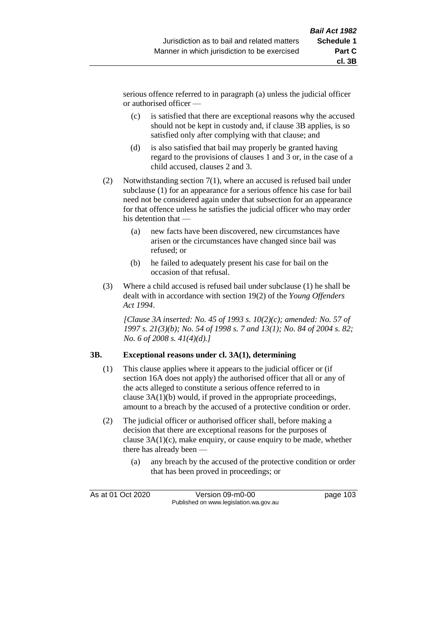serious offence referred to in paragraph (a) unless the judicial officer or authorised officer —

- (c) is satisfied that there are exceptional reasons why the accused should not be kept in custody and, if clause 3B applies, is so satisfied only after complying with that clause; and
- (d) is also satisfied that bail may properly be granted having regard to the provisions of clauses 1 and 3 or, in the case of a child accused, clauses 2 and 3.
- (2) Notwithstanding section 7(1), where an accused is refused bail under subclause (1) for an appearance for a serious offence his case for bail need not be considered again under that subsection for an appearance for that offence unless he satisfies the judicial officer who may order his detention that —
	- (a) new facts have been discovered, new circumstances have arisen or the circumstances have changed since bail was refused; or
	- (b) he failed to adequately present his case for bail on the occasion of that refusal.
- (3) Where a child accused is refused bail under subclause (1) he shall be dealt with in accordance with section 19(2) of the *Young Offenders Act 1994*.

*[Clause 3A inserted: No. 45 of 1993 s. 10(2)(c); amended: No. 57 of 1997 s. 21(3)(b); No. 54 of 1998 s. 7 and 13(1); No. 84 of 2004 s. 82; No. 6 of 2008 s. 41(4)(d).]*

## **3B. Exceptional reasons under cl. 3A(1), determining**

- (1) This clause applies where it appears to the judicial officer or (if section 16A does not apply) the authorised officer that all or any of the acts alleged to constitute a serious offence referred to in clause 3A(1)(b) would, if proved in the appropriate proceedings, amount to a breach by the accused of a protective condition or order.
- (2) The judicial officer or authorised officer shall, before making a decision that there are exceptional reasons for the purposes of clause 3A(1)(c), make enquiry, or cause enquiry to be made, whether there has already been —
	- (a) any breach by the accused of the protective condition or order that has been proved in proceedings; or

As at 01 Oct 2020 Version 09-m0-00 page 103 Published on www.legislation.wa.gov.au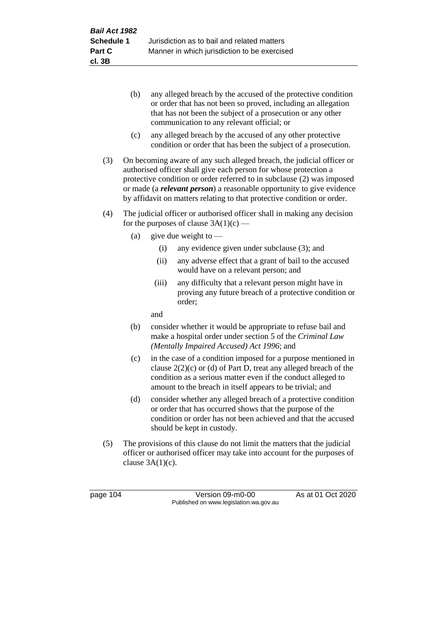- (b) any alleged breach by the accused of the protective condition or order that has not been so proved, including an allegation that has not been the subject of a prosecution or any other communication to any relevant official; or
- (c) any alleged breach by the accused of any other protective condition or order that has been the subject of a prosecution.
- (3) On becoming aware of any such alleged breach, the judicial officer or authorised officer shall give each person for whose protection a protective condition or order referred to in subclause (2) was imposed or made (a *relevant person*) a reasonable opportunity to give evidence by affidavit on matters relating to that protective condition or order.
- (4) The judicial officer or authorised officer shall in making any decision for the purposes of clause  $3A(1)(c)$  —
	- (a) give due weight to  $-$ 
		- (i) any evidence given under subclause (3); and
		- (ii) any adverse effect that a grant of bail to the accused would have on a relevant person; and
		- (iii) any difficulty that a relevant person might have in proving any future breach of a protective condition or order;

and

- (b) consider whether it would be appropriate to refuse bail and make a hospital order under section 5 of the *Criminal Law (Mentally Impaired Accused) Act 1996*; and
- (c) in the case of a condition imposed for a purpose mentioned in clause 2(2)(c) or (d) of Part D, treat any alleged breach of the condition as a serious matter even if the conduct alleged to amount to the breach in itself appears to be trivial; and
- (d) consider whether any alleged breach of a protective condition or order that has occurred shows that the purpose of the condition or order has not been achieved and that the accused should be kept in custody.
- (5) The provisions of this clause do not limit the matters that the judicial officer or authorised officer may take into account for the purposes of clause  $3A(1)(c)$ .

page 104 Version 09-m0-00 As at 01 Oct 2020 Published on www.legislation.wa.gov.au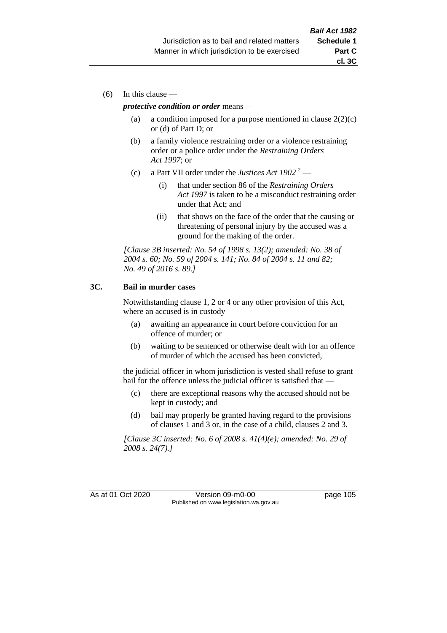(6) In this clause —

#### *protective condition or order* means —

- (a) a condition imposed for a purpose mentioned in clause  $2(2)(c)$ or (d) of Part D; or
- (b) a family violence restraining order or a violence restraining order or a police order under the *Restraining Orders Act 1997*; or
- (c) a Part VII order under the *Justices Act 1902* <sup>2</sup>
	- (i) that under section 86 of the *Restraining Orders Act 1997* is taken to be a misconduct restraining order under that Act; and
	- (ii) that shows on the face of the order that the causing or threatening of personal injury by the accused was a ground for the making of the order.

*[Clause 3B inserted: No. 54 of 1998 s. 13(2); amended: No. 38 of 2004 s. 60; No. 59 of 2004 s. 141; No. 84 of 2004 s. 11 and 82; No. 49 of 2016 s. 89.]*

#### **3C. Bail in murder cases**

Notwithstanding clause 1, 2 or 4 or any other provision of this Act, where an accused is in custody —

- (a) awaiting an appearance in court before conviction for an offence of murder; or
- (b) waiting to be sentenced or otherwise dealt with for an offence of murder of which the accused has been convicted,

the judicial officer in whom jurisdiction is vested shall refuse to grant bail for the offence unless the judicial officer is satisfied that —

- (c) there are exceptional reasons why the accused should not be kept in custody; and
- (d) bail may properly be granted having regard to the provisions of clauses 1 and 3 or, in the case of a child, clauses 2 and 3.

*[Clause 3C inserted: No. 6 of 2008 s. 41(4)(e); amended: No. 29 of 2008 s. 24(7).]*

As at 01 Oct 2020 Version 09-m0-00 page 105 Published on www.legislation.wa.gov.au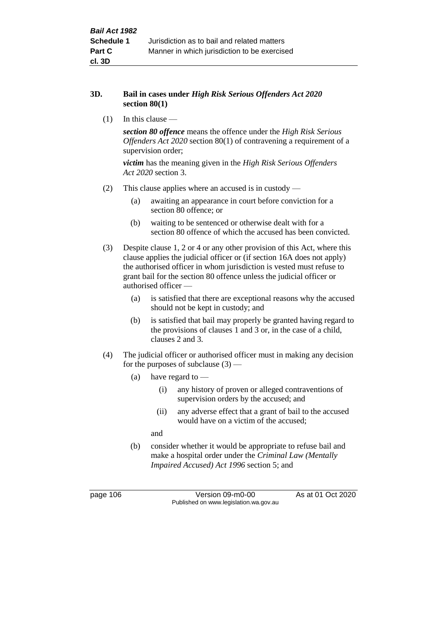#### **3D. Bail in cases under** *High Risk Serious Offenders Act 2020* **section 80(1)**

(1) In this clause —

*section 80 offence* means the offence under the *High Risk Serious Offenders Act 2020* section 80(1) of contravening a requirement of a supervision order;

*victim* has the meaning given in the *High Risk Serious Offenders Act 2020* section 3.

- (2) This clause applies where an accused is in custody
	- (a) awaiting an appearance in court before conviction for a section 80 offence; or
	- (b) waiting to be sentenced or otherwise dealt with for a section 80 offence of which the accused has been convicted.
- (3) Despite clause 1, 2 or 4 or any other provision of this Act, where this clause applies the judicial officer or (if section 16A does not apply) the authorised officer in whom jurisdiction is vested must refuse to grant bail for the section 80 offence unless the judicial officer or authorised officer —
	- (a) is satisfied that there are exceptional reasons why the accused should not be kept in custody; and
	- (b) is satisfied that bail may properly be granted having regard to the provisions of clauses 1 and 3 or, in the case of a child, clauses 2 and 3.
- (4) The judicial officer or authorised officer must in making any decision for the purposes of subclause  $(3)$  —
	- (a) have regard to
		- (i) any history of proven or alleged contraventions of supervision orders by the accused; and
		- (ii) any adverse effect that a grant of bail to the accused would have on a victim of the accused;

and

(b) consider whether it would be appropriate to refuse bail and make a hospital order under the *Criminal Law (Mentally Impaired Accused) Act 1996* section 5; and

page 106 Version 09-m0-00 As at 01 Oct 2020 Published on www.legislation.wa.gov.au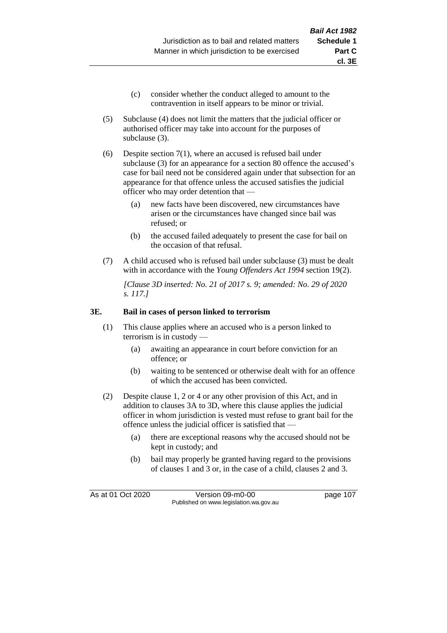- (c) consider whether the conduct alleged to amount to the contravention in itself appears to be minor or trivial.
- (5) Subclause (4) does not limit the matters that the judicial officer or authorised officer may take into account for the purposes of subclause (3).
- (6) Despite section 7(1), where an accused is refused bail under subclause (3) for an appearance for a section 80 offence the accused's case for bail need not be considered again under that subsection for an appearance for that offence unless the accused satisfies the judicial officer who may order detention that —
	- (a) new facts have been discovered, new circumstances have arisen or the circumstances have changed since bail was refused; or
	- (b) the accused failed adequately to present the case for bail on the occasion of that refusal.
- (7) A child accused who is refused bail under subclause (3) must be dealt with in accordance with the *Young Offenders Act 1994* section 19(2).

*[Clause 3D inserted: No. 21 of 2017 s. 9; amended: No. 29 of 2020 s. 117.]*

#### **3E. Bail in cases of person linked to terrorism**

- (1) This clause applies where an accused who is a person linked to terrorism is in custody —
	- (a) awaiting an appearance in court before conviction for an offence; or
	- (b) waiting to be sentenced or otherwise dealt with for an offence of which the accused has been convicted.
- (2) Despite clause 1, 2 or 4 or any other provision of this Act, and in addition to clauses 3A to 3D, where this clause applies the judicial officer in whom jurisdiction is vested must refuse to grant bail for the offence unless the judicial officer is satisfied that —
	- (a) there are exceptional reasons why the accused should not be kept in custody; and
	- (b) bail may properly be granted having regard to the provisions of clauses 1 and 3 or, in the case of a child, clauses 2 and 3.

As at 01 Oct 2020 Version 09-m0-00 page 107 Published on www.legislation.wa.gov.au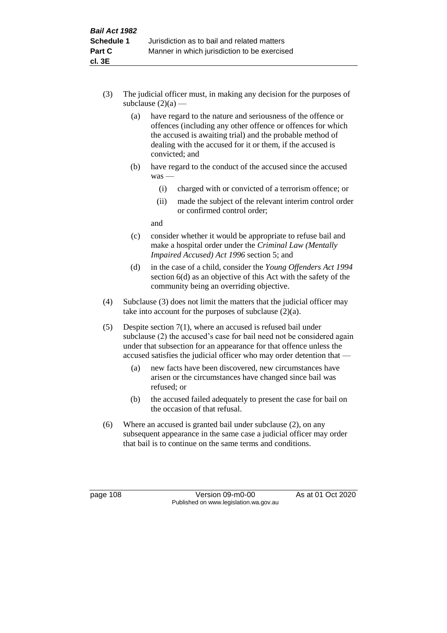- (3) The judicial officer must, in making any decision for the purposes of subclause  $(2)(a)$  —
	- (a) have regard to the nature and seriousness of the offence or offences (including any other offence or offences for which the accused is awaiting trial) and the probable method of dealing with the accused for it or them, if the accused is convicted; and
	- (b) have regard to the conduct of the accused since the accused was —
		- (i) charged with or convicted of a terrorism offence; or
		- (ii) made the subject of the relevant interim control order or confirmed control order;

and

- (c) consider whether it would be appropriate to refuse bail and make a hospital order under the *Criminal Law (Mentally Impaired Accused) Act 1996* section 5; and
- (d) in the case of a child, consider the *Young Offenders Act 1994* section 6(d) as an objective of this Act with the safety of the community being an overriding objective.
- (4) Subclause (3) does not limit the matters that the judicial officer may take into account for the purposes of subclause  $(2)(a)$ .
- (5) Despite section 7(1), where an accused is refused bail under subclause (2) the accused's case for bail need not be considered again under that subsection for an appearance for that offence unless the accused satisfies the judicial officer who may order detention that —
	- (a) new facts have been discovered, new circumstances have arisen or the circumstances have changed since bail was refused; or
	- (b) the accused failed adequately to present the case for bail on the occasion of that refusal.
- (6) Where an accused is granted bail under subclause (2), on any subsequent appearance in the same case a judicial officer may order that bail is to continue on the same terms and conditions.

page 108 Version 09-m0-00 As at 01 Oct 2020 Published on www.legislation.wa.gov.au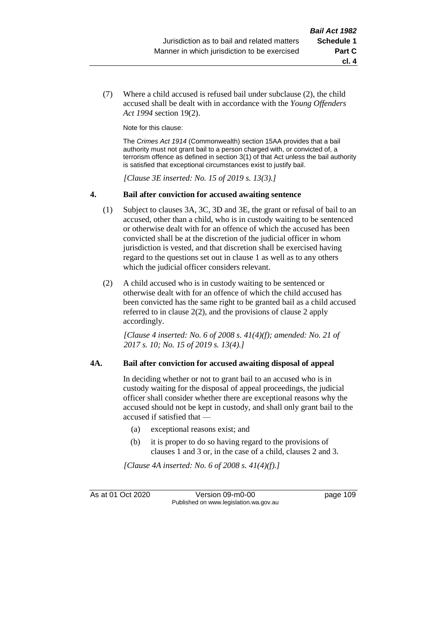(7) Where a child accused is refused bail under subclause (2), the child accused shall be dealt with in accordance with the *Young Offenders Act 1994* section 19(2).

Note for this clause:

The *Crimes Act 1914* (Commonwealth) section 15AA provides that a bail authority must not grant bail to a person charged with, or convicted of, a terrorism offence as defined in section 3(1) of that Act unless the bail authority is satisfied that exceptional circumstances exist to justify bail.

*[Clause 3E inserted: No. 15 of 2019 s. 13(3).]*

#### **4. Bail after conviction for accused awaiting sentence**

- (1) Subject to clauses 3A, 3C, 3D and 3E, the grant or refusal of bail to an accused, other than a child, who is in custody waiting to be sentenced or otherwise dealt with for an offence of which the accused has been convicted shall be at the discretion of the judicial officer in whom jurisdiction is vested, and that discretion shall be exercised having regard to the questions set out in clause 1 as well as to any others which the judicial officer considers relevant.
- (2) A child accused who is in custody waiting to be sentenced or otherwise dealt with for an offence of which the child accused has been convicted has the same right to be granted bail as a child accused referred to in clause 2(2), and the provisions of clause 2 apply accordingly.

*[Clause 4 inserted: No. 6 of 2008 s. 41(4)(f); amended: No. 21 of 2017 s. 10; No. 15 of 2019 s. 13(4).]*

#### **4A. Bail after conviction for accused awaiting disposal of appeal**

In deciding whether or not to grant bail to an accused who is in custody waiting for the disposal of appeal proceedings, the judicial officer shall consider whether there are exceptional reasons why the accused should not be kept in custody, and shall only grant bail to the accused if satisfied that —

- (a) exceptional reasons exist; and
- (b) it is proper to do so having regard to the provisions of clauses 1 and 3 or, in the case of a child, clauses 2 and 3.

*[Clause 4A inserted: No. 6 of 2008 s. 41(4)(f).]*

As at 01 Oct 2020 Version 09-m0-00 page 109 Published on www.legislation.wa.gov.au

**cl. 4**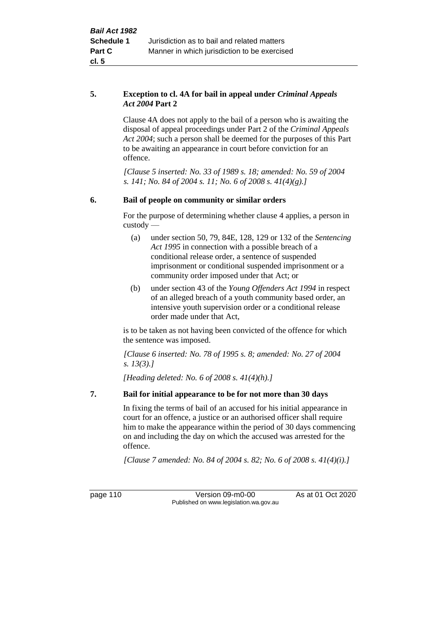### **5. Exception to cl. 4A for bail in appeal under** *Criminal Appeals Act 2004* **Part 2**

Clause 4A does not apply to the bail of a person who is awaiting the disposal of appeal proceedings under Part 2 of the *Criminal Appeals Act 2004*; such a person shall be deemed for the purposes of this Part to be awaiting an appearance in court before conviction for an offence.

*[Clause 5 inserted: No. 33 of 1989 s. 18; amended: No. 59 of 2004 s. 141; No. 84 of 2004 s. 11; No. 6 of 2008 s. 41(4)(g).]*

## **6. Bail of people on community or similar orders**

For the purpose of determining whether clause 4 applies, a person in custody —

- (a) under section 50, 79, 84E, 128, 129 or 132 of the *Sentencing Act 1995* in connection with a possible breach of a conditional release order, a sentence of suspended imprisonment or conditional suspended imprisonment or a community order imposed under that Act; or
- (b) under section 43 of the *Young Offenders Act 1994* in respect of an alleged breach of a youth community based order, an intensive youth supervision order or a conditional release order made under that Act,

is to be taken as not having been convicted of the offence for which the sentence was imposed.

*[Clause 6 inserted: No. 78 of 1995 s. 8; amended: No. 27 of 2004 s. 13(3).]*

*[Heading deleted: No. 6 of 2008 s. 41(4)(h).]*

## **7. Bail for initial appearance to be for not more than 30 days**

In fixing the terms of bail of an accused for his initial appearance in court for an offence, a justice or an authorised officer shall require him to make the appearance within the period of 30 days commencing on and including the day on which the accused was arrested for the offence.

*[Clause 7 amended: No. 84 of 2004 s. 82; No. 6 of 2008 s. 41(4)(i).]*

page 110 Version 09-m0-00 As at 01 Oct 2020 Published on www.legislation.wa.gov.au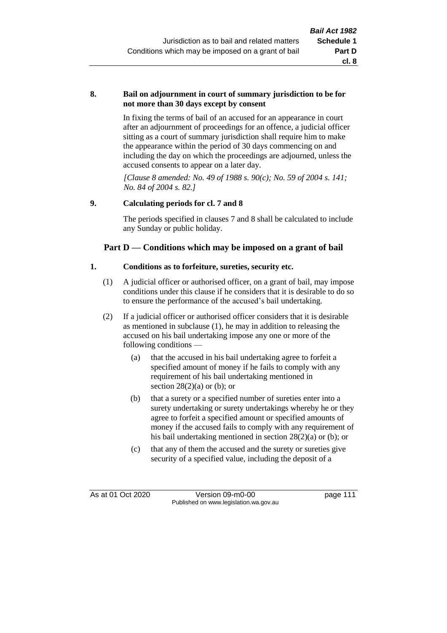#### **8. Bail on adjournment in court of summary jurisdiction to be for not more than 30 days except by consent**

In fixing the terms of bail of an accused for an appearance in court after an adjournment of proceedings for an offence, a judicial officer sitting as a court of summary jurisdiction shall require him to make the appearance within the period of 30 days commencing on and including the day on which the proceedings are adjourned, unless the accused consents to appear on a later day.

*[Clause 8 amended: No. 49 of 1988 s. 90(c); No. 59 of 2004 s. 141; No. 84 of 2004 s. 82.]*

## **9. Calculating periods for cl. 7 and 8**

The periods specified in clauses 7 and 8 shall be calculated to include any Sunday or public holiday.

## **Part D — Conditions which may be imposed on a grant of bail**

#### **1. Conditions as to forfeiture, sureties, security etc.**

- (1) A judicial officer or authorised officer, on a grant of bail, may impose conditions under this clause if he considers that it is desirable to do so to ensure the performance of the accused's bail undertaking.
- (2) If a judicial officer or authorised officer considers that it is desirable as mentioned in subclause (1), he may in addition to releasing the accused on his bail undertaking impose any one or more of the following conditions —
	- (a) that the accused in his bail undertaking agree to forfeit a specified amount of money if he fails to comply with any requirement of his bail undertaking mentioned in section  $28(2)(a)$  or (b); or
	- (b) that a surety or a specified number of sureties enter into a surety undertaking or surety undertakings whereby he or they agree to forfeit a specified amount or specified amounts of money if the accused fails to comply with any requirement of his bail undertaking mentioned in section 28(2)(a) or (b); or
	- (c) that any of them the accused and the surety or sureties give security of a specified value, including the deposit of a

As at 01 Oct 2020 Version 09-m0-00 page 111 Published on www.legislation.wa.gov.au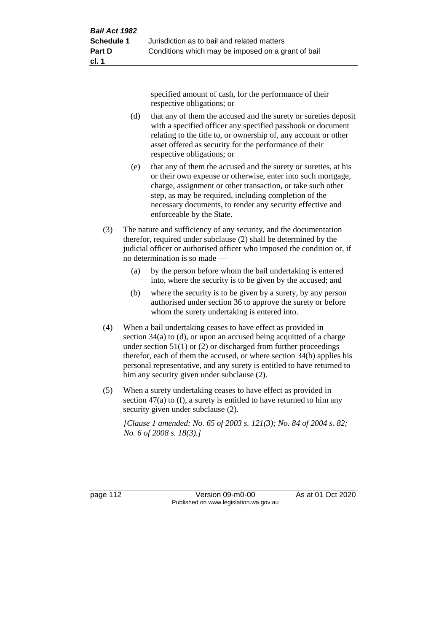specified amount of cash, for the performance of their respective obligations; or

- (d) that any of them the accused and the surety or sureties deposit with a specified officer any specified passbook or document relating to the title to, or ownership of, any account or other asset offered as security for the performance of their respective obligations; or
- (e) that any of them the accused and the surety or sureties, at his or their own expense or otherwise, enter into such mortgage, charge, assignment or other transaction, or take such other step, as may be required, including completion of the necessary documents, to render any security effective and enforceable by the State.
- (3) The nature and sufficiency of any security, and the documentation therefor, required under subclause (2) shall be determined by the judicial officer or authorised officer who imposed the condition or, if no determination is so made —
	- (a) by the person before whom the bail undertaking is entered into, where the security is to be given by the accused; and
	- (b) where the security is to be given by a surety, by any person authorised under section 36 to approve the surety or before whom the surety undertaking is entered into.
- (4) When a bail undertaking ceases to have effect as provided in section 34(a) to (d), or upon an accused being acquitted of a charge under section  $51(1)$  or (2) or discharged from further proceedings therefor, each of them the accused, or where section 34(b) applies his personal representative, and any surety is entitled to have returned to him any security given under subclause (2).
- (5) When a surety undertaking ceases to have effect as provided in section 47(a) to (f), a surety is entitled to have returned to him any security given under subclause (2).

*[Clause 1 amended: No. 65 of 2003 s. 121(3); No. 84 of 2004 s. 82; No. 6 of 2008 s. 18(3).]*

page 112 Version 09-m0-00 As at 01 Oct 2020 Published on www.legislation.wa.gov.au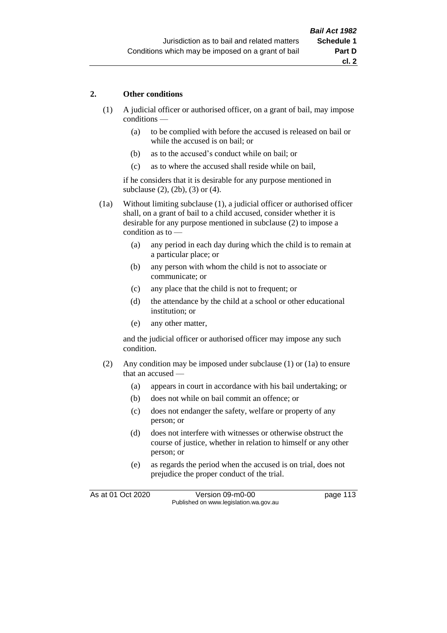### **2. Other conditions**

- (1) A judicial officer or authorised officer, on a grant of bail, may impose conditions —
	- (a) to be complied with before the accused is released on bail or while the accused is on bail; or
	- (b) as to the accused's conduct while on bail; or
	- (c) as to where the accused shall reside while on bail,

if he considers that it is desirable for any purpose mentioned in subclause (2), (2b), (3) or (4).

(1a) Without limiting subclause (1), a judicial officer or authorised officer shall, on a grant of bail to a child accused, consider whether it is desirable for any purpose mentioned in subclause (2) to impose a condition as to —

- (a) any period in each day during which the child is to remain at a particular place; or
- (b) any person with whom the child is not to associate or communicate; or
- (c) any place that the child is not to frequent; or
- (d) the attendance by the child at a school or other educational institution; or
- (e) any other matter,

and the judicial officer or authorised officer may impose any such condition.

- (2) Any condition may be imposed under subclause (1) or (1a) to ensure that an accused —
	- (a) appears in court in accordance with his bail undertaking; or
	- (b) does not while on bail commit an offence; or
	- (c) does not endanger the safety, welfare or property of any person; or
	- (d) does not interfere with witnesses or otherwise obstruct the course of justice, whether in relation to himself or any other person; or
	- (e) as regards the period when the accused is on trial, does not prejudice the proper conduct of the trial.

As at 01 Oct 2020 Version 09-m0-00 page 113 Published on www.legislation.wa.gov.au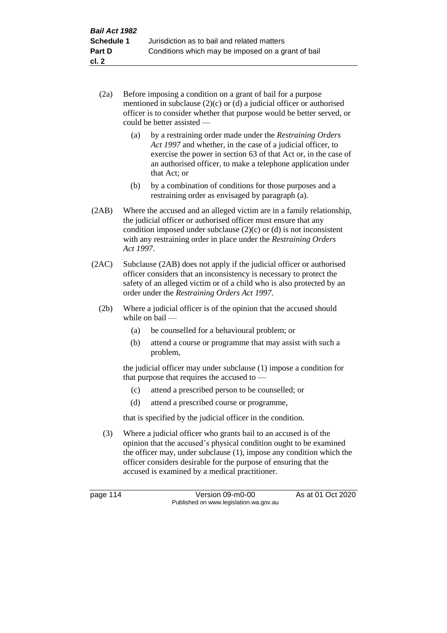- (2a) Before imposing a condition on a grant of bail for a purpose mentioned in subclause (2)(c) or (d) a judicial officer or authorised officer is to consider whether that purpose would be better served, or could be better assisted —
	- (a) by a restraining order made under the *Restraining Orders Act 1997* and whether, in the case of a judicial officer, to exercise the power in section 63 of that Act or, in the case of an authorised officer, to make a telephone application under that Act; or
	- (b) by a combination of conditions for those purposes and a restraining order as envisaged by paragraph (a).
- (2AB) Where the accused and an alleged victim are in a family relationship, the judicial officer or authorised officer must ensure that any condition imposed under subclause  $(2)(c)$  or  $(d)$  is not inconsistent with any restraining order in place under the *Restraining Orders Act 1997*.
- (2AC) Subclause (2AB) does not apply if the judicial officer or authorised officer considers that an inconsistency is necessary to protect the safety of an alleged victim or of a child who is also protected by an order under the *Restraining Orders Act 1997*.
	- (2b) Where a judicial officer is of the opinion that the accused should while on bail —
		- (a) be counselled for a behavioural problem; or
		- (b) attend a course or programme that may assist with such a problem,

the judicial officer may under subclause (1) impose a condition for that purpose that requires the accused to —

- (c) attend a prescribed person to be counselled; or
- (d) attend a prescribed course or programme,

that is specified by the judicial officer in the condition.

(3) Where a judicial officer who grants bail to an accused is of the opinion that the accused's physical condition ought to be examined the officer may, under subclause (1), impose any condition which the officer considers desirable for the purpose of ensuring that the accused is examined by a medical practitioner.

page 114 Version 09-m0-00 As at 01 Oct 2020 Published on www.legislation.wa.gov.au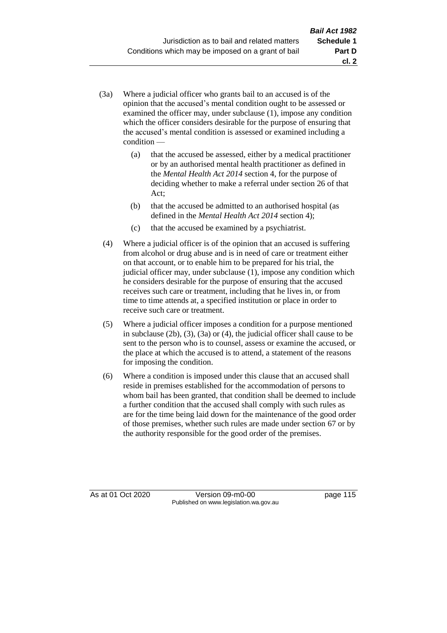- (3a) Where a judicial officer who grants bail to an accused is of the opinion that the accused's mental condition ought to be assessed or examined the officer may, under subclause (1), impose any condition which the officer considers desirable for the purpose of ensuring that the accused's mental condition is assessed or examined including a condition —
	- (a) that the accused be assessed, either by a medical practitioner or by an authorised mental health practitioner as defined in the *Mental Health Act 2014* section 4, for the purpose of deciding whether to make a referral under section 26 of that Act;
	- (b) that the accused be admitted to an authorised hospital (as defined in the *Mental Health Act 2014* section 4);
	- (c) that the accused be examined by a psychiatrist.
- (4) Where a judicial officer is of the opinion that an accused is suffering from alcohol or drug abuse and is in need of care or treatment either on that account, or to enable him to be prepared for his trial, the judicial officer may, under subclause (1), impose any condition which he considers desirable for the purpose of ensuring that the accused receives such care or treatment, including that he lives in, or from time to time attends at, a specified institution or place in order to receive such care or treatment.
- (5) Where a judicial officer imposes a condition for a purpose mentioned in subclause (2b), (3), (3a) or (4), the judicial officer shall cause to be sent to the person who is to counsel, assess or examine the accused, or the place at which the accused is to attend, a statement of the reasons for imposing the condition.
- (6) Where a condition is imposed under this clause that an accused shall reside in premises established for the accommodation of persons to whom bail has been granted, that condition shall be deemed to include a further condition that the accused shall comply with such rules as are for the time being laid down for the maintenance of the good order of those premises, whether such rules are made under section 67 or by the authority responsible for the good order of the premises.

As at 01 Oct 2020 Version 09-m0-00 page 115 Published on www.legislation.wa.gov.au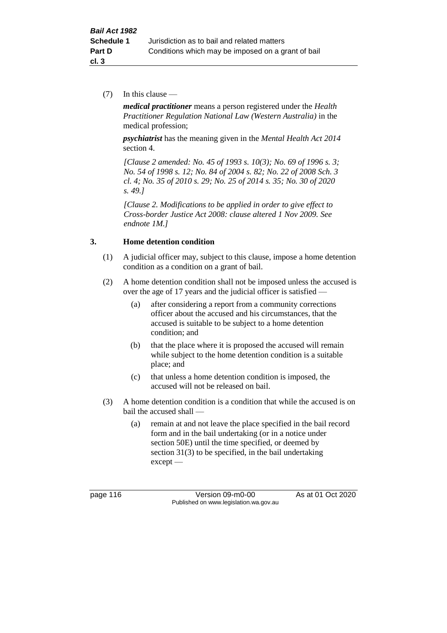(7) In this clause —

*medical practitioner* means a person registered under the *Health Practitioner Regulation National Law (Western Australia)* in the medical profession;

*psychiatrist* has the meaning given in the *Mental Health Act 2014* section 4.

*[Clause 2 amended: No. 45 of 1993 s. 10(3); No. 69 of 1996 s. 3; No. 54 of 1998 s. 12; No. 84 of 2004 s. 82; No. 22 of 2008 Sch. 3 cl. 4; No. 35 of 2010 s. 29; No. 25 of 2014 s. 35; No. 30 of 2020 s. 49.]*

*[Clause 2. Modifications to be applied in order to give effect to Cross-border Justice Act 2008: clause altered 1 Nov 2009. See endnote 1M.]*

## **3. Home detention condition**

- (1) A judicial officer may, subject to this clause, impose a home detention condition as a condition on a grant of bail.
- (2) A home detention condition shall not be imposed unless the accused is over the age of 17 years and the judicial officer is satisfied —
	- (a) after considering a report from a community corrections officer about the accused and his circumstances, that the accused is suitable to be subject to a home detention condition; and
	- (b) that the place where it is proposed the accused will remain while subject to the home detention condition is a suitable place; and
	- (c) that unless a home detention condition is imposed, the accused will not be released on bail.
- (3) A home detention condition is a condition that while the accused is on bail the accused shall —
	- (a) remain at and not leave the place specified in the bail record form and in the bail undertaking (or in a notice under section 50E) until the time specified, or deemed by section 31(3) to be specified, in the bail undertaking except —

page 116 Version 09-m0-00 As at 01 Oct 2020 Published on www.legislation.wa.gov.au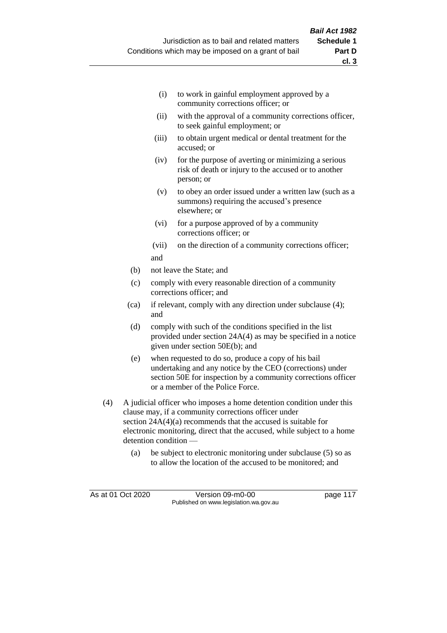- (i) to work in gainful employment approved by a community corrections officer; or
- (ii) with the approval of a community corrections officer, to seek gainful employment; or
- (iii) to obtain urgent medical or dental treatment for the accused; or
- (iv) for the purpose of averting or minimizing a serious risk of death or injury to the accused or to another person; or
- (v) to obey an order issued under a written law (such as a summons) requiring the accused's presence elsewhere; or
- (vi) for a purpose approved of by a community corrections officer; or
- (vii) on the direction of a community corrections officer; and
- (b) not leave the State; and
- (c) comply with every reasonable direction of a community corrections officer; and
- (ca) if relevant, comply with any direction under subclause (4); and
- (d) comply with such of the conditions specified in the list provided under section 24A(4) as may be specified in a notice given under section 50E(b); and
- (e) when requested to do so, produce a copy of his bail undertaking and any notice by the CEO (corrections) under section 50E for inspection by a community corrections officer or a member of the Police Force.
- (4) A judicial officer who imposes a home detention condition under this clause may, if a community corrections officer under section 24A(4)(a) recommends that the accused is suitable for electronic monitoring, direct that the accused, while subject to a home detention condition —
	- (a) be subject to electronic monitoring under subclause (5) so as to allow the location of the accused to be monitored; and

As at 01 Oct 2020 Version 09-m0-00 page 117 Published on www.legislation.wa.gov.au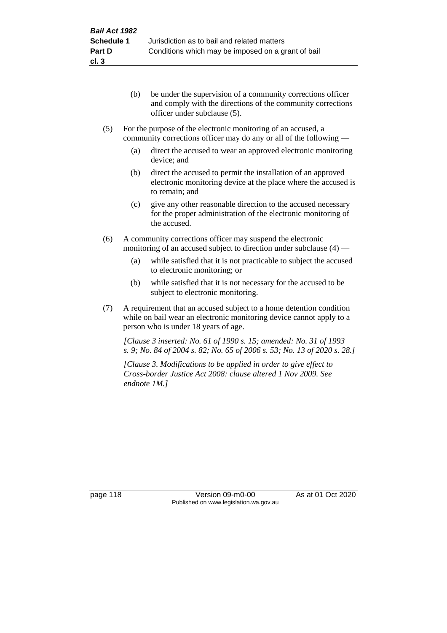- (b) be under the supervision of a community corrections officer and comply with the directions of the community corrections officer under subclause (5).
- (5) For the purpose of the electronic monitoring of an accused, a community corrections officer may do any or all of the following —
	- (a) direct the accused to wear an approved electronic monitoring device; and
	- (b) direct the accused to permit the installation of an approved electronic monitoring device at the place where the accused is to remain; and
	- (c) give any other reasonable direction to the accused necessary for the proper administration of the electronic monitoring of the accused.
- (6) A community corrections officer may suspend the electronic monitoring of an accused subject to direction under subclause (4) —
	- (a) while satisfied that it is not practicable to subject the accused to electronic monitoring; or
	- (b) while satisfied that it is not necessary for the accused to be subject to electronic monitoring.
- (7) A requirement that an accused subject to a home detention condition while on bail wear an electronic monitoring device cannot apply to a person who is under 18 years of age.

*[Clause 3 inserted: No. 61 of 1990 s. 15; amended: No. 31 of 1993 s. 9; No. 84 of 2004 s. 82; No. 65 of 2006 s. 53; No. 13 of 2020 s. 28.]*

*[Clause 3. Modifications to be applied in order to give effect to Cross-border Justice Act 2008: clause altered 1 Nov 2009. See endnote 1M.]*

page 118 Version 09-m0-00 As at 01 Oct 2020 Published on www.legislation.wa.gov.au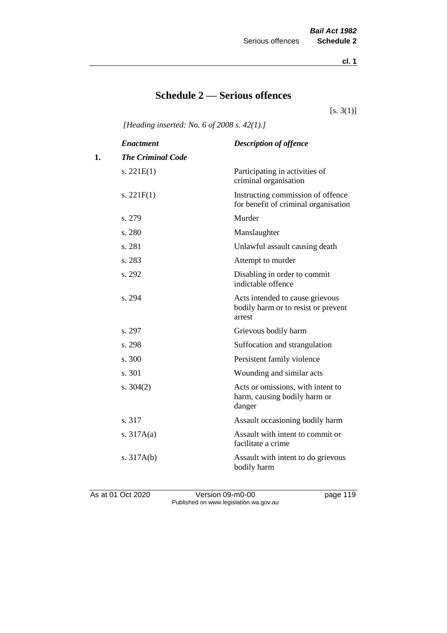**cl. 1**

## **Schedule 2 — Serious offences**

 $[s. 3(1)]$ 

*[Heading inserted: No. 6 of 2008 s. 42(1).]*

|    | <b>Enactment</b>         | <b>Description of offence</b>                                                    |
|----|--------------------------|----------------------------------------------------------------------------------|
| 1. | <b>The Criminal Code</b> |                                                                                  |
|    | s. $221E(1)$             | Participating in activities of<br>criminal organisation                          |
|    | s. $221F(1)$             | Instructing commission of offence<br>for benefit of criminal organisation        |
|    | s. 279                   | Murder                                                                           |
|    | s. 280                   | Manslaughter                                                                     |
|    | s. 281                   | Unlawful assault causing death                                                   |
|    | s. 283                   | Attempt to murder                                                                |
|    | s. 292                   | Disabling in order to commit<br>indictable offence                               |
|    | s. 294                   | Acts intended to cause grievous<br>bodily harm or to resist or prevent<br>arrest |
|    | s. 297                   | Grievous bodily harm                                                             |
|    | s. 298                   | Suffocation and strangulation                                                    |
|    | s. 300                   | Persistent family violence                                                       |
|    | s. 301                   | Wounding and similar acts                                                        |
|    | s. $304(2)$              | Acts or omissions, with intent to<br>harm, causing bodily harm or<br>danger      |
|    | s. 317                   | Assault occasioning bodily harm                                                  |
|    | s. $317A(a)$             | Assault with intent to commit or<br>facilitate a crime                           |
|    | s. $317A(b)$             | Assault with intent to do grievous<br>bodily harm                                |

As at 01 Oct 2020 Version 09-m0-00 page 119 Published on www.legislation.wa.gov.au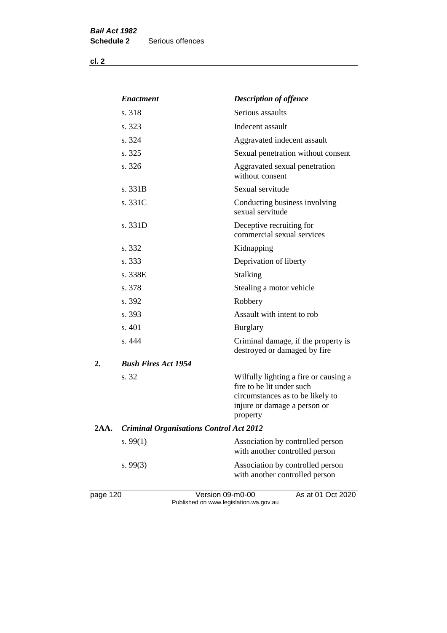| v.<br>٠ |  |
|---------|--|
|---------|--|

|      | <b>Enactment</b>                               | <b>Description of offence</b>                                                                                                                      |
|------|------------------------------------------------|----------------------------------------------------------------------------------------------------------------------------------------------------|
|      | s. 318                                         | Serious assaults                                                                                                                                   |
|      | s. 323                                         | Indecent assault                                                                                                                                   |
|      | s. 324                                         | Aggravated indecent assault                                                                                                                        |
|      | s. 325                                         | Sexual penetration without consent                                                                                                                 |
|      | s. 326                                         | Aggravated sexual penetration<br>without consent                                                                                                   |
|      | s. 331B                                        | Sexual servitude                                                                                                                                   |
|      | s. 331C                                        | Conducting business involving<br>sexual servitude                                                                                                  |
|      | s. 331D                                        | Deceptive recruiting for<br>commercial sexual services                                                                                             |
|      | s. 332                                         | Kidnapping                                                                                                                                         |
|      | s. 333                                         | Deprivation of liberty                                                                                                                             |
|      | s. 338E                                        | Stalking                                                                                                                                           |
|      | s. 378                                         | Stealing a motor vehicle                                                                                                                           |
|      | s. 392                                         | Robbery                                                                                                                                            |
|      | s. 393                                         | Assault with intent to rob                                                                                                                         |
|      | s. 401                                         | <b>Burglary</b>                                                                                                                                    |
|      | s. 444                                         | Criminal damage, if the property is<br>destroyed or damaged by fire                                                                                |
| 2.   | <b>Bush Fires Act 1954</b>                     |                                                                                                                                                    |
|      | s. 32                                          | Wilfully lighting a fire or causing a<br>fire to be lit under such<br>circumstances as to be likely to<br>injure or damage a person or<br>property |
| 2AA. | <b>Criminal Organisations Control Act 2012</b> |                                                                                                                                                    |
|      | s. $99(1)$                                     | Association by controlled person<br>with another controlled person                                                                                 |
|      | s. 99(3)                                       | Association by controlled person<br>with another controlled person                                                                                 |
|      |                                                |                                                                                                                                                    |

page 120 Version 09-m0-00 As at 01 Oct 2020 Published on www.legislation.wa.gov.au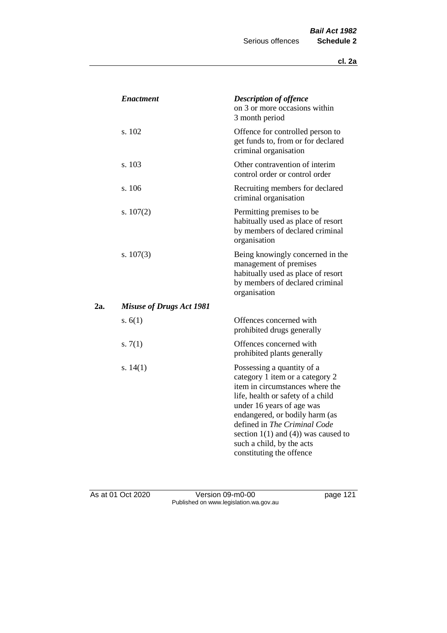|     | <b>Enactment</b>                | <b>Description of offence</b><br>on 3 or more occasions within<br>3 month period                                                                                                                                                                                                                                                          |
|-----|---------------------------------|-------------------------------------------------------------------------------------------------------------------------------------------------------------------------------------------------------------------------------------------------------------------------------------------------------------------------------------------|
|     | s. 102                          | Offence for controlled person to<br>get funds to, from or for declared<br>criminal organisation                                                                                                                                                                                                                                           |
|     | s. 103                          | Other contravention of interim<br>control order or control order                                                                                                                                                                                                                                                                          |
|     | s. 106                          | Recruiting members for declared<br>criminal organisation                                                                                                                                                                                                                                                                                  |
|     | s. $107(2)$                     | Permitting premises to be<br>habitually used as place of resort<br>by members of declared criminal<br>organisation                                                                                                                                                                                                                        |
|     | s. $107(3)$                     | Being knowingly concerned in the<br>management of premises<br>habitually used as place of resort<br>by members of declared criminal<br>organisation                                                                                                                                                                                       |
| 2a. | <b>Misuse of Drugs Act 1981</b> |                                                                                                                                                                                                                                                                                                                                           |
|     | s. $6(1)$                       | Offences concerned with<br>prohibited drugs generally                                                                                                                                                                                                                                                                                     |
|     | s. $7(1)$                       | Offences concerned with<br>prohibited plants generally                                                                                                                                                                                                                                                                                    |
|     | s. $14(1)$                      | Possessing a quantity of a<br>category 1 item or a category 2<br>item in circumstances where the<br>life, health or safety of a child<br>under 16 years of age was<br>endangered, or bodily harm (as<br>defined in The Criminal Code<br>section $1(1)$ and $(4)$ ) was caused to<br>such a child, by the acts<br>constituting the offence |

As at 01 Oct 2020 **Version 09-m0-00 page 121** Published on www.legislation.wa.gov.au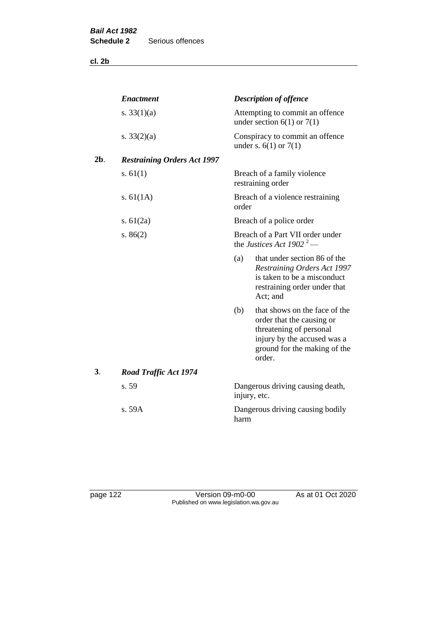**cl. 2b**

|        | <b>Enactment</b>                   |       | <b>Description of offence</b>                                                                                                                                  |  |  |  |
|--------|------------------------------------|-------|----------------------------------------------------------------------------------------------------------------------------------------------------------------|--|--|--|
|        | s. $33(1)(a)$                      |       | Attempting to commit an offence<br>under section $6(1)$ or $7(1)$                                                                                              |  |  |  |
|        | s. $33(2)(a)$                      |       | Conspiracy to commit an offence<br>under s. $6(1)$ or $7(1)$                                                                                                   |  |  |  |
| $2b$ . | <b>Restraining Orders Act 1997</b> |       |                                                                                                                                                                |  |  |  |
|        | s. $61(1)$                         |       | Breach of a family violence<br>restraining order                                                                                                               |  |  |  |
|        | s. $61(1A)$                        | order | Breach of a violence restraining                                                                                                                               |  |  |  |
|        | s. $61(2a)$                        |       | Breach of a police order                                                                                                                                       |  |  |  |
|        | s. $86(2)$                         |       | Breach of a Part VII order under<br>the Justices Act 1902 <sup>2</sup> —                                                                                       |  |  |  |
|        |                                    | (a)   | that under section 86 of the<br><b>Restraining Orders Act 1997</b><br>is taken to be a misconduct<br>restraining order under that<br>Act; and                  |  |  |  |
|        |                                    | (b)   | that shows on the face of the<br>order that the causing or<br>threatening of personal<br>injury by the accused was a<br>ground for the making of the<br>order. |  |  |  |
| 3.     | <b>Road Traffic Act 1974</b>       |       |                                                                                                                                                                |  |  |  |
|        | s. 59                              |       | Dangerous driving causing death,<br>injury, etc.                                                                                                               |  |  |  |
|        | s. 59A                             | harm  | Dangerous driving causing bodily                                                                                                                               |  |  |  |

page 122 Version 09-m0-00 As at 01 Oct 2020 Published on www.legislation.wa.gov.au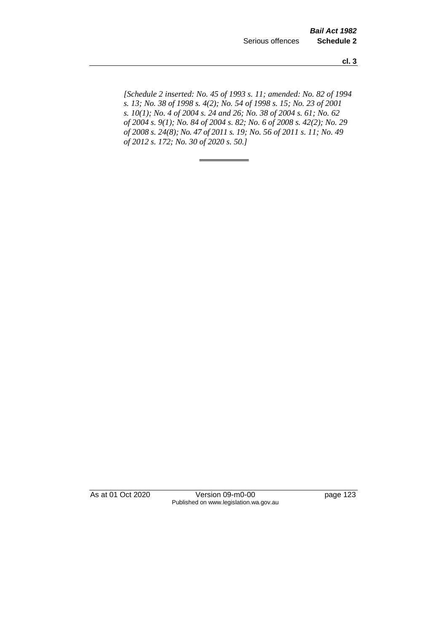**cl. 3**

*[Schedule 2 inserted: No. 45 of 1993 s. 11; amended: No. 82 of 1994 s. 13; No. 38 of 1998 s. 4(2); No. 54 of 1998 s. 15; No. 23 of 2001 s. 10(1); No. 4 of 2004 s. 24 and 26; No. 38 of 2004 s. 61; No. 62 of 2004 s. 9(1); No. 84 of 2004 s. 82; No. 6 of 2008 s. 42(2); No. 29 of 2008 s. 24(8); No. 47 of 2011 s. 19; No. 56 of 2011 s. 11; No. 49 of 2012 s. 172; No. 30 of 2020 s. 50.]* 

As at 01 Oct 2020 Version 09-m0-00 page 123 Published on www.legislation.wa.gov.au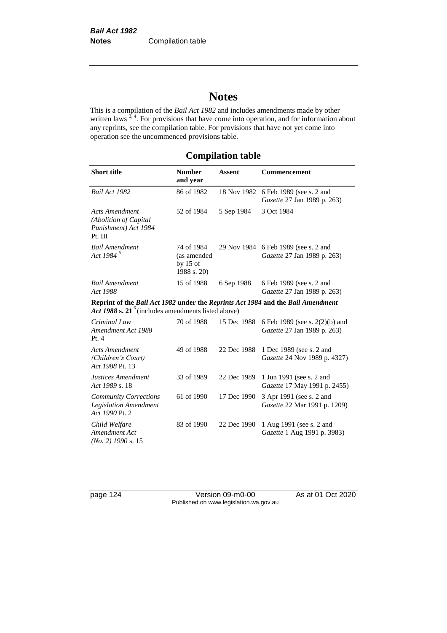# **Notes**

This is a compilation of the *Bail Act 1982* and includes amendments made by other written laws  $3, 4$ . For provisions that have come into operation, and for information about any reprints, see the compilation table. For provisions that have not yet come into operation see the uncommenced provisions table.

## **Compilation table**

| <b>Short title</b>                                                                                                                       | <b>Number</b><br>and year                              | <b>Assent</b> | <b>Commencement</b>                                                 |  |
|------------------------------------------------------------------------------------------------------------------------------------------|--------------------------------------------------------|---------------|---------------------------------------------------------------------|--|
| Bail Act 1982                                                                                                                            | 86 of 1982                                             | 18 Nov 1982   | 6 Feb 1989 (see s. 2 and<br>Gazette 27 Jan 1989 p. 263)             |  |
| <b>Acts Amendment</b><br>(Abolition of Capital<br>Punishment) Act 1984<br>Pt. III                                                        | 52 of 1984                                             | 5 Sep 1984    | 3 Oct 1984                                                          |  |
| <b>Bail Amendment</b><br>Act 1984 <sup>5</sup>                                                                                           | 74 of 1984<br>(as amended<br>by $15$ of<br>1988 s. 20) |               | 29 Nov 1984 6 Feb 1989 (see s. 2 and<br>Gazette 27 Jan 1989 p. 263) |  |
| <b>Bail Amendment</b><br>Act 1988                                                                                                        | 15 of 1988                                             | 6 Sep 1988    | 6 Feb 1989 (see s. 2 and<br>Gazette 27 Jan 1989 p. 263)             |  |
| Reprint of the Bail Act 1982 under the Reprints Act 1984 and the Bail Amendment<br>Act 1988 s. $21^6$ (includes amendments listed above) |                                                        |               |                                                                     |  |
| Criminal Law<br>Amendment Act 1988<br>Pt.4                                                                                               | 70 of 1988                                             | 15 Dec 1988   | 6 Feb 1989 (see s. 2(2)(b) and<br>Gazette 27 Jan 1989 p. 263)       |  |
| <b>Acts Amendment</b><br>(Children's Court)<br>Act 1988 Pt. 13                                                                           | 49 of 1988                                             | 22 Dec 1988   | 1 Dec 1989 (see s. 2 and<br>Gazette 24 Nov 1989 p. 4327)            |  |
| Justices Amendment<br>Act 1989 s. 18                                                                                                     | 33 of 1989                                             | 22 Dec 1989   | 1 Jun 1991 (see s. 2 and<br>Gazette 17 May 1991 p. 2455)            |  |
| <b>Community Corrections</b><br><b>Legislation Amendment</b><br>Act 1990 Pt. 2                                                           | 61 of 1990                                             | 17 Dec 1990   | 3 Apr 1991 (see s. 2 and<br>Gazette 22 Mar 1991 p. 1209)            |  |
| Child Welfare<br>Amendment Act<br>$(No. 2)$ 1990 s. 15                                                                                   | 83 of 1990                                             | 22 Dec 1990   | 1 Aug 1991 (see s. 2 and<br>Gazette 1 Aug 1991 p. 3983)             |  |

page 124 Version 09-m0-00 As at 01 Oct 2020 Published on www.legislation.wa.gov.au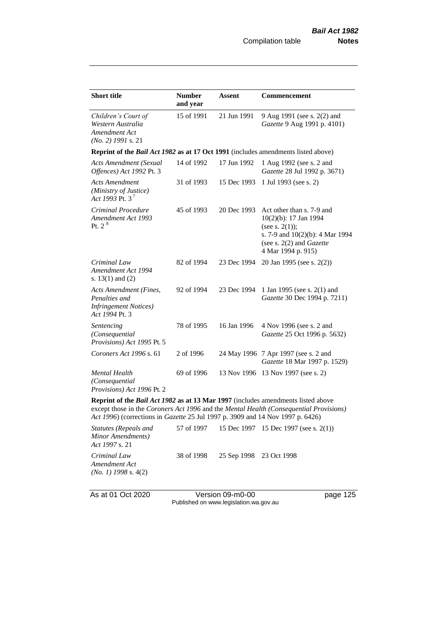| <b>Short title</b>                                                                                                                                                                                                                                                  | <b>Number</b><br>and year | <b>Assent</b> | Commencement                                                                                                                                                          |  |  |  |
|---------------------------------------------------------------------------------------------------------------------------------------------------------------------------------------------------------------------------------------------------------------------|---------------------------|---------------|-----------------------------------------------------------------------------------------------------------------------------------------------------------------------|--|--|--|
| Children's Court of<br>Western Australia<br>Amendment Act<br>$(No. 2)$ 1991 s. 21                                                                                                                                                                                   | 15 of 1991                | 21 Jun 1991   | 9 Aug 1991 (see s. 2(2) and<br>Gazette 9 Aug 1991 p. 4101)                                                                                                            |  |  |  |
| Reprint of the <i>Bail Act 1982</i> as at 17 Oct 1991 (includes amendments listed above)                                                                                                                                                                            |                           |               |                                                                                                                                                                       |  |  |  |
| <b>Acts Amendment (Sexual</b><br>Offences) Act 1992 Pt. 3                                                                                                                                                                                                           | 14 of 1992                | 17 Jun 1992   | 1 Aug 1992 (see s. 2 and<br>Gazette 28 Jul 1992 p. 3671)                                                                                                              |  |  |  |
| <b>Acts Amendment</b><br>(Ministry of Justice)<br>Act 1993 Pt. 3 <sup>7</sup>                                                                                                                                                                                       | 31 of 1993                | 15 Dec 1993   | 1 Jul 1993 (see s. 2)                                                                                                                                                 |  |  |  |
| Criminal Procedure<br>Amendment Act 1993<br>Pt. $2^8$                                                                                                                                                                                                               | 45 of 1993                | 20 Dec 1993   | Act other than s. 7-9 and<br>10(2)(b): 17 Jan 1994<br>(see s. $2(1)$ );<br>s. 7-9 and 10(2)(b): 4 Mar 1994<br>(see s. $2(2)$ and <i>Gazette</i><br>4 Mar 1994 p. 915) |  |  |  |
| Criminal Law<br>Amendment Act 1994<br>s. $13(1)$ and $(2)$                                                                                                                                                                                                          | 82 of 1994                | 23 Dec 1994   | 20 Jan 1995 (see s. 2(2))                                                                                                                                             |  |  |  |
| Acts Amendment (Fines,<br>Penalties and<br><b>Infringement Notices</b> )<br>Act 1994 Pt. 3                                                                                                                                                                          | 92 of 1994                | 23 Dec 1994   | 1 Jan 1995 (see s. 2(1) and<br>Gazette 30 Dec 1994 p. 7211)                                                                                                           |  |  |  |
| Sentencing<br>(Consequential<br>Provisions) Act 1995 Pt. 5                                                                                                                                                                                                          | 78 of 1995                | 16 Jan 1996   | 4 Nov 1996 (see s. 2 and<br>Gazette 25 Oct 1996 p. 5632)                                                                                                              |  |  |  |
| Coroners Act 1996 s. 61                                                                                                                                                                                                                                             | 2 of 1996                 |               | 24 May 1996 7 Apr 1997 (see s. 2 and<br>Gazette 18 Mar 1997 p. 1529)                                                                                                  |  |  |  |
| <b>Mental Health</b><br>(Consequential<br>Provisions) Act 1996 Pt. 2                                                                                                                                                                                                | 69 of 1996                |               | 13 Nov 1996 13 Nov 1997 (see s. 2)                                                                                                                                    |  |  |  |
| Reprint of the <i>Bail Act 1982</i> as at 13 Mar 1997 (includes amendments listed above<br>except those in the Coroners Act 1996 and the Mental Health (Consequential Provisions)<br>Act 1996) (corrections in Gazette 25 Jul 1997 p. 3909 and 14 Nov 1997 p. 6426) |                           |               |                                                                                                                                                                       |  |  |  |

*Statutes (Repeals and Minor Amendments) Act 1997* s. 21 57 of 1997 15 Dec 1997 15 Dec 1997 (see s. 2(1)) *Criminal Law Amendment Act (No. 1) 1998* s. 4(2) 38 of 1998 25 Sep 1998 23 Oct 1998

As at 01 Oct 2020 Version 09-m0-00 page 125 Published on www.legislation.wa.gov.au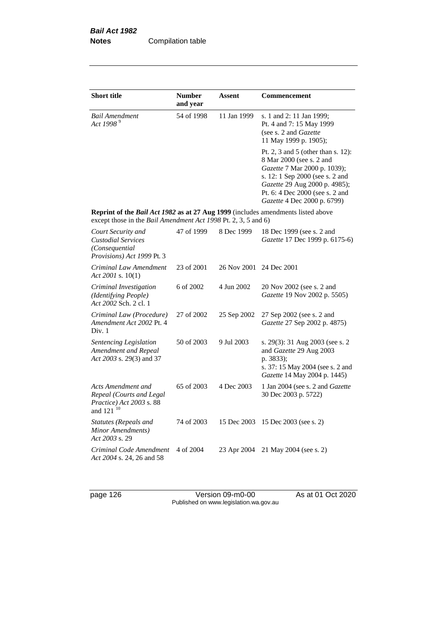| <b>Short title</b>                                                                                                                                 | <b>Number</b><br>and year | Assent      | Commencement                                                                                                                                                                                                                         |
|----------------------------------------------------------------------------------------------------------------------------------------------------|---------------------------|-------------|--------------------------------------------------------------------------------------------------------------------------------------------------------------------------------------------------------------------------------------|
| <b>Bail Amendment</b><br>Act 1998 <sup>9</sup>                                                                                                     | 54 of 1998                | 11 Jan 1999 | s. 1 and 2: 11 Jan 1999;<br>Pt. 4 and 7: 15 May 1999<br>(see s. 2 and Gazette<br>11 May 1999 p. 1905);                                                                                                                               |
|                                                                                                                                                    |                           |             | Pt. 2, 3 and 5 (other than s. 12):<br>8 Mar 2000 (see s. 2 and<br>Gazette 7 Mar 2000 p. 1039);<br>s. 12: 1 Sep 2000 (see s. 2 and<br>Gazette 29 Aug 2000 p. 4985);<br>Pt. 6: 4 Dec 2000 (see s. 2 and<br>Gazette 4 Dec 2000 p. 6799) |
| Reprint of the Bail Act 1982 as at 27 Aug 1999 (includes amendments listed above<br>except those in the Bail Amendment Act 1998 Pt. 2, 3, 5 and 6) |                           |             |                                                                                                                                                                                                                                      |
| Court Security and<br><b>Custodial Services</b><br>(Consequential<br>Provisions) Act 1999 Pt. 3                                                    | 47 of 1999                | 8 Dec 1999  | 18 Dec 1999 (see s. 2 and<br>Gazette 17 Dec 1999 p. 6175-6)                                                                                                                                                                          |
| Criminal Law Amendment<br>Act 2001 s. $10(1)$                                                                                                      | 23 of 2001                | 26 Nov 2001 | 24 Dec 2001                                                                                                                                                                                                                          |
| Criminal Investigation<br>(Identifying People)<br>Act 2002 Sch. 2 cl. 1                                                                            | 6 of 2002                 | 4 Jun 2002  | 20 Nov 2002 (see s. 2 and<br>Gazette 19 Nov 2002 p. 5505)                                                                                                                                                                            |
| Criminal Law (Procedure)<br>Amendment Act 2002 Pt. 4<br>Div. 1                                                                                     | 27 of 2002                | 25 Sep 2002 | 27 Sep 2002 (see s. 2 and<br>Gazette 27 Sep 2002 p. 4875)                                                                                                                                                                            |
| Sentencing Legislation<br>Amendment and Repeal<br>Act 2003 s. 29(3) and 37                                                                         | 50 of 2003                | 9 Jul 2003  | s. 29(3): 31 Aug 2003 (see s. 2<br>and Gazette 29 Aug 2003<br>p. 3833);<br>s. 37: 15 May 2004 (see s. 2 and<br>Gazette 14 May 2004 p. 1445)                                                                                          |
| Acts Amendment and<br>Repeal (Courts and Legal<br>Practice) Act 2003 s. 88<br>and 121 <sup>10</sup>                                                | 65 of 2003                | 4 Dec 2003  | 1 Jan 2004 (see s. 2 and <i>Gazette</i><br>30 Dec 2003 p. 5722)                                                                                                                                                                      |
| Statutes (Repeals and<br>Minor Amendments)<br>Act 2003 s. 29                                                                                       | 74 of 2003                | 15 Dec 2003 | 15 Dec 2003 (see s. 2)                                                                                                                                                                                                               |
| Criminal Code Amendment<br>Act 2004 s. 24, 26 and 58                                                                                               | 4 of 2004                 | 23 Apr 2004 | 21 May 2004 (see s. 2)                                                                                                                                                                                                               |

page 126 Version 09-m0-00 As at 01 Oct 2020 Published on www.legislation.wa.gov.au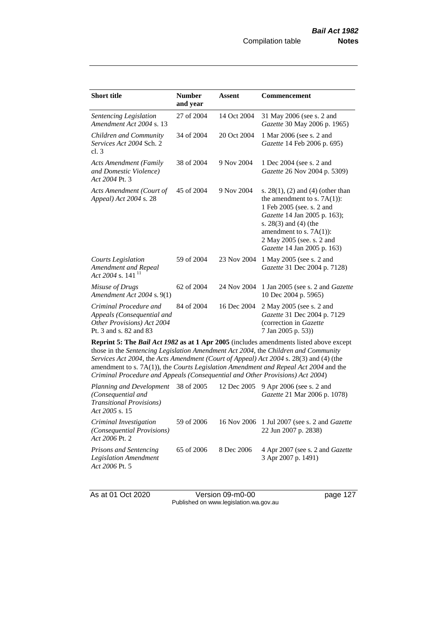| 31 May 2006 (see s. 2 and<br>Gazette 30 May 2006 p. 1965)<br>1 Mar 2006 (see s. 2 and<br>Gazette 14 Feb 2006 p. 695)                                                                                                                                                                                                                                                                                                                                                                                                                          |  |  |  |  |
|-----------------------------------------------------------------------------------------------------------------------------------------------------------------------------------------------------------------------------------------------------------------------------------------------------------------------------------------------------------------------------------------------------------------------------------------------------------------------------------------------------------------------------------------------|--|--|--|--|
|                                                                                                                                                                                                                                                                                                                                                                                                                                                                                                                                               |  |  |  |  |
|                                                                                                                                                                                                                                                                                                                                                                                                                                                                                                                                               |  |  |  |  |
| 1 Dec 2004 (see s. 2 and<br>Gazette 26 Nov 2004 p. 5309)                                                                                                                                                                                                                                                                                                                                                                                                                                                                                      |  |  |  |  |
| s. $28(1)$ , (2) and (4) (other than<br>the amendment to s. $7A(1)$ :<br>1 Feb 2005 (see. s. 2 and<br>Gazette 14 Jan 2005 p. 163);<br>s. 28(3) and (4) (the<br>amendment to s. $7A(1)$ :<br>2 May 2005 (see, s. 2 and<br>Gazette 14 Jan 2005 p. 163)                                                                                                                                                                                                                                                                                          |  |  |  |  |
| 1 May 2005 (see s. 2 and<br>Gazette 31 Dec 2004 p. 7128)                                                                                                                                                                                                                                                                                                                                                                                                                                                                                      |  |  |  |  |
| 1 Jan 2005 (see s. 2 and <i>Gazette</i><br>10 Dec 2004 p. 5965)                                                                                                                                                                                                                                                                                                                                                                                                                                                                               |  |  |  |  |
| 2 May 2005 (see s. 2 and<br>Gazette 31 Dec 2004 p. 7129<br>(correction in Gazette<br>7 Jan 2005 p. 53))                                                                                                                                                                                                                                                                                                                                                                                                                                       |  |  |  |  |
| Reprint 5: The Bail Act 1982 as at 1 Apr 2005 (includes amendments listed above except<br>those in the Sentencing Legislation Amendment Act 2004, the Children and Community<br>Services Act 2004, the Acts Amendment (Court of Appeal) Act 2004 s. 28(3) and (4) (the<br>amendment to s. $7A(1)$ , the <i>Courts Legislation Amendment and Repeal Act</i> 2004 and the<br>Criminal Procedure and Appeals (Consequential and Other Provisions) Act 2004)<br>9 Apr 2006 (see s. 2 and<br>Planning and Development<br>38 of 2005<br>12 Dec 2005 |  |  |  |  |
|                                                                                                                                                                                                                                                                                                                                                                                                                                                                                                                                               |  |  |  |  |

| $\frac{1}{2}$ reports when Development $\frac{1}{2}$ to the Dood $\frac{1}{2}$ Doe Dood $\frac{1}{2}$ Dood to the uncontrol of $\frac{1}{2}$<br>(Consequential and<br><b>Transitional Provisions</b> )<br>Act 2005 s. 15 |            |            | Gazette 21 Mar 2006 p. 1078)                                                |
|--------------------------------------------------------------------------------------------------------------------------------------------------------------------------------------------------------------------------|------------|------------|-----------------------------------------------------------------------------|
| Criminal Investigation<br>(Consequential Provisions)<br>Act 2006 Pt. 2                                                                                                                                                   | 59 of 2006 |            | 16 Nov 2006 1 Jul 2007 (see s. 2 and <i>Gazette</i><br>22 Jun 2007 p. 2838) |
| <i>Prisons and Sentencing</i><br><b>Legislation Amendment</b><br>Act 2006 Pt. 5                                                                                                                                          | 65 of 2006 | 8 Dec 2006 | 4 Apr 2007 (see s. 2 and Gazette<br>3 Apr 2007 p. 1491)                     |

As at 01 Oct 2020 **Version 09-m0-00 page 127** Published on www.legislation.wa.gov.au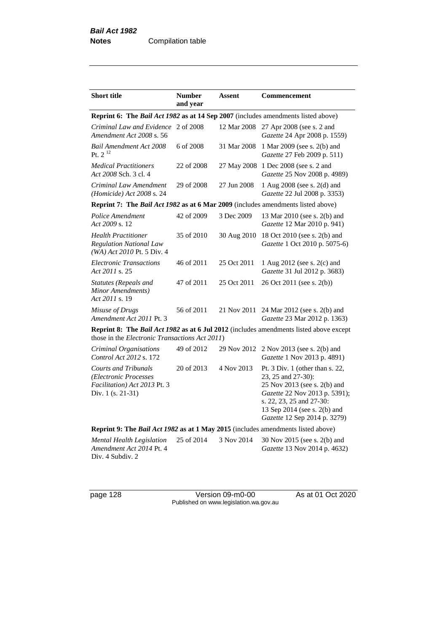| <b>Short title</b>                                                                                                | <b>Number</b><br>and year | Assent      | <b>Commencement</b>                                                                                                                                                                                                   |
|-------------------------------------------------------------------------------------------------------------------|---------------------------|-------------|-----------------------------------------------------------------------------------------------------------------------------------------------------------------------------------------------------------------------|
| Reprint 6: The Bail Act 1982 as at 14 Sep 2007 (includes amendments listed above)                                 |                           |             |                                                                                                                                                                                                                       |
| Criminal Law and Evidence 2 of 2008<br>Amendment Act 2008 s. 56                                                   |                           | 12 Mar 2008 | 27 Apr 2008 (see s. 2 and<br>Gazette 24 Apr 2008 p. 1559)                                                                                                                                                             |
| <b>Bail Amendment Act 2008</b><br>Pt. $2^{12}$                                                                    | 6 of 2008                 | 31 Mar 2008 | 1 Mar 2009 (see s. 2(b) and<br>Gazette 27 Feb 2009 p. 511)                                                                                                                                                            |
| <b>Medical Practitioners</b><br>Act 2008 Sch. 3 cl. 4                                                             | 22 of 2008                | 27 May 2008 | 1 Dec 2008 (see s. 2 and<br>Gazette 25 Nov 2008 p. 4989)                                                                                                                                                              |
| Criminal Law Amendment<br>(Homicide) Act 2008 s. 24                                                               | 29 of 2008                | 27 Jun 2008 | 1 Aug 2008 (see s. 2(d) and<br>Gazette 22 Jul 2008 p. 3353)                                                                                                                                                           |
| Reprint 7: The Bail Act 1982 as at 6 Mar 2009 (includes amendments listed above)                                  |                           |             |                                                                                                                                                                                                                       |
| Police Amendment<br>Act 2009 s. 12                                                                                | 42 of 2009                | 3 Dec 2009  | 13 Mar 2010 (see s. 2(b) and<br>Gazette 12 Mar 2010 p. 941)                                                                                                                                                           |
| <b>Health Practitioner</b><br><b>Regulation National Law</b><br>$(WA)$ Act 2010 Pt. 5 Div. 4                      | 35 of 2010                | 30 Aug 2010 | 18 Oct 2010 (see s. 2(b) and<br>Gazette 1 Oct 2010 p. 5075-6)                                                                                                                                                         |
| <b>Electronic Transactions</b><br>Act 2011 s. 25                                                                  | 46 of 2011                | 25 Oct 2011 | 1 Aug 2012 (see s. 2(c) and<br>Gazette 31 Jul 2012 p. 3683)                                                                                                                                                           |
| Statutes (Repeals and<br>Minor Amendments)<br>Act 2011 s. 19                                                      | 47 of 2011                | 25 Oct 2011 | 26 Oct 2011 (see s. 2(b))                                                                                                                                                                                             |
| Misuse of Drugs<br>Amendment Act 2011 Pt. 3                                                                       | 56 of 2011                | 21 Nov 2011 | 24 Mar 2012 (see s. 2(b) and<br>Gazette 23 Mar 2012 p. 1363)                                                                                                                                                          |
| those in the Electronic Transactions Act 2011)                                                                    |                           |             | <b>Reprint 8: The Bail Act 1982 as at 6 Jul 2012</b> (includes amendments listed above except                                                                                                                         |
| Criminal Organisations<br>Control Act 2012 s. 172                                                                 | 49 of 2012                | 29 Nov 2012 | 2 Nov 2013 (see s. 2(b) and<br>Gazette 1 Nov 2013 p. 4891)                                                                                                                                                            |
| <b>Courts and Tribunals</b><br>(Electronic Processes<br><i>Facilitation</i> ) Act 2013 Pt. 3<br>Div. 1 (s. 21-31) | 20 of 2013                | 4 Nov 2013  | Pt. 3 Div. 1 (other than $s$ . 22,<br>23, 25 and 27-30):<br>25 Nov 2013 (see s. 2(b) and<br>Gazette 22 Nov 2013 p. 5391);<br>s. 22, 23, 25 and 27-30:<br>13 Sep 2014 (see s. 2(b) and<br>Gazette 12 Sep 2014 p. 3279) |
| Reprint 9: The Bail Act 1982 as at 1 May 2015 (includes amendments listed above)                                  |                           |             |                                                                                                                                                                                                                       |
| <b>Mental Health Legislation</b><br>Amendment Act 2014 Pt. 4<br>Div. 4 Subdiv. 2                                  | 25 of 2014                | 3 Nov 2014  | 30 Nov 2015 (see s. 2(b) and<br>Gazette 13 Nov 2014 p. 4632)                                                                                                                                                          |

page 128 Version 09-m0-00 As at 01 Oct 2020 Published on www.legislation.wa.gov.au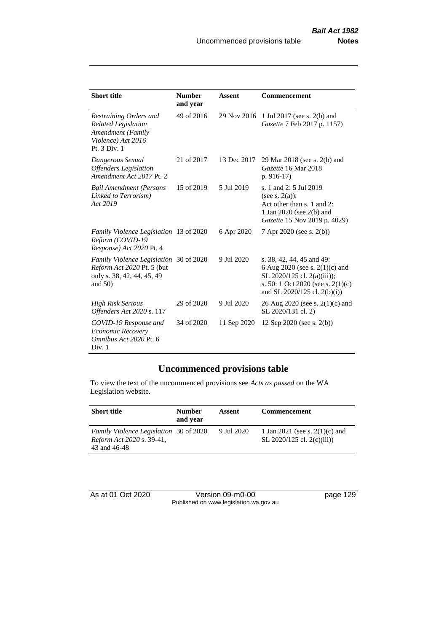| <b>Short title</b>                                                                                               | <b>Number</b><br>and year | Assent      | Commencement                                                                                                                                                          |
|------------------------------------------------------------------------------------------------------------------|---------------------------|-------------|-----------------------------------------------------------------------------------------------------------------------------------------------------------------------|
| Restraining Orders and<br><b>Related Legislation</b><br>Amendment (Family<br>Violence) Act 2016<br>Pt. 3 Div. 1  | 49 of 2016                | 29 Nov 2016 | 1 Jul 2017 (see s. 2(b) and<br>Gazette 7 Feb 2017 p. 1157)                                                                                                            |
| Dangerous Sexual<br><b>Offenders</b> Legislation<br>Amendment Act 2017 Pt. 2                                     | 21 of 2017                | 13 Dec 2017 | 29 Mar 2018 (see s. 2(b) and<br>Gazette 16 Mar 2018<br>p. $916-17$                                                                                                    |
| <b>Bail Amendment (Persons</b><br>Linked to Terrorism)<br>Act 2019                                               | 15 of 2019                | 5 Jul 2019  | s. 1 and 2: 5 Jul 2019<br>(see s. $2(a)$ );<br>Act other than s. 1 and 2:<br>1 Jan 2020 (see 2(b) and<br>Gazette 15 Nov 2019 p. 4029)                                 |
| Family Violence Legislation 13 of 2020<br>Reform (COVID-19<br>Response) Act 2020 Pt. 4                           |                           | 6 Apr 2020  | 7 Apr 2020 (see s. 2(b))                                                                                                                                              |
| Family Violence Legislation 30 of 2020<br>Reform Act 2020 Pt. 5 (but<br>only s. 38, 42, 44, 45, 49<br>and $50$ ) |                           | 9 Jul 2020  | s. 38, 42, 44, 45 and 49:<br>6 Aug 2020 (see s. $2(1)(c)$ and<br>SL 2020/125 cl. 2(a)(iii));<br>s. 50: 1 Oct 2020 (see s. $2(1)(c)$ )<br>and SL 2020/125 cl. 2(b)(i)) |
| <b>High Risk Serious</b><br>Offenders Act 2020 s. 117                                                            | 29 of 2020                | 9 Jul 2020  | 26 Aug 2020 (see s. $2(1)(c)$ and<br>SL 2020/131 cl. 2)                                                                                                               |
| COVID-19 Response and<br><b>Economic Recovery</b><br>Omnibus Act 2020 Pt. 6<br>Div. 1                            | 34 of 2020                | 11 Sep 2020 | 12 Sep 2020 (see s. $2(b)$ )                                                                                                                                          |

# **Uncommenced provisions table**

To view the text of the uncommenced provisions see *Acts as passed* on the WA Legislation website.

| <b>Short title</b>                                                                                | <b>Number</b><br>and year | Assent     | <b>Commencement</b>                                               |
|---------------------------------------------------------------------------------------------------|---------------------------|------------|-------------------------------------------------------------------|
| <i>Family Violence Legislation</i> 30 of 2020<br><i>Reform Act 2020 s. 39-41,</i><br>43 and 46-48 |                           | 9 Jul 2020 | 1 Jan 2021 (see s. $2(1)(c)$ and<br>SL $2020/125$ cl. $2(c)(iii)$ |

As at 01 Oct 2020 Version 09-m0-00 page 129 Published on www.legislation.wa.gov.au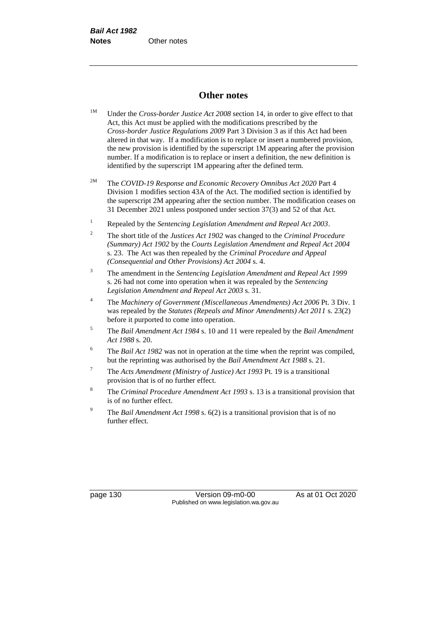## **Other notes**

- <sup>1M</sup> Under the *Cross-border Justice Act 2008* section 14, in order to give effect to that Act, this Act must be applied with the modifications prescribed by the *Cross-border Justice Regulations 2009* Part 3 Division 3 as if this Act had been altered in that way. If a modification is to replace or insert a numbered provision, the new provision is identified by the superscript 1M appearing after the provision number. If a modification is to replace or insert a definition, the new definition is identified by the superscript 1M appearing after the defined term.
- 2M The *COVID-19 Response and Economic Recovery Omnibus Act 2020* Part 4 Division 1 modifies section 43A of the Act. The modified section is identified by the superscript 2M appearing after the section number. The modification ceases on 31 December 2021 unless postponed under section 37(3) and 52 of that Act.
- <sup>1</sup> Repealed by the *Sentencing Legislation Amendment and Repeal Act 2003*.
- <sup>2</sup> The short title of the *Justices Act 1902* was changed to the *Criminal Procedure (Summary) Act 1902* by the *Courts Legislation Amendment and Repeal Act 2004*  s. 23. The Act was then repealed by the *Criminal Procedure and Appeal (Consequential and Other Provisions) Act 2004* s. 4.
- <sup>3</sup> The amendment in the *Sentencing Legislation Amendment and Repeal Act 1999* s. 26 had not come into operation when it was repealed by the *Sentencing Legislation Amendment and Repeal Act 2003* s. 31.
- <sup>4</sup> The *Machinery of Government (Miscellaneous Amendments) Act 2006* Pt. 3 Div. 1 was repealed by the *Statutes (Repeals and Minor Amendments) Act 2011* s. 23(2) before it purported to come into operation.
- <sup>5</sup> The *Bail Amendment Act 1984* s. 10 and 11 were repealed by the *Bail Amendment Act 1988* s. 20.
- <sup>6</sup> The *Bail Act 1982* was not in operation at the time when the reprint was compiled, but the reprinting was authorised by the *Bail Amendment Act 1988* s. 21.
- <sup>7</sup> The *Acts Amendment (Ministry of Justice) Act 1993* Pt. 19 is a transitional provision that is of no further effect.
- <sup>8</sup> The *Criminal Procedure Amendment Act 1993* s. 13 is a transitional provision that is of no further effect.
- <sup>9</sup> The *Bail Amendment Act 1998* s. 6(2) is a transitional provision that is of no further effect.

page 130 Version 09-m0-00 As at 01 Oct 2020 Published on www.legislation.wa.gov.au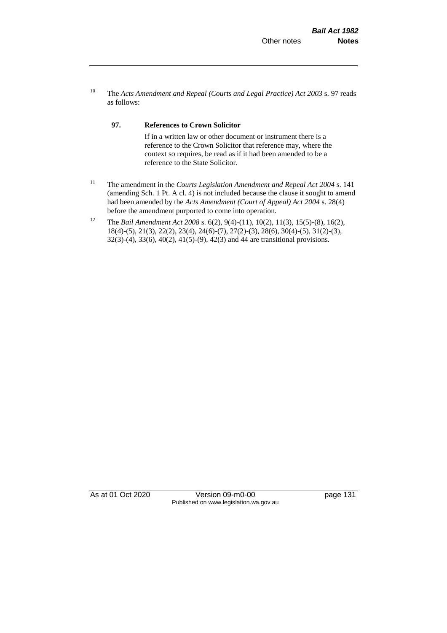<sup>10</sup> The *Acts Amendment and Repeal (Courts and Legal Practice) Act 2003* s. 97 reads as follows:

#### **97. References to Crown Solicitor**

If in a written law or other document or instrument there is a reference to the Crown Solicitor that reference may, where the context so requires, be read as if it had been amended to be a reference to the State Solicitor.

- <sup>11</sup> The amendment in the *Courts Legislation Amendment and Repeal Act 2004* s. 141 (amending Sch. 1 Pt. A cl. 4) is not included because the clause it sought to amend had been amended by the *Acts Amendment (Court of Appeal) Act 2004* s. 28(4) before the amendment purported to come into operation.
- <sup>12</sup> The *Bail Amendment Act 2008* s. 6(2), 9(4)-(11), 10(2), 11(3), 15(5)-(8), 16(2), 18(4)-(5), 21(3), 22(2), 23(4), 24(6)-(7), 27(2)-(3), 28(6), 30(4)-(5), 31(2)-(3), 32(3)-(4), 33(6), 40(2), 41(5)-(9), 42(3) and 44 are transitional provisions.

As at 01 Oct 2020 Version 09-m0-00 page 131 Published on www.legislation.wa.gov.au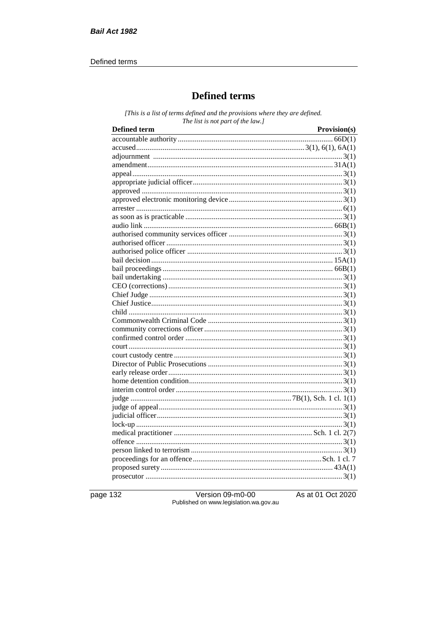#### Defined terms

## **Defined terms**

[This is a list of terms defined and the provisions where they are defined. The list is not part of the law.]

| <b>Defined term</b> | Provision(s) |
|---------------------|--------------|
|                     |              |
|                     |              |
|                     |              |
|                     |              |
|                     |              |
|                     |              |
|                     |              |
|                     |              |
|                     |              |
|                     |              |
|                     |              |
|                     |              |
|                     |              |
|                     |              |
|                     |              |
|                     |              |
|                     |              |
|                     |              |
|                     |              |
|                     |              |
|                     |              |
|                     |              |
|                     |              |
|                     |              |
|                     |              |
|                     |              |
|                     |              |
|                     |              |
|                     |              |
|                     |              |
|                     |              |
|                     |              |
|                     |              |
|                     |              |
|                     |              |
|                     |              |
|                     |              |
|                     |              |
|                     |              |
|                     |              |
|                     |              |

page 132

Version 09-m0-00 Published on www.legislation.wa.gov.au As at 01 Oct 2020